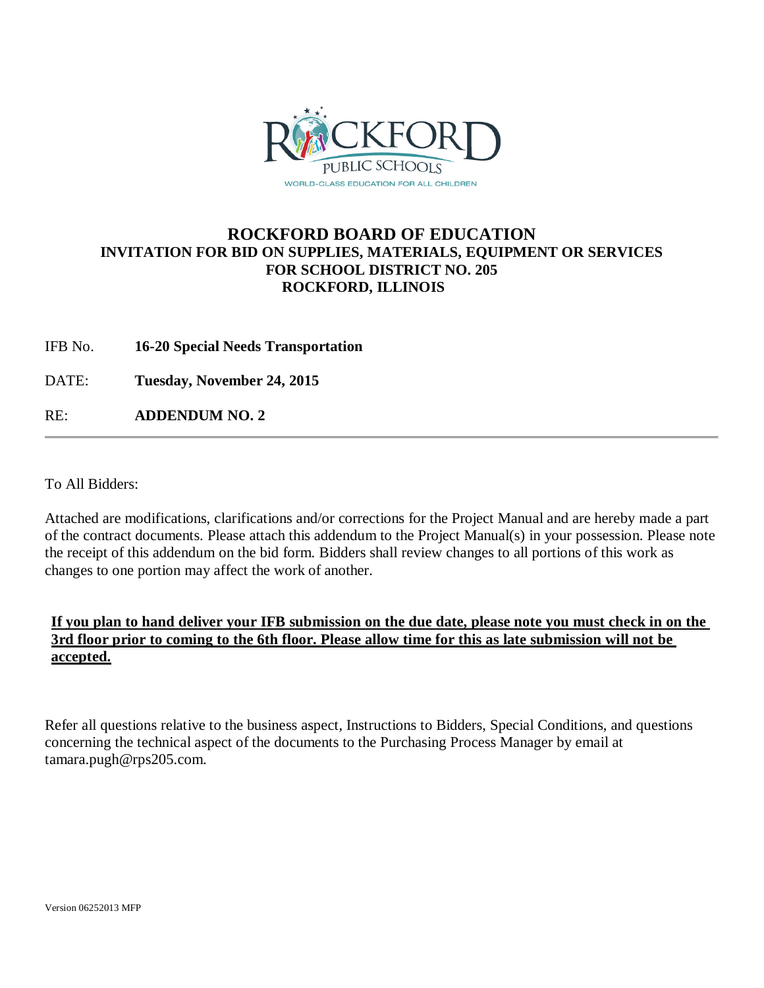

# **ROCKFORD BOARD OF EDUCATION INVITATION FOR BID ON SUPPLIES, MATERIALS, EQUIPMENT OR SERVICES FOR SCHOOL DISTRICT NO. 205 ROCKFORD, ILLINOIS**

IFB No. **16-20 Special Needs Transportation**

DATE: **Tuesday, November 24, 2015**

RE: **ADDENDUM NO. 2**

To All Bidders:

Attached are modifications, clarifications and/or corrections for the Project Manual and are hereby made a part of the contract documents. Please attach this addendum to the Project Manual(s) in your possession. Please note the receipt of this addendum on the bid form. Bidders shall review changes to all portions of this work as changes to one portion may affect the work of another.

## **If you plan to hand deliver your IFB submission on the due date, please note you must check in on the 3rd floor prior to coming to the 6th floor. Please allow time for this as late submission will not be accepted.**

Refer all questions relative to the business aspect, Instructions to Bidders, Special Conditions, and questions concerning the technical aspect of the documents to the Purchasing Process Manager by email at tamara.pugh@rps205.com.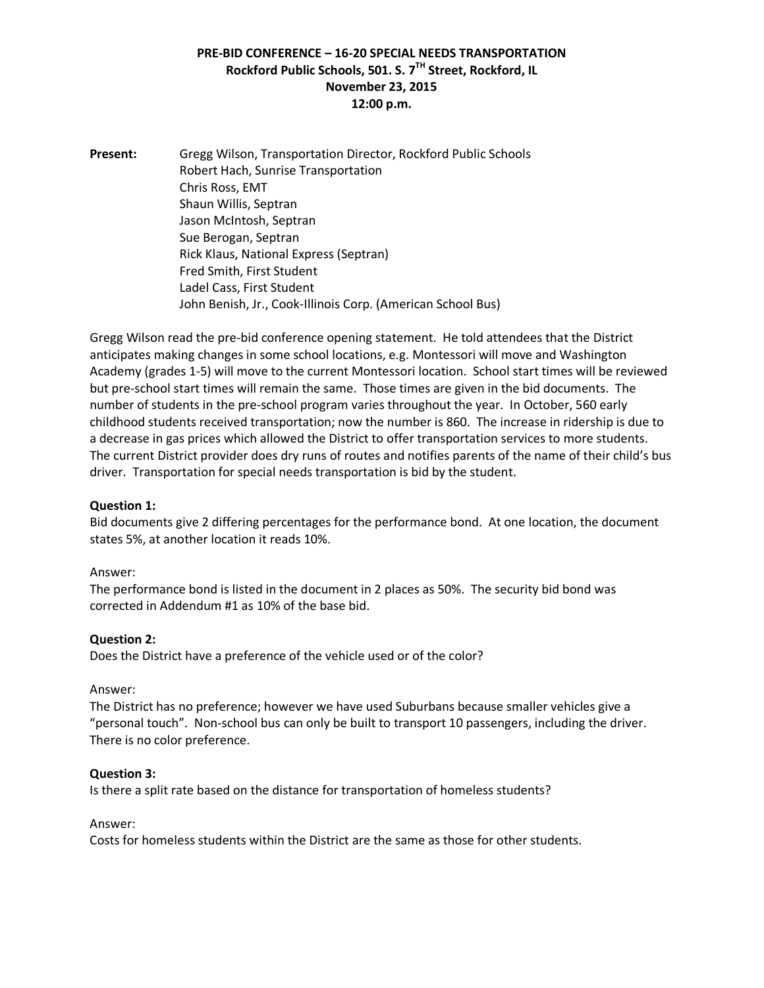## **PRE-BID CONFERENCE – 16-20 SPECIAL NEEDS TRANSPORTATION Rockford Public Schools, 501. S. 7TH Street, Rockford, IL November 23, 2015 12:00 p.m.**

**Present:** Gregg Wilson, Transportation Director, Rockford Public Schools Robert Hach, Sunrise Transportation Chris Ross, EMT Shaun Willis, Septran Jason McIntosh, Septran Sue Berogan, Septran Rick Klaus, National Express (Septran) Fred Smith, First Student Ladel Cass, First Student John Benish, Jr., Cook-Illinois Corp. (American School Bus)

Gregg Wilson read the pre-bid conference opening statement. He told attendees that the District anticipates making changes in some school locations, e.g. Montessori will move and Washington Academy (grades 1-5) will move to the current Montessori location. School start times will be reviewed but pre-school start times will remain the same. Those times are given in the bid documents. The number of students in the pre-school program varies throughout the year. In October, 560 early childhood students received transportation; now the number is 860. The increase in ridership is due to a decrease in gas prices which allowed the District to offer transportation services to more students. The current District provider does dry runs of routes and notifies parents of the name of their child's bus driver. Transportation for special needs transportation is bid by the student.

#### **Question 1:**

Bid documents give 2 differing percentages for the performance bond. At one location, the document states 5%, at another location it reads 10%.

#### Answer:

The performance bond is listed in the document in 2 places as 50%. The security bid bond was corrected in Addendum #1 as 10% of the base bid.

#### **Question 2:**

Does the District have a preference of the vehicle used or of the color?

#### Answer:

The District has no preference; however we have used Suburbans because smaller vehicles give a "personal touch". Non-school bus can only be built to transport 10 passengers, including the driver. There is no color preference.

#### **Question 3:**

Is there a split rate based on the distance for transportation of homeless students?

#### Answer:

Costs for homeless students within the District are the same as those for other students.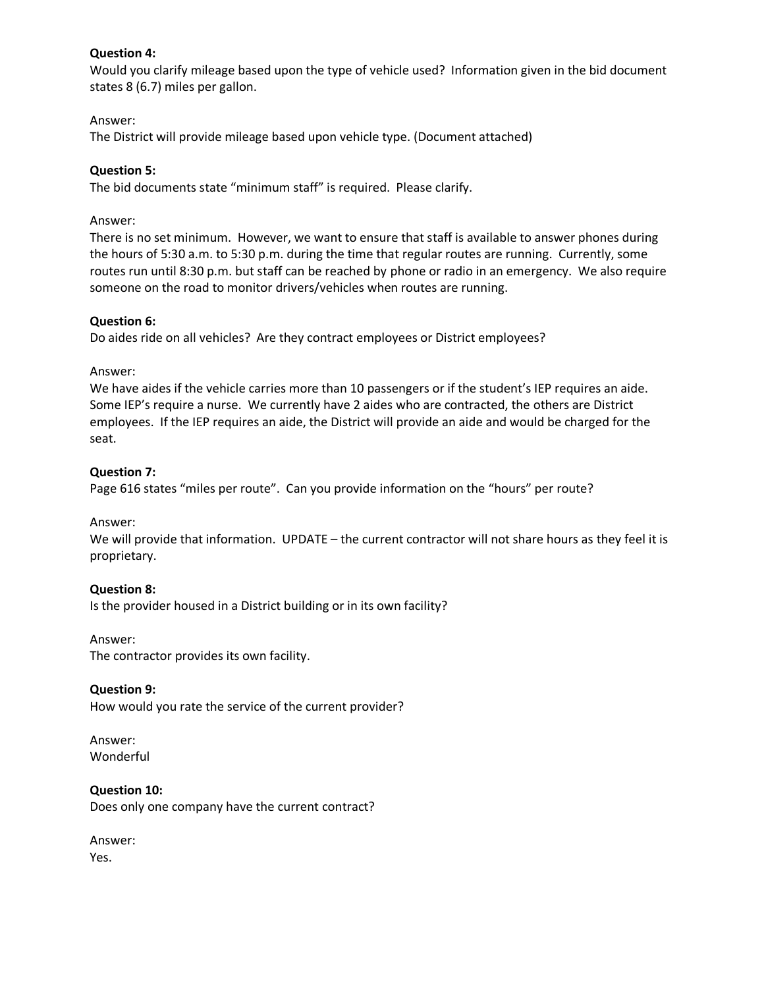## **Question 4:**

Would you clarify mileage based upon the type of vehicle used? Information given in the bid document states 8 (6.7) miles per gallon.

## Answer:

The District will provide mileage based upon vehicle type. (Document attached)

## **Question 5:**

The bid documents state "minimum staff" is required. Please clarify.

### Answer:

There is no set minimum. However, we want to ensure that staff is available to answer phones during the hours of 5:30 a.m. to 5:30 p.m. during the time that regular routes are running. Currently, some routes run until 8:30 p.m. but staff can be reached by phone or radio in an emergency. We also require someone on the road to monitor drivers/vehicles when routes are running.

## **Question 6:**

Do aides ride on all vehicles? Are they contract employees or District employees?

#### Answer:

We have aides if the vehicle carries more than 10 passengers or if the student's IEP requires an aide. Some IEP's require a nurse. We currently have 2 aides who are contracted, the others are District employees. If the IEP requires an aide, the District will provide an aide and would be charged for the seat.

## **Question 7:**

Page 616 states "miles per route". Can you provide information on the "hours" per route?

Answer:

We will provide that information. UPDATE – the current contractor will not share hours as they feel it is proprietary.

## **Question 8:**

Is the provider housed in a District building or in its own facility?

#### Answer:

The contractor provides its own facility.

#### **Question 9:**

How would you rate the service of the current provider?

#### Answer: Wonderful

**Question 10:** Does only one company have the current contract?

Answer: Yes.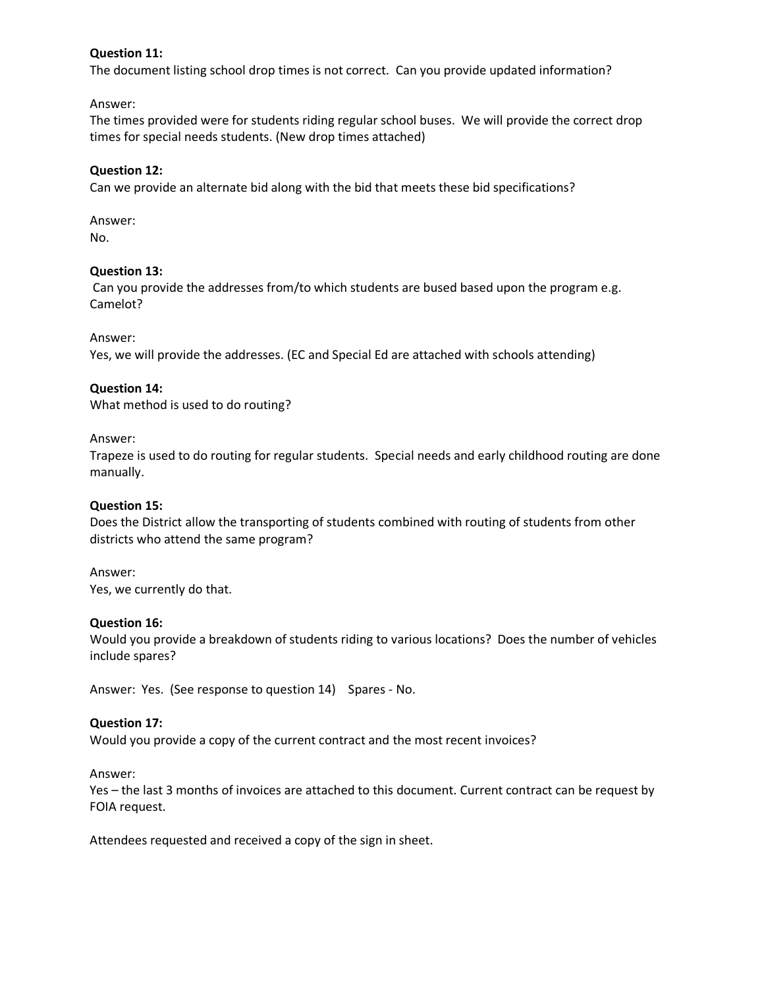## **Question 11:**

The document listing school drop times is not correct. Can you provide updated information?

Answer:

The times provided were for students riding regular school buses. We will provide the correct drop times for special needs students. (New drop times attached)

### **Question 12:**

Can we provide an alternate bid along with the bid that meets these bid specifications?

Answer: No.

#### **Question 13:**

Can you provide the addresses from/to which students are bused based upon the program e.g. Camelot?

#### Answer:

Yes, we will provide the addresses. (EC and Special Ed are attached with schools attending)

## **Question 14:**

What method is used to do routing?

#### Answer:

Trapeze is used to do routing for regular students. Special needs and early childhood routing are done manually.

#### **Question 15:**

Does the District allow the transporting of students combined with routing of students from other districts who attend the same program?

Answer:

Yes, we currently do that.

#### **Question 16:**

Would you provide a breakdown of students riding to various locations? Does the number of vehicles include spares?

Answer: Yes. (See response to question 14) Spares - No.

## **Question 17:**

Would you provide a copy of the current contract and the most recent invoices?

Answer:

Yes – the last 3 months of invoices are attached to this document. Current contract can be request by FOIA request.

Attendees requested and received a copy of the sign in sheet.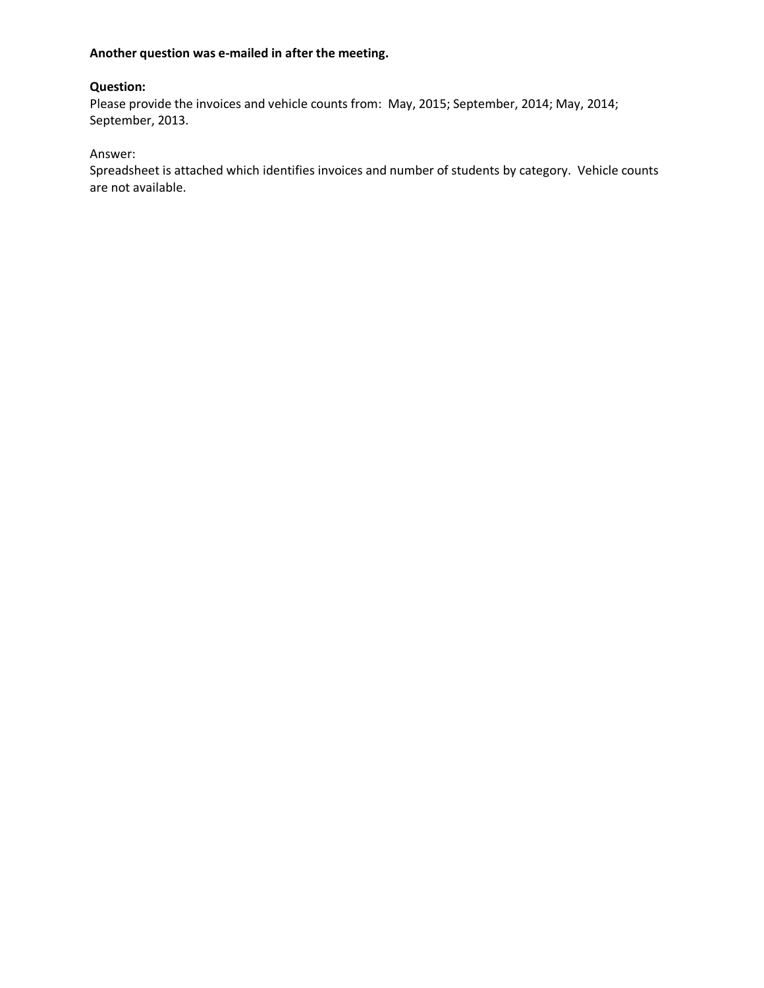#### **Another question was e-mailed in after the meeting.**

#### **Question:**

Please provide the invoices and vehicle counts from: May, 2015; September, 2014; May, 2014; September, 2013.

## Answer:

Spreadsheet is attached which identifies invoices and number of students by category. Vehicle counts are not available.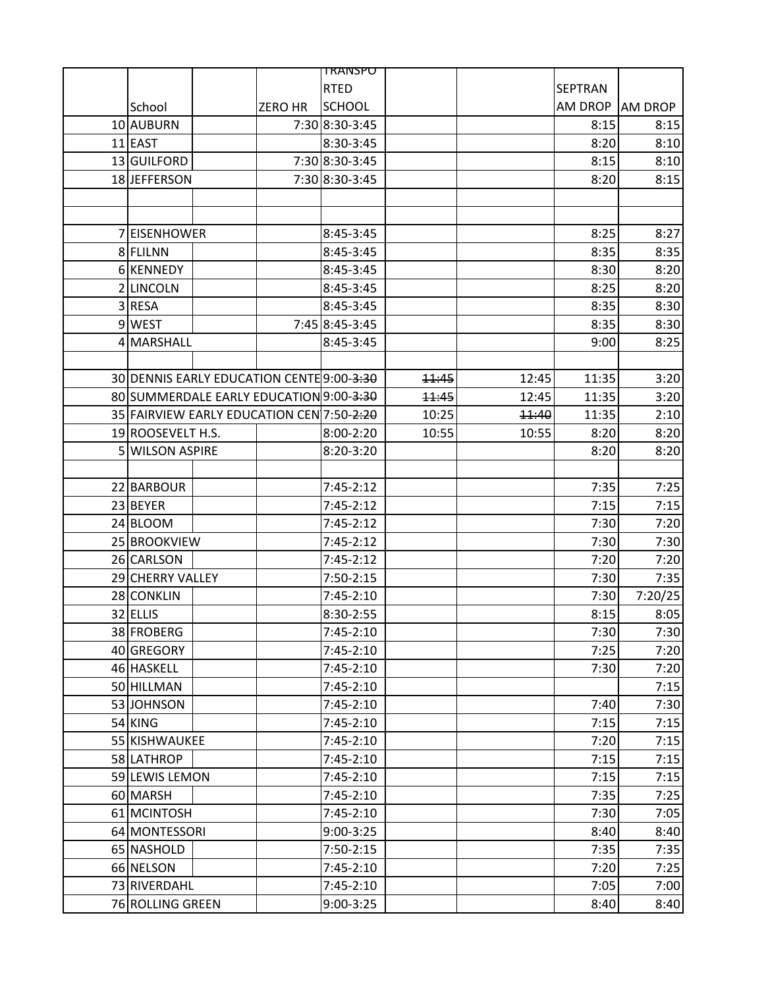|                                           |                | <u>TRANSPU</u>   |       |       |                |                |
|-------------------------------------------|----------------|------------------|-------|-------|----------------|----------------|
|                                           |                | <b>RTED</b>      |       |       | <b>SEPTRAN</b> |                |
| School                                    | <b>ZERO HR</b> | <b>SCHOOL</b>    |       |       | AM DROP        | <b>AM DROP</b> |
| 10 AUBURN                                 |                | 7:30 8:30-3:45   |       |       | 8:15           | 8:15           |
| $11$  EAST                                |                | 8:30-3:45        |       |       | 8:20           | 8:10           |
| 13 GUILFORD                               |                | 7:30 8:30-3:45   |       |       | 8:15           | 8:10           |
| 18 JEFFERSON                              |                | 7:30 8:30-3:45   |       |       | 8:20           | 8:15           |
|                                           |                |                  |       |       |                |                |
|                                           |                |                  |       |       |                |                |
| 7 EISENHOWER                              |                | 8:45-3:45        |       |       | 8:25           | 8:27           |
| 8 FLILNN                                  |                | 8:45-3:45        |       |       | 8:35           | 8:35           |
| 6 KENNEDY                                 |                | 8:45-3:45        |       |       | 8:30           | 8:20           |
| 2 LINCOLN                                 |                | 8:45-3:45        |       |       | 8:25           | 8:20           |
| 3 RESA                                    |                | 8:45-3:45        |       |       | 8:35           | 8:30           |
| 9 WEST                                    |                | 7:45 8:45 - 3:45 |       |       | 8:35           | 8:30           |
| 4 MARSHALL                                |                | 8:45-3:45        |       |       | 9:00           | 8:25           |
|                                           |                |                  |       |       |                |                |
| 30 DENNIS EARLY EDUCATION CENTE 9:00-3:30 |                |                  | 11:45 | 12:45 | 11:35          | 3:20           |
| 80 SUMMERDALE EARLY EDUCATION 9:00-3:30   |                |                  | 11:45 | 12:45 | 11:35          | 3:20           |
| 35 FAIRVIEW EARLY EDUCATION CEN 7:50-2:20 |                |                  | 10:25 | 11:40 | 11:35          | 2:10           |
| 19 ROOSEVELT H.S.                         |                | 8:00-2:20        | 10:55 | 10:55 | 8:20           | 8:20           |
| 5 WILSON ASPIRE                           |                | 8:20-3:20        |       |       | 8:20           | 8:20           |
|                                           |                |                  |       |       |                |                |
| 22 BARBOUR                                |                | $7:45-2:12$      |       |       | 7:35           | 7:25           |
| 23 BEYER                                  |                | $7:45-2:12$      |       |       | 7:15           | 7:15           |
| 24 BLOOM                                  |                | $7:45-2:12$      |       |       | 7:30           | 7:20           |
| 25 BROOKVIEW                              |                | $7:45-2:12$      |       |       | 7:30           | 7:30           |
| 26 CARLSON                                |                | $7:45-2:12$      |       |       | 7:20           | 7:20           |
| 29 CHERRY VALLEY                          |                | $7:50-2:15$      |       |       | 7:30           | 7:35           |
| 28 CONKLIN                                |                | 7:45-2:10        |       |       | 7:30           | 7:20/25        |
| 32 ELLIS                                  |                | 8:30-2:55        |       |       | 8:15           | 8:05           |
| 38 FROBERG                                |                | 7:45-2:10        |       |       | 7:30           | 7:30           |
| 40 GREGORY                                |                | 7:45-2:10        |       |       | 7:25           | 7:20           |
| 46 HASKELL                                |                | 7:45-2:10        |       |       | 7:30           | 7:20           |
| 50 HILLMAN                                |                | 7:45-2:10        |       |       |                | 7:15           |
| 53 JOHNSON                                |                | $7:45-2:10$      |       |       | 7:40           | 7:30           |
| $54$ KING                                 |                | 7:45-2:10        |       |       | 7:15           | 7:15           |
| 55 KISHWAUKEE                             |                | 7:45-2:10        |       |       | 7:20           | 7:15           |
| 58 LATHROP                                |                | 7:45-2:10        |       |       | 7:15           | 7:15           |
| 59 LEWIS LEMON                            |                | 7:45-2:10        |       |       | 7:15           | 7:15           |
| 60 MARSH                                  |                | 7:45-2:10        |       |       | 7:35           | 7:25           |
| 61 MCINTOSH                               |                | 7:45-2:10        |       |       | 7:30           | 7:05           |
| 64 MONTESSORI                             |                | 9:00-3:25        |       |       | 8:40           | 8:40           |
| 65 NASHOLD                                |                | 7:50-2:15        |       |       | 7:35           | 7:35           |
| 66 NELSON                                 |                | 7:45-2:10        |       |       | 7:20           | 7:25           |
| 73 RIVERDAHL                              |                | 7:45-2:10        |       |       | 7:05           | 7:00           |
| 76 ROLLING GREEN                          |                | 9:00-3:25        |       |       | 8:40           | 8:40           |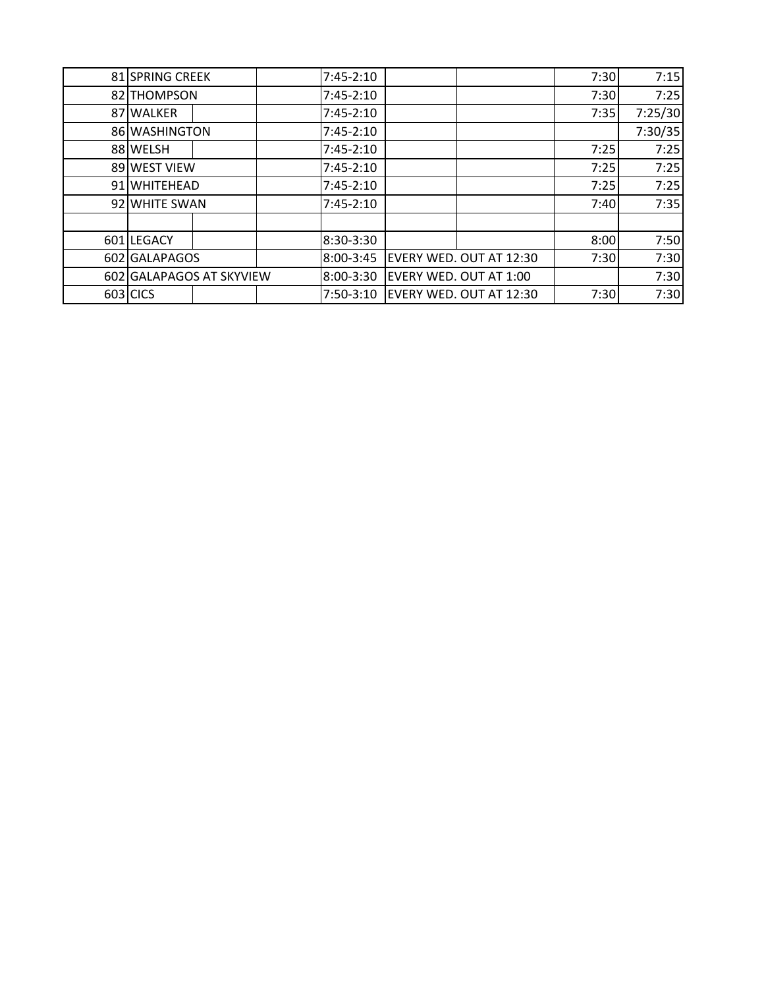| 81 SPRING CREEK |                          | $7:45-2:10$ |                         | 7:30 | 7:15    |
|-----------------|--------------------------|-------------|-------------------------|------|---------|
| 82 THOMPSON     |                          | $7:45-2:10$ |                         | 7:30 | 7:25    |
| 87 WALKER       |                          | $7:45-2:10$ |                         | 7:35 | 7:25/30 |
| 86 WASHINGTON   |                          | $7:45-2:10$ |                         |      | 7:30/35 |
| 88 WELSH        |                          | $7:45-2:10$ |                         | 7:25 | 7:25    |
| 89 WEST VIEW    |                          | $7:45-2:10$ |                         | 7:25 | 7:25    |
| 91 WHITEHEAD    |                          | $7:45-2:10$ |                         | 7:25 | 7:25    |
| 92 WHITE SWAN   |                          | $7:45-2:10$ |                         | 7:40 | 7:35    |
|                 |                          |             |                         |      |         |
| 601 LEGACY      |                          | 8:30-3:30   |                         | 8:00 | 7:50    |
| 602 GALAPAGOS   |                          | 8:00-3:45   | EVERY WED. OUT AT 12:30 | 7:30 | 7:30    |
|                 | 602 GALAPAGOS AT SKYVIEW | 8:00-3:30   | EVERY WED. OUT AT 1:00  |      | 7:30    |
| 603 CICS        |                          | $7:50-3:10$ | EVERY WED. OUT AT 12:30 | 7:30 | 7:30    |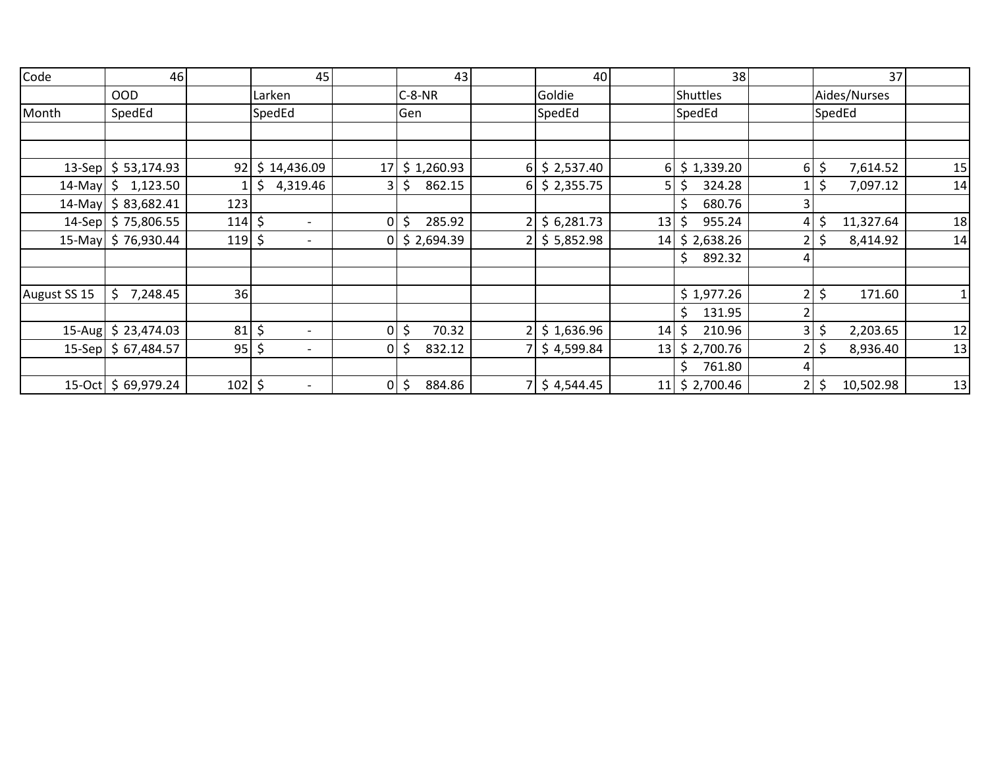| Code         | 46                                      | 45                             |                | 43                     |                | 40                  |                | 38                        |                | 37              |    |
|--------------|-----------------------------------------|--------------------------------|----------------|------------------------|----------------|---------------------|----------------|---------------------------|----------------|-----------------|----|
|              | <b>OOD</b>                              | Larken                         |                | $C-8-NR$               |                | Goldie              |                | <b>Shuttles</b>           |                | Aides/Nurses    |    |
| Month        | SpedEd                                  | SpedEd                         |                | Gen                    |                | SpedEd              |                | SpedEd                    |                | SpedEd          |    |
|              |                                         |                                |                |                        |                |                     |                |                           |                |                 |    |
|              |                                         |                                |                |                        |                |                     |                |                           |                |                 |    |
|              | 13-Sep $\frac{1}{2}$ 53,174.93<br>92    | \$14,436.09                    | 17             | \$1,260.93             | 6              | \$2,537.40          | 6 <sup>1</sup> | \$1,339.20                | $6 \mid$       | \$<br>7,614.52  | 15 |
|              | 14-May $\binom{6}{7}$ 1,123.50          | \$4,319.46                     | 3              | \$<br>862.15           | 6              | \$2,355.75          | 5              | 324.28                    | $\mathbf{1}$   | \$<br>7,097.12  | 14 |
|              | 14-May $\binom{5}{9}$ 83,682.41<br>123  |                                |                |                        |                |                     |                | \$<br>680.76              | $\overline{3}$ |                 |    |
|              | 14-Sep $\frac{1}{2}$ 75,806.55<br>114   | \$                             | $\overline{0}$ | \$<br>285.92           | $\overline{2}$ | \$6,281.73          | 13             | 955.24                    | 4              | 11,327.64       | 18 |
|              | 15-May \$76,930.44<br>119               | \$                             |                | $0 \mid$ \$ 2,694.39   | $\overline{2}$ | \$5,852.98          | 14             | \$2,638.26                | $\overline{2}$ | 8,414.92<br>Ç   | 14 |
|              |                                         |                                |                |                        |                |                     |                | 892.32<br>\$.             | 41             |                 |    |
|              |                                         |                                |                |                        |                |                     |                |                           |                |                 |    |
| August SS 15 | \$<br>7,248.45<br>36                    |                                |                |                        |                |                     |                | \$1,977.26                | 2              | \$<br>171.60    | 1  |
|              |                                         |                                |                |                        |                |                     |                | \$<br>131.95              | 2              |                 |    |
|              | 81<br>15-Aug \$23,474.03                | \$<br>$\overline{\phantom{0}}$ | $\overline{0}$ | \$<br>70.32            | $\overline{2}$ | \$1,636.96          | 14             | \$<br>210.96              | $\overline{3}$ | \$<br>2,203.65  | 12 |
|              | 95<br>$15$ -Sep $\frac{2}{5}$ 67,484.57 | \$                             | 0              | \$<br>832.12           |                | \$4,599.84          | 13             | \$2,700.76                | $\overline{2}$ | \$<br>8,936.40  | 13 |
|              |                                         |                                |                |                        |                |                     |                | \$.<br>761.80             | 4              |                 |    |
|              | 15-Oct   \$69,979.24                    | $102 \mid 5$                   |                | $0 \mid \xi$<br>884.86 |                | $7 \mid$ \$4,544.45 | 11             | $\frac{1}{2}$ \$ 2,700.46 | 2              | \$<br>10,502.98 | 13 |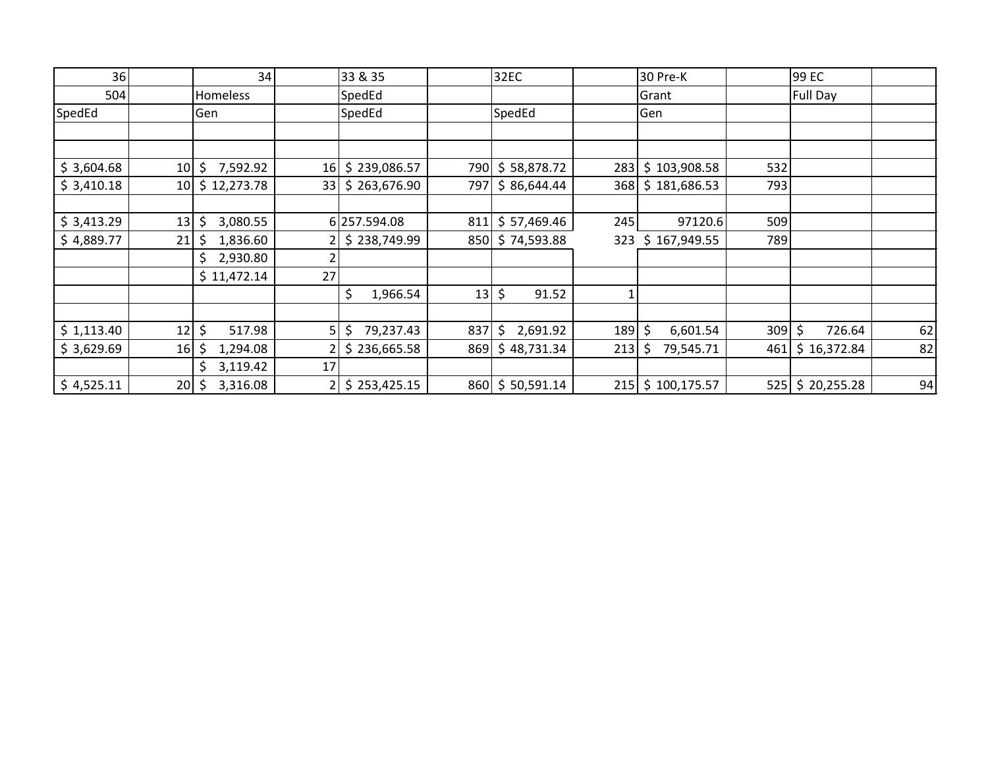| 36         |                 | 34              |                | 33 & 35         |     | 32EC            |     | 30 Pre-K         |     | 99 EC           |    |
|------------|-----------------|-----------------|----------------|-----------------|-----|-----------------|-----|------------------|-----|-----------------|----|
| 504        |                 | Homeless        |                | SpedEd          |     |                 |     | Grant            |     | Full Day        |    |
| SpedEd     |                 | Gen             |                | SpedEd          |     | SpedEd          |     | Gen              |     |                 |    |
|            |                 |                 |                |                 |     |                 |     |                  |     |                 |    |
|            |                 |                 |                |                 |     |                 |     |                  |     |                 |    |
| \$3,604.68 | 10 <sup>1</sup> | 7,592.92<br>\$. | 16             | \$239,086.57    | 790 | \$58,878.72     | 283 | \$103,908.58     | 532 |                 |    |
| \$3,410.18 | 10 <sup>1</sup> | \$12,273.78     | 33             | \$263,676.90    | 797 | \$86,644.44     | 368 | \$181,686.53     | 793 |                 |    |
|            |                 |                 |                |                 |     |                 |     |                  |     |                 |    |
| \$3,413.29 | 13              | \$<br>3,080.55  |                | 6 257.594.08    | 811 | \$57,469.46     | 245 | 97120.6          | 509 |                 |    |
| \$4,889.77 | 21              | 1,836.60<br>\$  |                | \$238,749.99    |     | 850 \$74,593.88 | 323 | \$167,949.55     | 789 |                 |    |
|            |                 | 2,930.80<br>\$  |                |                 |     |                 |     |                  |     |                 |    |
|            |                 | \$11,472.14     | 27             |                 |     |                 |     |                  |     |                 |    |
|            |                 |                 |                | \$<br>1,966.54  | 13  | \$<br>91.52     |     |                  |     |                 |    |
|            |                 |                 |                |                 |     |                 |     |                  |     |                 |    |
| \$1,113.40 | 12              | \$<br>517.98    | 5 <sup>1</sup> | 79,237.43<br>\$ | 837 | \$.<br>2,691.92 | 189 | \$<br>6,601.54   | 309 | \$<br>726.64    | 62 |
| \$3,629.69 | 16              | 1,294.08<br>S   | 2              | \$236,665.58    | 869 | \$48,731.34     | 213 | \$.<br>79,545.71 | 461 | \$16,372.84     | 82 |
|            |                 | \$<br>3,119.42  | 17             |                 |     |                 |     |                  |     |                 |    |
| \$4,525.11 | 20 <sup>1</sup> | 3,316.08<br>\$. | $\overline{2}$ | \$253,425.15    |     | 860 \$50,591.14 | 215 | \$100,175.57     |     | 525 \$20,255.28 | 94 |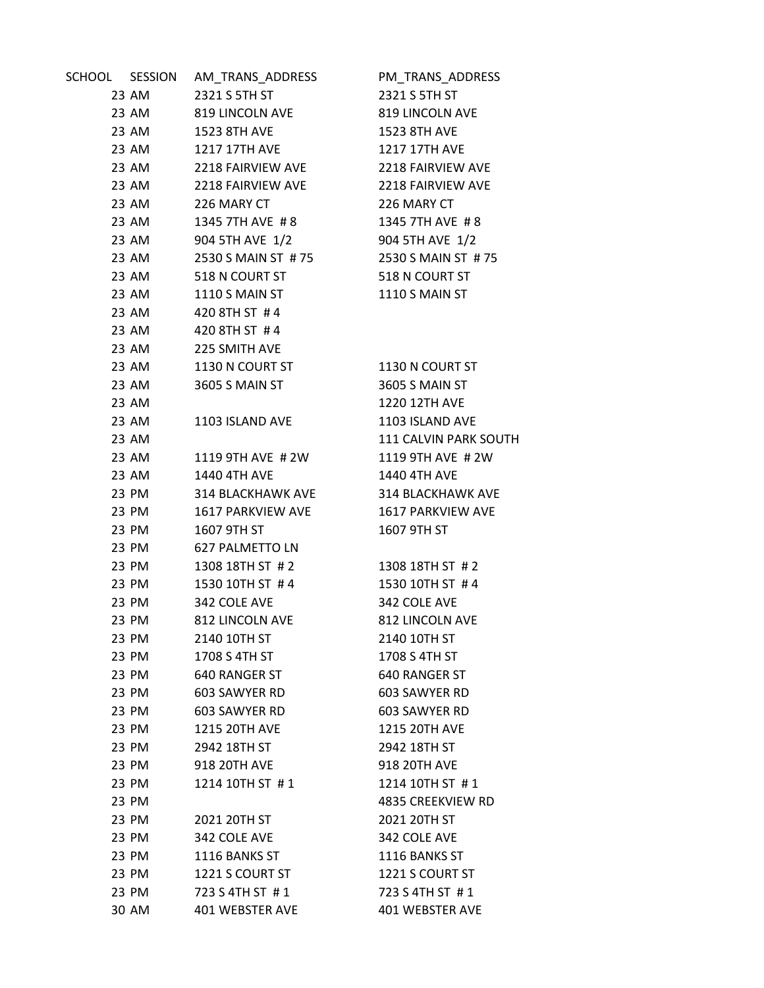| SCHOOL SESSION |       | AM_TRANS_ADDRESS       | PM_TRANS_ADDRESS      |
|----------------|-------|------------------------|-----------------------|
|                | 23 AM | 2321 S 5TH ST          | 2321 S 5TH ST         |
|                | 23 AM | 819 LINCOLN AVE        | 819 LINCOLN AVE       |
|                | 23 AM | 1523 8TH AVE           | 1523 8TH AVE          |
|                | 23 AM | <b>1217 17TH AVE</b>   | 1217 17TH AVE         |
|                | 23 AM | 2218 FAIRVIEW AVE      | 2218 FAIRVIEW AVE     |
|                | 23 AM | 2218 FAIRVIEW AVE      | 2218 FAIRVIEW AVE     |
|                | 23 AM | 226 MARY CT            | 226 MARY CT           |
|                | 23 AM | 1345 7TH AVE #8        | 1345 7TH AVE #8       |
|                | 23 AM | 904 5TH AVE 1/2        | 904 5TH AVE 1/2       |
|                | 23 AM | 2530 S MAIN ST # 75    | 2530 S MAIN ST #75    |
|                | 23 AM | 518 N COURT ST         | 518 N COURT ST        |
|                | 23 AM | 1110 S MAIN ST         | 1110 S MAIN ST        |
|                | 23 AM | 420 8TH ST #4          |                       |
|                | 23 AM | 420 8TH ST #4          |                       |
|                | 23 AM | 225 SMITH AVE          |                       |
|                | 23 AM | 1130 N COURT ST        | 1130 N COURT ST       |
|                | 23 AM | 3605 S MAIN ST         | 3605 S MAIN ST        |
|                | 23 AM |                        | 1220 12TH AVE         |
|                | 23 AM | 1103 ISLAND AVE        | 1103 ISLAND AVE       |
|                | 23 AM |                        | 111 CALVIN PARK SOUTH |
|                | 23 AM | 1119 9TH AVE #2W       | 1119 9TH AVE #2W      |
|                | 23 AM | 1440 4TH AVE           | 1440 4TH AVE          |
|                | 23 PM | 314 BLACKHAWK AVE      | 314 BLACKHAWK AVE     |
|                | 23 PM | 1617 PARKVIEW AVE      | 1617 PARKVIEW AVE     |
|                | 23 PM | 1607 9TH ST            | 1607 9TH ST           |
|                | 23 PM | <b>627 PALMETTO LN</b> |                       |
|                | 23 PM | 1308 18TH ST # 2       | 1308 18TH ST # 2      |
|                | 23 PM | 1530 10TH ST #4        | 1530 10TH ST #4       |
|                | 23 PM | 342 COLE AVE           | 342 COLE AVE          |
|                | 23 PM | 812 LINCOLN AVE        | 812 LINCOLN AVE       |
|                | 23 PM | 2140 10TH ST           | 2140 10TH ST          |
|                | 23 PM | 1708 S 4TH ST          | 1708 S 4TH ST         |
|                | 23 PM | 640 RANGER ST          | 640 RANGER ST         |
|                | 23 PM | 603 SAWYER RD          | 603 SAWYER RD         |
|                | 23 PM | 603 SAWYER RD          | 603 SAWYER RD         |
|                | 23 PM | 1215 20TH AVE          | 1215 20TH AVE         |
|                | 23 PM | 2942 18TH ST           | 2942 18TH ST          |
|                | 23 PM | 918 20TH AVE           | 918 20TH AVE          |
|                | 23 PM | 1214 10TH ST #1        | 1214 10TH ST #1       |
|                | 23 PM |                        | 4835 CREEKVIEW RD     |
|                | 23 PM | 2021 20TH ST           | 2021 20TH ST          |
|                | 23 PM | 342 COLE AVE           | 342 COLE AVE          |
|                | 23 PM | 1116 BANKS ST          | 1116 BANKS ST         |
|                | 23 PM | 1221 S COURT ST        | 1221 S COURT ST       |
|                | 23 PM | 723 S 4TH ST #1        | 723 S 4TH ST #1       |
|                | 30 AM | 401 WEBSTER AVE        | 401 WEBSTER AVE       |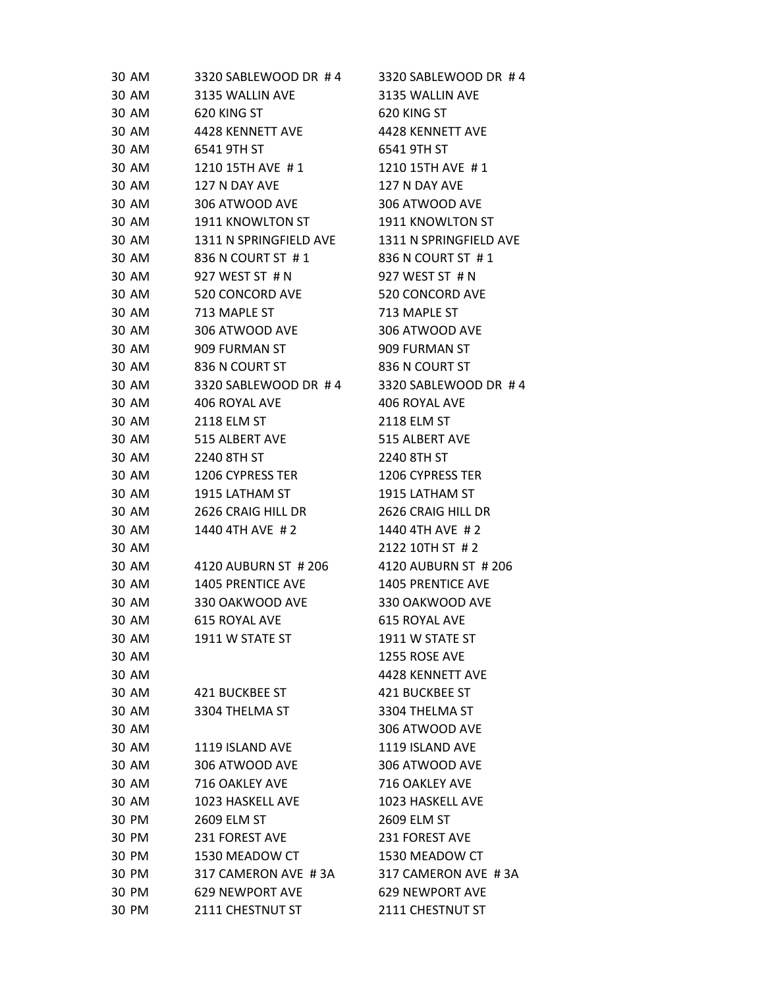| 30 AM | 3320 SABLEWOOD DR #4   | 3320 SABLEWOOD DR #4     |
|-------|------------------------|--------------------------|
| 30 AM | 3135 WALLIN AVE        | 3135 WALLIN AVE          |
| 30 AM | 620 KING ST            | 620 KING ST              |
| 30 AM | 4428 KENNETT AVE       | 4428 KENNETT AVE         |
| 30 AM | 6541 9TH ST            | 6541 9TH ST              |
| 30 AM | 1210 15TH AVE #1       | 1210 15TH AVE #1         |
| 30 AM | 127 N DAY AVE          | 127 N DAY AVE            |
| 30 AM | 306 ATWOOD AVE         | 306 ATWOOD AVE           |
| 30 AM | 1911 KNOWLTON ST       | 1911 KNOWLTON ST         |
| 30 AM | 1311 N SPRINGFIELD AVE | 1311 N SPRINGFIELD AVE   |
| 30 AM | 836 N COURT ST #1      | 836 N COURT ST #1        |
| 30 AM | 927 WEST ST # N        | 927 WEST ST # N          |
| 30 AM | 520 CONCORD AVE        | 520 CONCORD AVE          |
| 30 AM | 713 MAPLE ST           | 713 MAPLE ST             |
| 30 AM | 306 ATWOOD AVE         | 306 ATWOOD AVE           |
| 30 AM | 909 FURMAN ST          | 909 FURMAN ST            |
| 30 AM | 836 N COURT ST         | 836 N COURT ST           |
| 30 AM | 3320 SABLEWOOD DR #4   | 3320 SABLEWOOD DR #4     |
| 30 AM | 406 ROYAL AVE          | 406 ROYAL AVE            |
| 30 AM | 2118 ELM ST            | 2118 ELM ST              |
| 30 AM | 515 ALBERT AVE         | 515 ALBERT AVE           |
| 30 AM | 2240 8TH ST            | 2240 8TH ST              |
| 30 AM | 1206 CYPRESS TER       | 1206 CYPRESS TER         |
| 30 AM | 1915 LATHAM ST         | 1915 LATHAM ST           |
| 30 AM | 2626 CRAIG HILL DR     | 2626 CRAIG HILL DR       |
| 30 AM | 1440 4TH AVE #2        | 1440 4TH AVE #2          |
| 30 AM |                        | 2122 10TH ST #2          |
| 30 AM | 4120 AUBURN ST # 206   | 4120 AUBURN ST # 206     |
| 30 AM | 1405 PRENTICE AVE      | <b>1405 PRENTICE AVE</b> |
| 30 AM | 330 OAKWOOD AVE        | 330 OAKWOOD AVE          |
| 30 AM | 615 ROYAL AVE          | <b>615 ROYAL AVE</b>     |
| 30 AM | 1911 W STATE ST        | 1911 W STATE ST          |
| 30 AM |                        | 1255 ROSE AVE            |
| 30 AM |                        | 4428 KENNETT AVE         |
| 30 AM | 421 BUCKBEE ST         | 421 BUCKBEE ST           |
| 30 AM | 3304 THELMA ST         | 3304 THELMA ST           |
| 30 AM |                        | 306 ATWOOD AVE           |
| 30 AM | 1119 ISLAND AVE        | 1119 ISLAND AVE          |
| 30 AM | 306 ATWOOD AVE         | 306 ATWOOD AVE           |
| 30 AM | 716 OAKLEY AVE         | 716 OAKLEY AVE           |
| 30 AM | 1023 HASKELL AVE       | 1023 HASKELL AVE         |
| 30 PM | 2609 ELM ST            | 2609 ELM ST              |
| 30 PM | 231 FOREST AVE         | 231 FOREST AVE           |
| 30 PM | 1530 MEADOW CT         | 1530 MEADOW CT           |
| 30 PM | 317 CAMERON AVE #3A    | 317 CAMERON AVE #3A      |
| 30 PM | <b>629 NEWPORT AVE</b> | <b>629 NEWPORT AVE</b>   |
| 30 PM | 2111 CHESTNUT ST       | 2111 CHESTNUT ST         |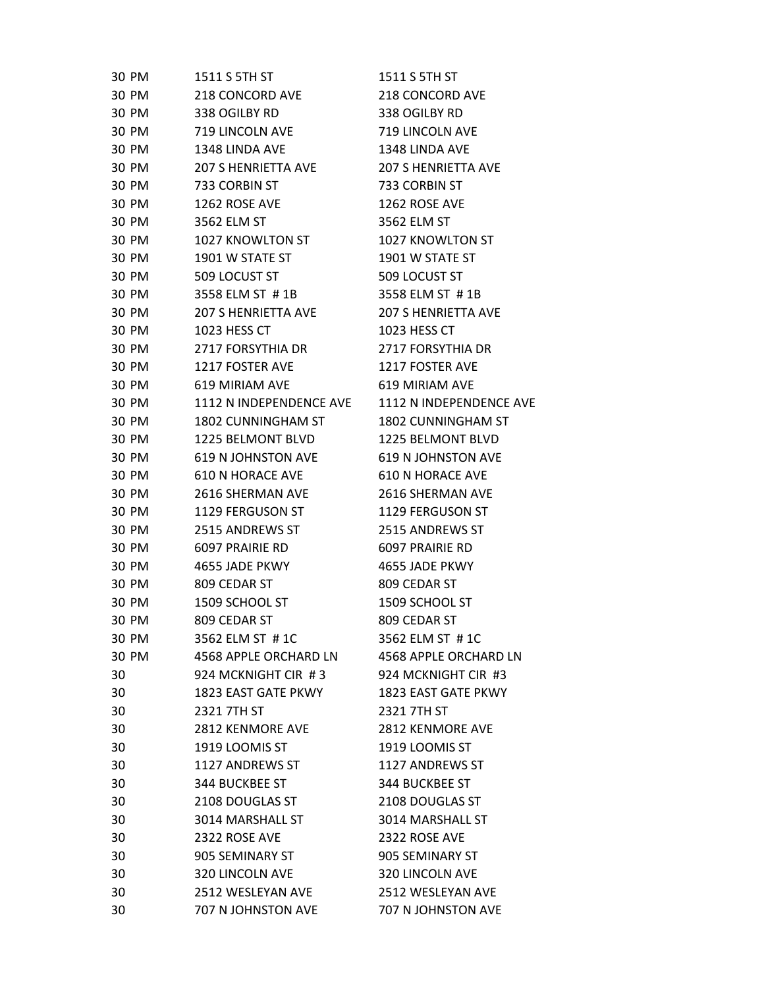| 30 PM | 1511 S 5TH ST              | 1511 S 5TH ST              |
|-------|----------------------------|----------------------------|
| 30 PM | 218 CONCORD AVE            | 218 CONCORD AVE            |
| 30 PM | 338 OGILBY RD              | 338 OGILBY RD              |
| 30 PM | 719 LINCOLN AVE            | 719 LINCOLN AVE            |
| 30 PM | 1348 LINDA AVE             | 1348 LINDA AVE             |
| 30 PM | <b>207 S HENRIETTA AVE</b> | <b>207 S HENRIETTA AVE</b> |
| 30 PM | 733 CORBIN ST              | 733 CORBIN ST              |
| 30 PM | 1262 ROSE AVE              | 1262 ROSE AVE              |
| 30 PM | 3562 ELM ST                | 3562 ELM ST                |
| 30 PM | 1027 KNOWLTON ST           | 1027 KNOWLTON ST           |
| 30 PM | 1901 W STATE ST            | 1901 W STATE ST            |
| 30 PM | 509 LOCUST ST              | 509 LOCUST ST              |
| 30 PM | 3558 ELM ST #1B            | 3558 ELM ST #1B            |
| 30 PM | <b>207 S HENRIETTA AVE</b> | <b>207 S HENRIETTA AVE</b> |
| 30 PM | 1023 HESS CT               | 1023 HESS CT               |
| 30 PM | 2717 FORSYTHIA DR          | 2717 FORSYTHIA DR          |
| 30 PM | 1217 FOSTER AVE            | 1217 FOSTER AVE            |
| 30 PM | 619 MIRIAM AVE             | 619 MIRIAM AVE             |
| 30 PM | 1112 N INDEPENDENCE AVE    | 1112 N INDEPENDENCE AVE    |
| 30 PM | 1802 CUNNINGHAM ST         | 1802 CUNNINGHAM ST         |
| 30 PM | 1225 BELMONT BLVD          | 1225 BELMONT BLVD          |
| 30 PM | <b>619 N JOHNSTON AVE</b>  | <b>619 N JOHNSTON AVE</b>  |
| 30 PM | 610 N HORACE AVE           | <b>610 N HORACE AVE</b>    |
| 30 PM | 2616 SHERMAN AVE           | 2616 SHERMAN AVE           |
| 30 PM | 1129 FERGUSON ST           | 1129 FERGUSON ST           |
| 30 PM | 2515 ANDREWS ST            | 2515 ANDREWS ST            |
| 30 PM | 6097 PRAIRIE RD            | 6097 PRAIRIE RD            |
| 30 PM | 4655 JADE PKWY             | 4655 JADE PKWY             |
| 30 PM | 809 CEDAR ST               | 809 CEDAR ST               |
| 30 PM | 1509 SCHOOL ST             | 1509 SCHOOL ST             |
| 30 PM | 809 CEDAR ST               | 809 CEDAR ST               |
| 30 PM | 3562 ELM ST #1C            | 3562 ELM ST #1C            |
| 30 PM | 4568 APPLE ORCHARD LN      | 4568 APPLE ORCHARD LN      |
| 30    | 924 MCKNIGHT CIR #3        | 924 MCKNIGHT CIR #3        |
| 30    | 1823 EAST GATE PKWY        | 1823 EAST GATE PKWY        |
| 30    | 2321 7TH ST                | 2321 7TH ST                |
| 30    | 2812 KENMORE AVE           | 2812 KENMORE AVE           |
| 30    | 1919 LOOMIS ST             | 1919 LOOMIS ST             |
| 30    | 1127 ANDREWS ST            | 1127 ANDREWS ST            |
| 30    | 344 BUCKBEE ST             | 344 BUCKBEE ST             |
| 30    | 2108 DOUGLAS ST            | 2108 DOUGLAS ST            |
| 30    | 3014 MARSHALL ST           | 3014 MARSHALL ST           |
| 30    | 2322 ROSE AVE              | 2322 ROSE AVE              |
| 30    | 905 SEMINARY ST            | 905 SEMINARY ST            |
| 30    | 320 LINCOLN AVE            | 320 LINCOLN AVE            |
| 30    | 2512 WESLEYAN AVE          | 2512 WESLEYAN AVE          |
| 30    | 707 N JOHNSTON AVE         | 707 N JOHNSTON AVE         |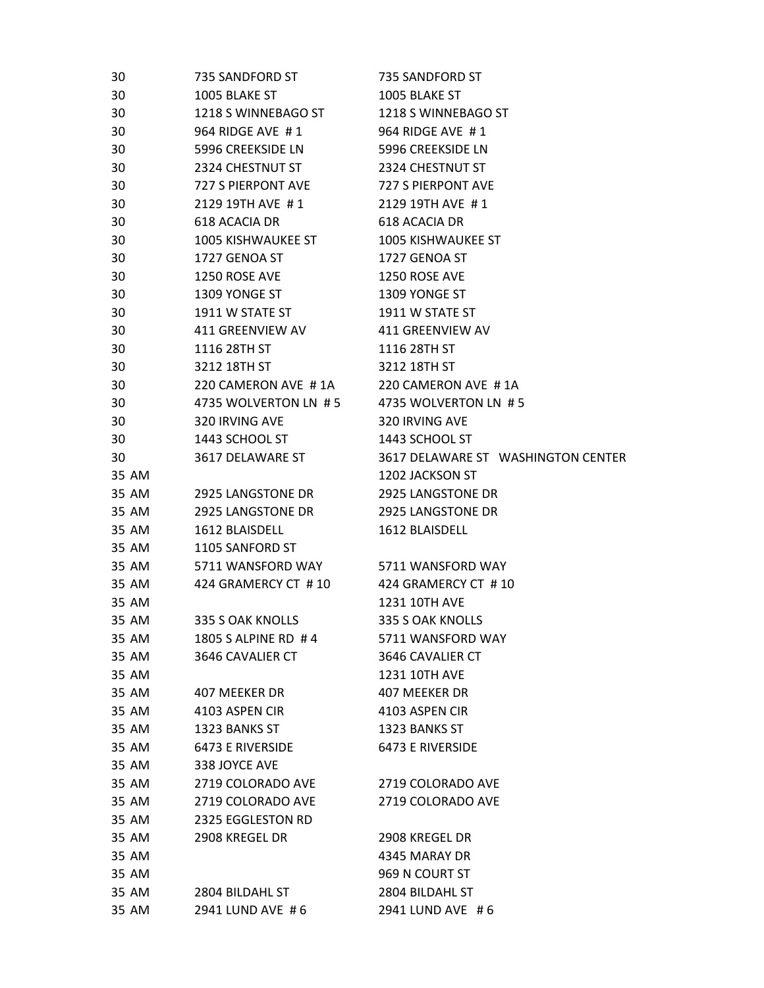| 30    | 735 SANDFORD ST           | 735 SANDFORD ST                    |
|-------|---------------------------|------------------------------------|
| 30    | 1005 BLAKE ST             | 1005 BLAKE ST                      |
| 30    | 1218 S WINNEBAGO ST       | 1218 S WINNEBAGO ST                |
| 30    | 964 RIDGE AVE #1          | 964 RIDGE AVE #1                   |
| 30    | 5996 CREEKSIDE LN         | 5996 CREEKSIDE LN                  |
| 30    | 2324 CHESTNUT ST          | 2324 CHESTNUT ST                   |
| 30    | 727 S PIERPONT AVE        | 727 S PIERPONT AVE                 |
| 30    | 2129 19TH AVE #1          | 2129 19TH AVE #1                   |
| 30    | 618 ACACIA DR             | 618 ACACIA DR                      |
| 30    | <b>1005 KISHWAUKEE ST</b> | <b>1005 KISHWAUKEE ST</b>          |
| 30    | 1727 GENOA ST             | 1727 GENOA ST                      |
| 30    | 1250 ROSE AVE             | 1250 ROSE AVE                      |
| 30    | 1309 YONGE ST             | 1309 YONGE ST                      |
| 30    | 1911 W STATE ST           | 1911 W STATE ST                    |
| 30    | 411 GREENVIEW AV          | 411 GREENVIEW AV                   |
| 30    | 1116 28TH ST              | 1116 28TH ST                       |
| 30    | 3212 18TH ST              | 3212 18TH ST                       |
| 30    | 220 CAMERON AVE #1A       | 220 CAMERON AVE #1A                |
| 30    | 4735 WOLVERTON LN #5      | 4735 WOLVERTON LN #5               |
| 30    | 320 IRVING AVE            | 320 IRVING AVE                     |
| 30    | 1443 SCHOOL ST            | 1443 SCHOOL ST                     |
| 30    | 3617 DELAWARE ST          | 3617 DELAWARE ST WASHINGTON CENTER |
| 35 AM |                           | 1202 JACKSON ST                    |
| 35 AM | 2925 LANGSTONE DR         | 2925 LANGSTONE DR                  |
| 35 AM | <b>2925 LANGSTONE DR</b>  | 2925 LANGSTONE DR                  |
| 35 AM | 1612 BLAISDELL            | 1612 BLAISDELL                     |
| 35 AM | 1105 SANFORD ST           |                                    |
| 35 AM | 5711 WANSFORD WAY         | 5711 WANSFORD WAY                  |
| 35 AM | 424 GRAMERCY CT #10       | 424 GRAMERCY CT #10                |
| 35 AM |                           | <b>1231 10TH AVE</b>               |
| 35 AM | 335 S OAK KNOLLS          | 335 S OAK KNOLLS                   |
| 35 AM | 1805 S ALPINE RD #4       | 5711 WANSFORD WAY                  |
| 35 AM | 3646 CAVALIER CT          | 3646 CAVALIER CT                   |
| 35 AM |                           | 1231 10TH AVE                      |
| 35 AM | 407 MEEKER DR             | 407 MEEKER DR                      |
| 35 AM | 4103 ASPEN CIR            | 4103 ASPEN CIR                     |
| 35 AM | 1323 BANKS ST             | 1323 BANKS ST                      |
| 35 AM | 6473 E RIVERSIDE          | 6473 E RIVERSIDE                   |
| 35 AM | 338 JOYCE AVE             |                                    |
| 35 AM | 2719 COLORADO AVE         | 2719 COLORADO AVE                  |
| 35 AM | 2719 COLORADO AVE         | 2719 COLORADO AVE                  |
| 35 AM | 2325 EGGLESTON RD         |                                    |
| 35 AM | 2908 KREGEL DR            | 2908 KREGEL DR                     |
| 35 AM |                           | 4345 MARAY DR                      |
| 35 AM |                           | 969 N COURT ST                     |
| 35 AM | 2804 BILDAHL ST           | 2804 BILDAHL ST                    |
| 35 AM | 2941 LUND AVE #6          | 2941 LUND AVE #6                   |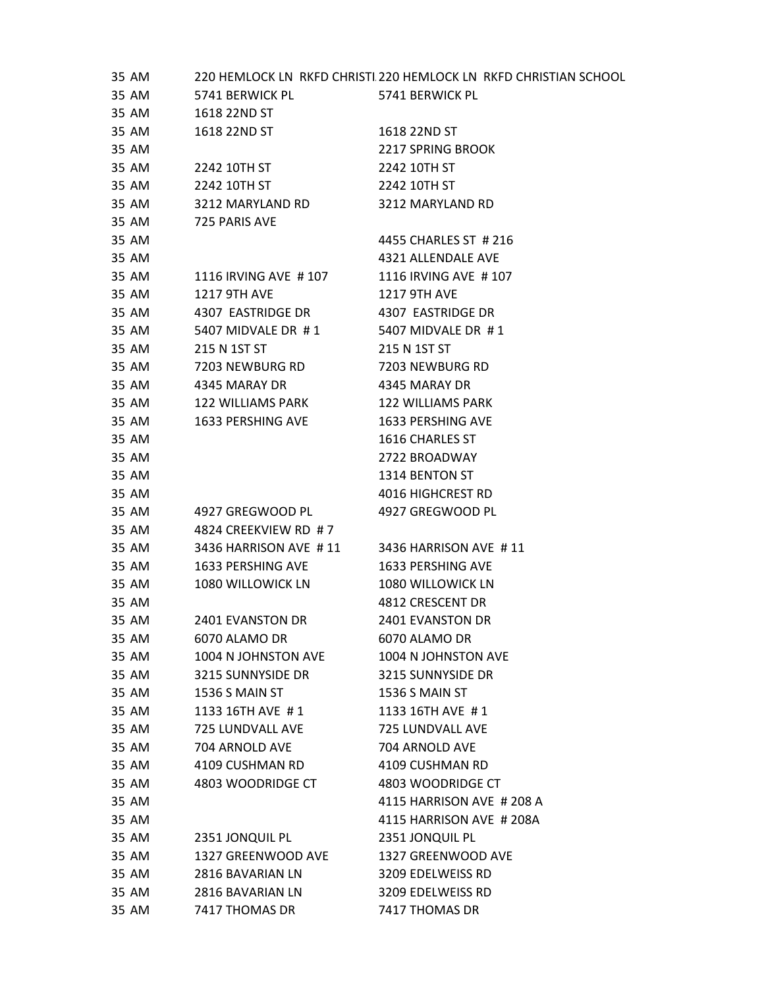| 35 AM |                       | 220 HEMLOCK LN RKFD CHRISTI 220 HEMLOCK LN RKFD CHRISTIAN SCHOOL |
|-------|-----------------------|------------------------------------------------------------------|
| 35 AM | 5741 BERWICK PL       | 5741 BERWICK PL                                                  |
| 35 AM | 1618 22ND ST          |                                                                  |
| 35 AM | 1618 22ND ST          | 1618 22ND ST                                                     |
| 35 AM |                       | <b>2217 SPRING BROOK</b>                                         |
| 35 AM | 2242 10TH ST          | 2242 10TH ST                                                     |
| 35 AM | 2242 10TH ST          | 2242 10TH ST                                                     |
| 35 AM | 3212 MARYLAND RD      | 3212 MARYLAND RD                                                 |
| 35 AM | 725 PARIS AVE         |                                                                  |
| 35 AM |                       | 4455 CHARLES ST # 216                                            |
| 35 AM |                       | 4321 ALLENDALE AVE                                               |
| 35 AM | 1116 IRVING AVE #107  | 1116 IRVING AVE #107                                             |
| 35 AM | <b>1217 9TH AVE</b>   | <b>1217 9TH AVE</b>                                              |
| 35 AM | 4307 EASTRIDGE DR     | 4307 EASTRIDGE DR                                                |
| 35 AM | 5407 MIDVALE DR #1    | 5407 MIDVALE DR #1                                               |
| 35 AM | 215 N 1ST ST          | 215 N 1ST ST                                                     |
| 35 AM | 7203 NEWBURG RD       | 7203 NEWBURG RD                                                  |
| 35 AM | 4345 MARAY DR         | 4345 MARAY DR                                                    |
| 35 AM | 122 WILLIAMS PARK     | 122 WILLIAMS PARK                                                |
| 35 AM | 1633 PERSHING AVE     | 1633 PERSHING AVE                                                |
| 35 AM |                       | 1616 CHARLES ST                                                  |
| 35 AM |                       | 2722 BROADWAY                                                    |
| 35 AM |                       | 1314 BENTON ST                                                   |
| 35 AM |                       | 4016 HIGHCREST RD                                                |
| 35 AM | 4927 GREGWOOD PL      | 4927 GREGWOOD PL                                                 |
| 35 AM | 4824 CREEKVIEW RD #7  |                                                                  |
| 35 AM | 3436 HARRISON AVE #11 | 3436 HARRISON AVE #11                                            |
| 35 AM | 1633 PERSHING AVE     | 1633 PERSHING AVE                                                |
| 35 AM | 1080 WILLOWICK LN     | 1080 WILLOWICK LN                                                |
| 35 AM |                       | 4812 CRESCENT DR                                                 |
| 35 AM | 2401 EVANSTON DR      | <b>2401 EVANSTON DR</b>                                          |
| 35 AM | 6070 ALAMO DR         | 6070 ALAMO DR                                                    |
| 35 AM | 1004 N JOHNSTON AVE   | 1004 N JOHNSTON AVE                                              |
| 35 AM | 3215 SUNNYSIDE DR     | 3215 SUNNYSIDE DR                                                |
| 35 AM | 1536 S MAIN ST        | 1536 S MAIN ST                                                   |
| 35 AM | 1133 16TH AVE #1      | 1133 16TH AVE #1                                                 |
| 35 AM | 725 LUNDVALL AVE      | 725 LUNDVALL AVE                                                 |
| 35 AM | 704 ARNOLD AVE        | 704 ARNOLD AVE                                                   |
| 35 AM | 4109 CUSHMAN RD       | 4109 CUSHMAN RD                                                  |
| 35 AM | 4803 WOODRIDGE CT     | 4803 WOODRIDGE CT                                                |
| 35 AM |                       | 4115 HARRISON AVE # 208 A                                        |
| 35 AM |                       | 4115 HARRISON AVE # 208A                                         |
| 35 AM | 2351 JONQUIL PL       | 2351 JONQUIL PL                                                  |
| 35 AM | 1327 GREENWOOD AVE    | 1327 GREENWOOD AVE                                               |
| 35 AM | 2816 BAVARIAN LN      | 3209 EDELWEISS RD                                                |
| 35 AM | 2816 BAVARIAN LN      | 3209 EDELWEISS RD                                                |
| 35 AM | 7417 THOMAS DR        | 7417 THOMAS DR                                                   |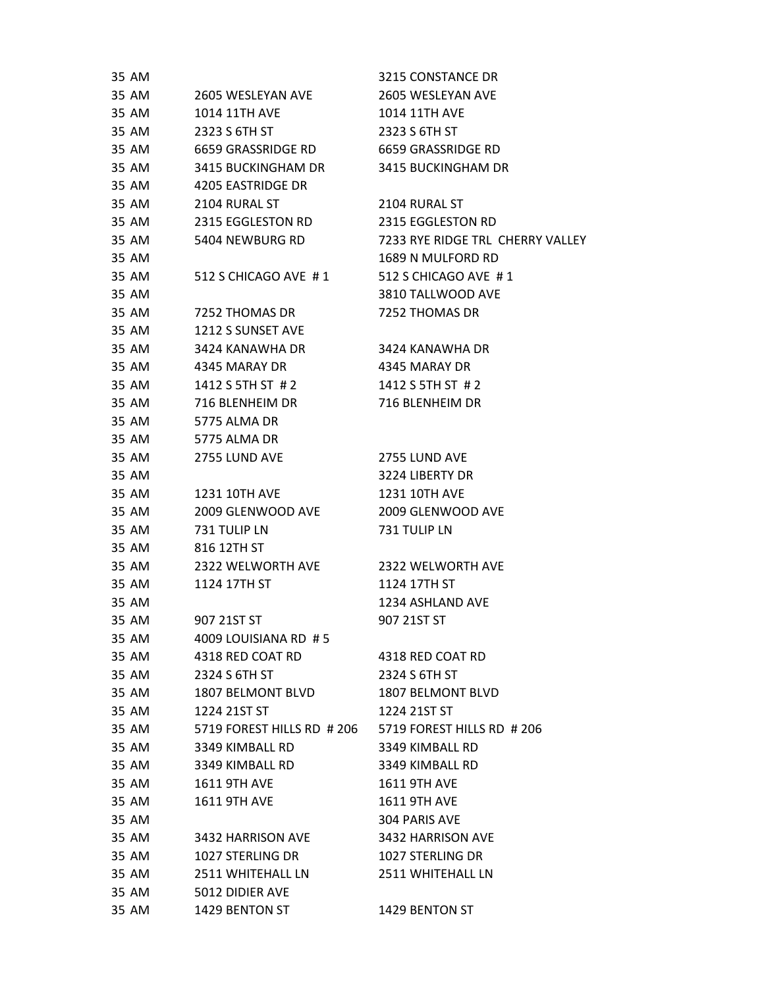| 35 AM |                                           | 3215 CONSTANCE DR                |
|-------|-------------------------------------------|----------------------------------|
| 35 AM | 2605 WESLEYAN AVE                         | 2605 WESLEYAN AVE                |
| 35 AM | 1014 11TH AVE                             | 1014 11TH AVE                    |
| 35 AM | 2323 S 6TH ST                             | 2323 S 6TH ST                    |
| 35 AM | 6659 GRASSRIDGE RD                        | 6659 GRASSRIDGE RD               |
| 35 AM | 3415 BUCKINGHAM DR                        | 3415 BUCKINGHAM DR               |
| 35 AM | 4205 EASTRIDGE DR                         |                                  |
| 35 AM | 2104 RURAL ST                             | 2104 RURAL ST                    |
| 35 AM | 2315 EGGLESTON RD                         | 2315 EGGLESTON RD                |
| 35 AM | 5404 NEWBURG RD                           | 7233 RYE RIDGE TRL CHERRY VALLEY |
| 35 AM |                                           | 1689 N MULFORD RD                |
| 35 AM | 512 S CHICAGO AVE #1 512 S CHICAGO AVE #1 |                                  |
| 35 AM |                                           | 3810 TALLWOOD AVE                |
| 35 AM | 7252 THOMAS DR                            | 7252 THOMAS DR                   |
| 35 AM | 1212 S SUNSET AVE                         |                                  |
| 35 AM | 3424 KANAWHA DR                           | 3424 KANAWHA DR                  |
| 35 AM | 4345 MARAY DR                             | 4345 MARAY DR                    |
| 35 AM | 1412 S 5TH ST # 2                         | 1412 S 5TH ST # 2                |
| 35 AM | 716 BLENHEIM DR                           | 716 BLENHEIM DR                  |
| 35 AM | 5775 ALMA DR                              |                                  |
| 35 AM | 5775 ALMA DR                              |                                  |
| 35 AM | 2755 LUND AVE                             | 2755 LUND AVE                    |
| 35 AM |                                           | 3224 LIBERTY DR                  |
| 35 AM | 1231 10TH AVE                             | 1231 10TH AVE                    |
| 35 AM | 2009 GLENWOOD AVE                         | 2009 GLENWOOD AVE                |
| 35 AM | 731 TULIP LN                              | 731 TULIP LN                     |
| 35 AM | 816 12TH ST                               |                                  |
| 35 AM | 2322 WELWORTH AVE                         | 2322 WELWORTH AVE                |
| 35 AM | 1124 17TH ST                              | 1124 17TH ST                     |
| 35 AM |                                           | 1234 ASHLAND AVE                 |
| 35 AM | 907 21ST ST                               | 907 21ST ST                      |
| 35 AM | 4009 LOUISIANA RD #5                      |                                  |
| 35 AM | 4318 RED COAT RD                          | 4318 RED COAT RD                 |
| 35 AM | 2324 S 6TH ST                             | 2324 S 6TH ST                    |
| 35 AM | 1807 BELMONT BLVD                         | <b>1807 BELMONT BLVD</b>         |
| 35 AM | 1224 21ST ST                              | 1224 21ST ST                     |
| 35 AM | 5719 FOREST HILLS RD # 206                | 5719 FOREST HILLS RD # 206       |
| 35 AM | 3349 KIMBALL RD                           | 3349 KIMBALL RD                  |
| 35 AM | 3349 KIMBALL RD                           | 3349 KIMBALL RD                  |
| 35 AM | <b>1611 9TH AVE</b>                       | <b>1611 9TH AVE</b>              |
| 35 AM | <b>1611 9TH AVE</b>                       | <b>1611 9TH AVE</b>              |
| 35 AM |                                           | 304 PARIS AVE                    |
| 35 AM | 3432 HARRISON AVE                         | 3432 HARRISON AVE                |
| 35 AM | 1027 STERLING DR                          | <b>1027 STERLING DR</b>          |
| 35 AM | 2511 WHITEHALL LN                         | 2511 WHITEHALL LN                |
| 35 AM | 5012 DIDIER AVE                           |                                  |
| 35 AM | 1429 BENTON ST                            | 1429 BENTON ST                   |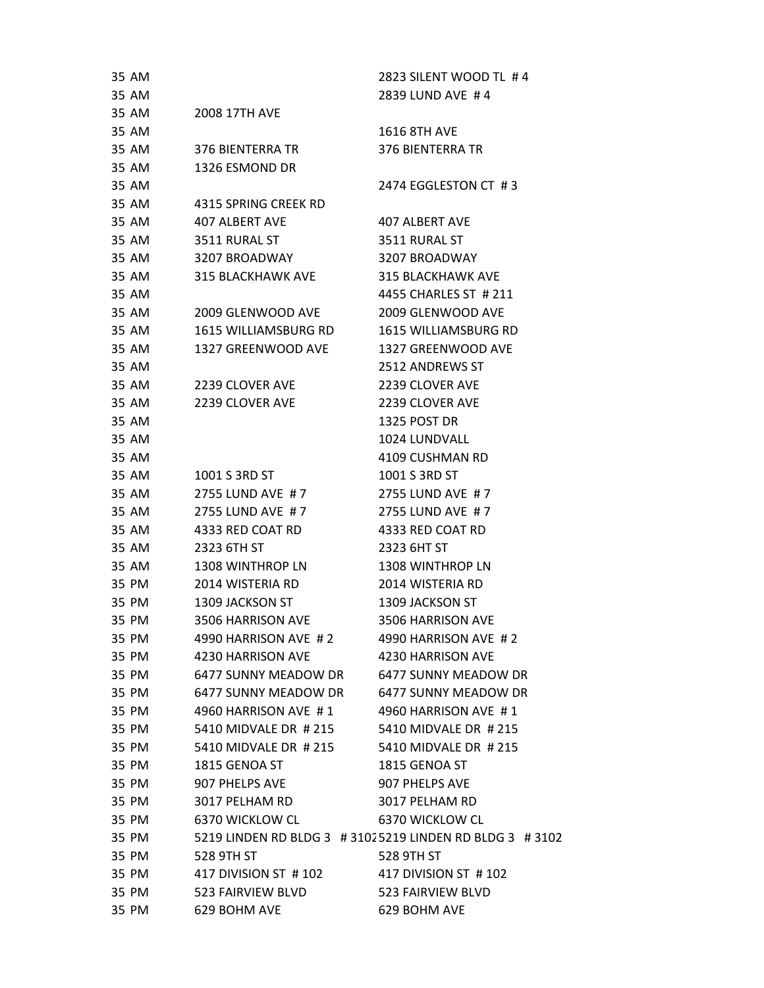| 35 AM |                                           | 2823 SILENT WOOD TL #4                                   |
|-------|-------------------------------------------|----------------------------------------------------------|
| 35 AM |                                           | 2839 LUND AVE #4                                         |
| 35 AM | <b>2008 17TH AVE</b>                      |                                                          |
| 35 AM |                                           | <b>1616 8TH AVE</b>                                      |
| 35 AM | 376 BIENTERRA TR                          | 376 BIENTERRA TR                                         |
| 35 AM | 1326 ESMOND DR                            |                                                          |
| 35 AM |                                           | 2474 EGGLESTON CT #3                                     |
| 35 AM | 4315 SPRING CREEK RD                      |                                                          |
| 35 AM | <b>407 ALBERT AVE</b>                     | <b>407 ALBERT AVE</b>                                    |
| 35 AM | 3511 RURAL ST                             | 3511 RURAL ST                                            |
| 35 AM | 3207 BROADWAY                             | 3207 BROADWAY                                            |
| 35 AM | 315 BLACKHAWK AVE                         | 315 BLACKHAWK AVE                                        |
| 35 AM |                                           | 4455 CHARLES ST # 211                                    |
| 35 AM | 2009 GLENWOOD AVE                         | 2009 GLENWOOD AVE                                        |
| 35 AM | <b>1615 WILLIAMSBURG RD</b>               | <b>1615 WILLIAMSBURG RD</b>                              |
| 35 AM | 1327 GREENWOOD AVE                        | 1327 GREENWOOD AVE                                       |
| 35 AM |                                           | 2512 ANDREWS ST                                          |
| 35 AM | 2239 CLOVER AVE                           | 2239 CLOVER AVE                                          |
| 35 AM | 2239 CLOVER AVE                           | 2239 CLOVER AVE                                          |
| 35 AM |                                           | 1325 POST DR                                             |
| 35 AM |                                           | 1024 LUNDVALL                                            |
| 35 AM |                                           | 4109 CUSHMAN RD                                          |
| 35 AM | 1001 S 3RD ST                             | 1001 S 3RD ST                                            |
| 35 AM | 2755 LUND AVE #7                          | 2755 LUND AVE #7                                         |
| 35 AM | 2755 LUND AVE #7                          | 2755 LUND AVE #7                                         |
| 35 AM | 4333 RED COAT RD                          | 4333 RED COAT RD                                         |
| 35 AM | 2323 6TH ST                               | 2323 6HT ST                                              |
| 35 AM | 1308 WINTHROP LN                          | <b>1308 WINTHROP LN</b>                                  |
| 35 PM | 2014 WISTERIA RD                          | 2014 WISTERIA RD                                         |
| 35 PM | 1309 JACKSON ST                           | 1309 JACKSON ST                                          |
| 35 PM | 3506 HARRISON AVE                         | 3506 HARRISON AVE                                        |
| 35 PM | 4990 HARRISON AVE #2                      | 4990 HARRISON AVE #2                                     |
| 35 PM | 4230 HARRISON AVE                         | 4230 HARRISON AVE                                        |
| 35 PM | 6477 SUNNY MEADOW DR                      | 6477 SUNNY MEADOW DR                                     |
| 35 PM | 6477 SUNNY MEADOW DR 6477 SUNNY MEADOW DR |                                                          |
| 35 PM | 4960 HARRISON AVE #1                      | 4960 HARRISON AVE #1                                     |
| 35 PM | 5410 MIDVALE DR # 215                     | 5410 MIDVALE DR # 215                                    |
| 35 PM | 5410 MIDVALE DR # 215                     | 5410 MIDVALE DR # 215                                    |
| 35 PM | 1815 GENOA ST                             | 1815 GENOA ST                                            |
| 35 PM | 907 PHELPS AVE                            | 907 PHELPS AVE                                           |
| 35 PM | 3017 PELHAM RD                            | 3017 PELHAM RD                                           |
| 35 PM | 6370 WICKLOW CL                           | 6370 WICKLOW CL                                          |
| 35 PM |                                           | 5219 LINDEN RD BLDG 3 # 31025219 LINDEN RD BLDG 3 # 3102 |
| 35 PM | 528 9TH ST                                | 528 9TH ST                                               |
| 35 PM | 417 DIVISION ST # 102                     | 417 DIVISION ST #102                                     |
| 35 PM | 523 FAIRVIEW BLVD                         | 523 FAIRVIEW BLVD                                        |
| 35 PM | 629 BOHM AVE                              | 629 BOHM AVE                                             |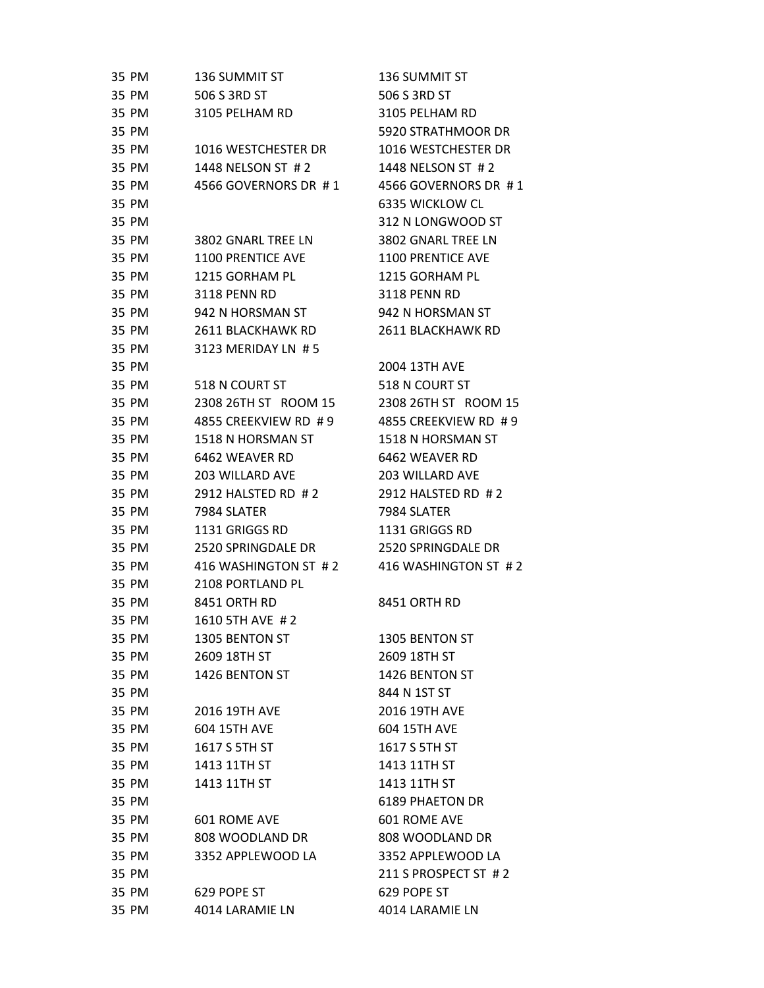| 35 PM | 136 SUMMIT ST          | 136 SUMMIT ST          |
|-------|------------------------|------------------------|
| 35 PM | 506 S 3RD ST           | 506 S 3RD ST           |
| 35 PM | 3105 PELHAM RD         | 3105 PELHAM RD         |
| 35 PM |                        | 5920 STRATHMOOR DR     |
| 35 PM | 1016 WESTCHESTER DR    | 1016 WESTCHESTER DR    |
| 35 PM | 1448 NELSON ST #2      | 1448 NELSON ST #2      |
| 35 PM | 4566 GOVERNORS DR #1   | 4566 GOVERNORS DR #1   |
| 35 PM |                        | 6335 WICKLOW CL        |
| 35 PM |                        | 312 N LONGWOOD ST      |
| 35 PM | 3802 GNARL TREE LN     | 3802 GNARL TREE LN     |
| 35 PM | 1100 PRENTICE AVE      | 1100 PRENTICE AVE      |
| 35 PM | 1215 GORHAM PL         | 1215 GORHAM PL         |
| 35 PM | 3118 PENN RD           | <b>3118 PENN RD</b>    |
| 35 PM | 942 N HORSMAN ST       | 942 N HORSMAN ST       |
| 35 PM | 2611 BLACKHAWK RD      | 2611 BLACKHAWK RD      |
| 35 PM | 3123 MERIDAY LN #5     |                        |
| 35 PM |                        | 2004 13TH AVE          |
| 35 PM | 518 N COURT ST         | 518 N COURT ST         |
| 35 PM | 2308 26TH ST ROOM 15   | 2308 26TH ST ROOM 15   |
| 35 PM | 4855 CREEKVIEW RD #9   | 4855 CREEKVIEW RD #9   |
| 35 PM | 1518 N HORSMAN ST      | 1518 N HORSMAN ST      |
| 35 PM | 6462 WEAVER RD         | 6462 WEAVER RD         |
| 35 PM | <b>203 WILLARD AVE</b> | 203 WILLARD AVE        |
| 35 PM | 2912 HALSTED RD #2     | 2912 HALSTED RD #2     |
| 35 PM | 7984 SLATER            | 7984 SLATER            |
| 35 PM | 1131 GRIGGS RD         | 1131 GRIGGS RD         |
| 35 PM | 2520 SPRINGDALE DR     | 2520 SPRINGDALE DR     |
| 35 PM | 416 WASHINGTON ST #2   | 416 WASHINGTON ST #2   |
| 35 PM | 2108 PORTLAND PL       |                        |
| 35 PM | <b>8451 ORTH RD</b>    | <b>8451 ORTH RD</b>    |
| 35 PM | 1610 5TH AVE #2        |                        |
| 35 PM | 1305 BENTON ST         | 1305 BENTON ST         |
| 35 PM | 2609 18TH ST           | 2609 18TH ST           |
| 35 PM | 1426 BENTON ST         | 1426 BENTON ST         |
| 35 PM |                        | 844 N 1ST ST           |
| 35 PM | 2016 19TH AVE          | 2016 19TH AVE          |
| 35 PM | 604 15TH AVE           | 604 15TH AVE           |
| 35 PM | 1617 S 5TH ST          | 1617 S 5TH ST          |
| 35 PM | 1413 11TH ST           | 1413 11TH ST           |
| 35 PM | 1413 11TH ST           | 1413 11TH ST           |
| 35 PM |                        | <b>6189 PHAETON DR</b> |
| 35 PM | 601 ROME AVE           | 601 ROME AVE           |
| 35 PM | 808 WOODLAND DR        | 808 WOODLAND DR        |
| 35 PM | 3352 APPLEWOOD LA      | 3352 APPLEWOOD LA      |
| 35 PM |                        | 211 S PROSPECT ST #2   |
| 35 PM | 629 POPE ST            | 629 POPE ST            |
| 35 PM | 4014 LARAMIE LN        | 4014 LARAMIE LN        |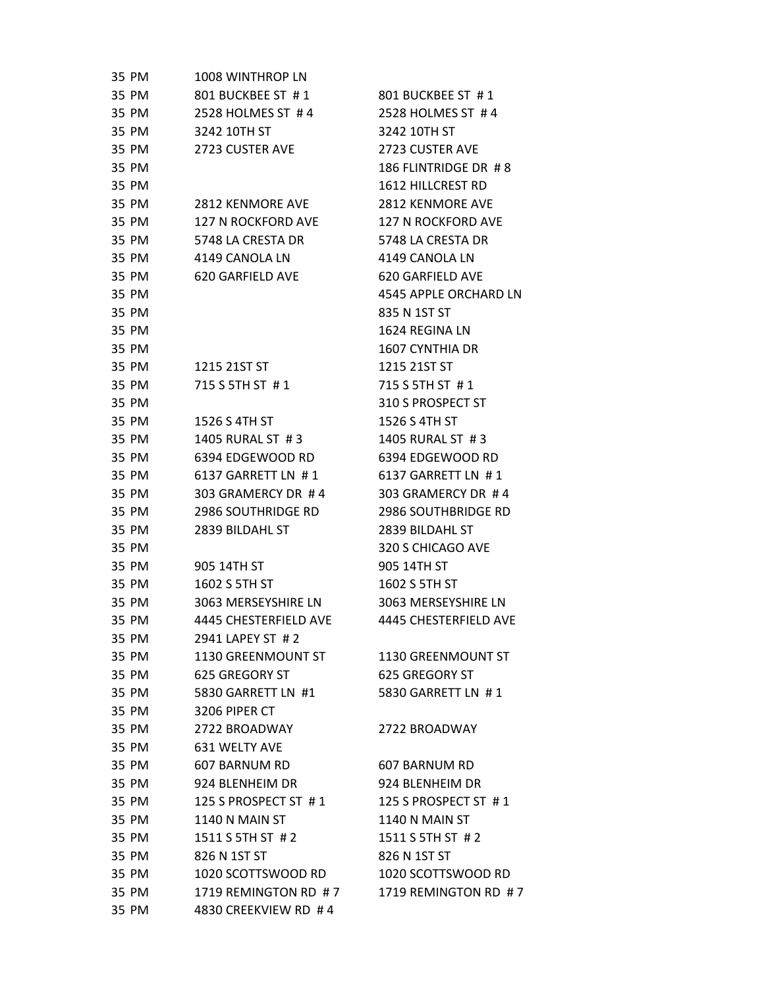| 35 PM | 1008 WINTHROP LN          |                           |
|-------|---------------------------|---------------------------|
| 35 PM | 801 BUCKBEE ST #1         | 801 BUCKBEE ST #1         |
| 35 PM | 2528 HOLMES ST #4         | 2528 HOLMES ST #4         |
| 35 PM | 3242 10TH ST              | 3242 10TH ST              |
| 35 PM | 2723 CUSTER AVE           | 2723 CUSTER AVE           |
| 35 PM |                           | 186 FLINTRIDGE DR #8      |
| 35 PM |                           | 1612 HILLCREST RD         |
| 35 PM | <b>2812 KENMORE AVE</b>   | 2812 KENMORE AVE          |
| 35 PM | <b>127 N ROCKFORD AVE</b> | <b>127 N ROCKFORD AVE</b> |
| 35 PM | 5748 LA CRESTA DR         | 5748 LA CRESTA DR         |
| 35 PM | 4149 CANOLA LN            | 4149 CANOLA LN            |
| 35 PM | 620 GARFIELD AVE          | 620 GARFIELD AVE          |
| 35 PM |                           | 4545 APPLE ORCHARD LN     |
| 35 PM |                           | 835 N 1ST ST              |
| 35 PM |                           | 1624 REGINA LN            |
| 35 PM |                           | 1607 CYNTHIA DR           |
| 35 PM | 1215 21ST ST              | 1215 21ST ST              |
| 35 PM | 715 S 5TH ST #1           | 715 S 5TH ST #1           |
| 35 PM |                           | 310 S PROSPECT ST         |
| 35 PM | 1526 S 4TH ST             | 1526 S 4TH ST             |
| 35 PM | 1405 RURAL ST #3          | 1405 RURAL ST #3          |
| 35 PM | 6394 EDGEWOOD RD          | 6394 EDGEWOOD RD          |
| 35 PM | 6137 GARRETT LN #1        | 6137 GARRETT LN #1        |
| 35 PM | 303 GRAMERCY DR #4        | 303 GRAMERCY DR #4        |
| 35 PM | 2986 SOUTHRIDGE RD        | 2986 SOUTHBRIDGE RD       |
| 35 PM | 2839 BILDAHL ST           | 2839 BILDAHL ST           |
| 35 PM |                           | 320 S CHICAGO AVE         |
| 35 PM | 905 14TH ST               | 905 14TH ST               |
| 35 PM | 1602 S 5TH ST             | 1602 S 5TH ST             |
| 35 PM | 3063 MERSEYSHIRE LN       | 3063 MERSEYSHIRE LN       |
| 35 PM | 4445 CHESTERFIELD AVE     | 4445 CHESTERFIELD AVE     |
| 35 PM | 2941 LAPEY ST #2          |                           |
| 35 PM | 1130 GREENMOUNT ST        | 1130 GREENMOUNT ST        |
| 35 PM | 625 GREGORY ST            | 625 GREGORY ST            |
| 35 PM | 5830 GARRETT LN #1        | 5830 GARRETT LN #1        |
| 35 PM | 3206 PIPER CT             |                           |
| 35 PM | 2722 BROADWAY             | 2722 BROADWAY             |
| 35 PM | 631 WELTY AVE             |                           |
| 35 PM | 607 BARNUM RD             | 607 BARNUM RD             |
| 35 PM | 924 BLENHEIM DR           | 924 BLENHEIM DR           |
| 35 PM | 125 S PROSPECT ST #1      | 125 S PROSPECT ST #1      |
| 35 PM | <b>1140 N MAIN ST</b>     | 1140 N MAIN ST            |
| 35 PM | 1511 S 5TH ST # 2         | 1511 S 5TH ST # 2         |
| 35 PM | 826 N 1ST ST              | 826 N 1ST ST              |
| 35 PM | 1020 SCOTTSWOOD RD        | 1020 SCOTTSWOOD RD        |
| 35 PM | 1719 REMINGTON RD #7      | 1719 REMINGTON RD #7      |
| 35 PM | 4830 CREEKVIEW RD #4      |                           |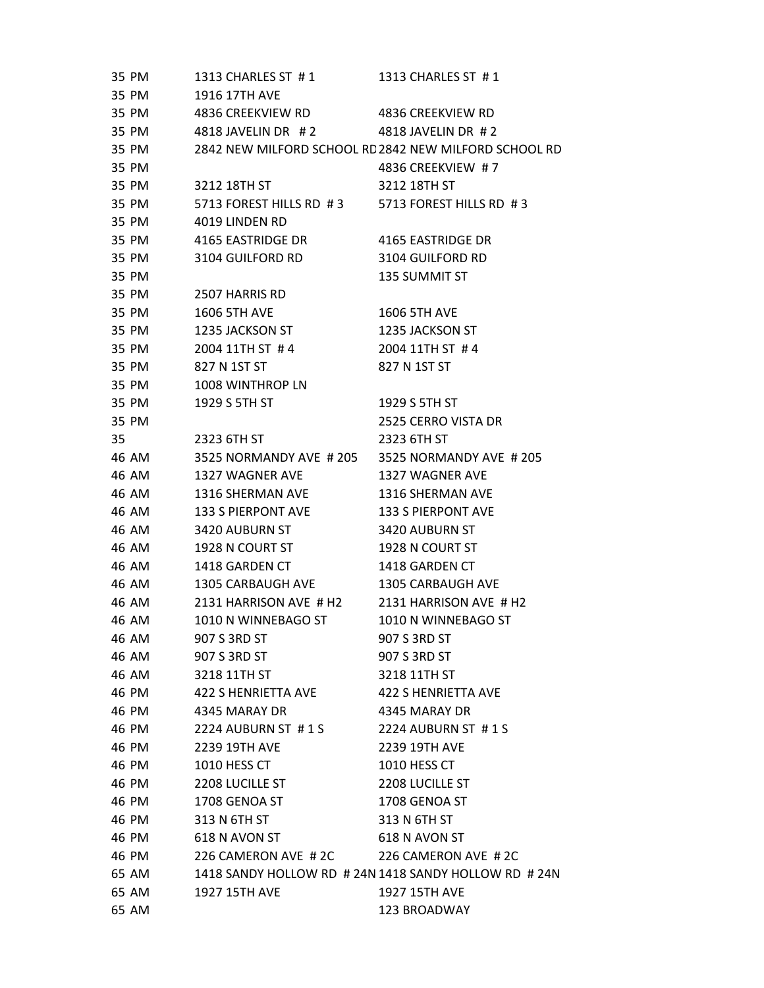|    | 35 PM | 1313 CHARLES ST #1      | 1313 CHARLES ST #1                                    |
|----|-------|-------------------------|-------------------------------------------------------|
|    | 35 PM | 1916 17TH AVE           |                                                       |
|    | 35 PM | 4836 CREEKVIEW RD       | 4836 CREEKVIEW RD                                     |
|    | 35 PM | 4818 JAVELIN DR #2      | 4818 JAVELIN DR #2                                    |
|    | 35 PM |                         | 2842 NEW MILFORD SCHOOL RD 2842 NEW MILFORD SCHOOL RD |
|    | 35 PM |                         | 4836 CREEKVIEW #7                                     |
|    | 35 PM | 3212 18TH ST            | 3212 18TH ST                                          |
|    | 35 PM | 5713 FOREST HILLS RD #3 | 5713 FOREST HILLS RD #3                               |
|    | 35 PM | 4019 LINDEN RD          |                                                       |
|    | 35 PM | 4165 EASTRIDGE DR       | 4165 EASTRIDGE DR                                     |
|    | 35 PM | 3104 GUILFORD RD        | 3104 GUILFORD RD                                      |
|    | 35 PM |                         | 135 SUMMIT ST                                         |
|    | 35 PM | 2507 HARRIS RD          |                                                       |
|    | 35 PM | <b>1606 5TH AVE</b>     | <b>1606 5TH AVE</b>                                   |
|    | 35 PM | 1235 JACKSON ST         | 1235 JACKSON ST                                       |
|    | 35 PM | 2004 11TH ST #4         | 2004 11TH ST #4                                       |
|    | 35 PM | 827 N 1ST ST            | 827 N 1ST ST                                          |
|    | 35 PM | 1008 WINTHROP LN        |                                                       |
|    | 35 PM | 1929 S 5TH ST           | 1929 S 5TH ST                                         |
|    | 35 PM |                         | 2525 CERRO VISTA DR                                   |
| 35 |       | 2323 6TH ST             | 2323 6TH ST                                           |
|    | 46 AM | 3525 NORMANDY AVE # 205 | 3525 NORMANDY AVE #205                                |
|    | 46 AM | 1327 WAGNER AVE         | 1327 WAGNER AVE                                       |
|    | 46 AM | 1316 SHERMAN AVE        | 1316 SHERMAN AVE                                      |
|    | 46 AM | 133 S PIERPONT AVE      | 133 S PIERPONT AVE                                    |
|    | 46 AM | 3420 AUBURN ST          | 3420 AUBURN ST                                        |
|    | 46 AM | 1928 N COURT ST         | 1928 N COURT ST                                       |
|    | 46 AM | 1418 GARDEN CT          | 1418 GARDEN CT                                        |
|    | 46 AM | 1305 CARBAUGH AVE       | 1305 CARBAUGH AVE                                     |
|    | 46 AM | 2131 HARRISON AVE # H2  | 2131 HARRISON AVE # H2                                |
|    | 46 AM | 1010 N WINNEBAGO ST     | 1010 N WINNEBAGO ST                                   |
|    | 46 AM | 907 S 3RD ST            | 907 S 3RD ST                                          |
|    | 46 AM | 907 S 3RD ST            | 907 S 3RD ST                                          |
|    | 46 AM | 3218 11TH ST            | 3218 11TH ST                                          |
|    | 46 PM | 422 S HENRIETTA AVE     | 422 S HENRIETTA AVE                                   |
|    | 46 PM | 4345 MARAY DR           | 4345 MARAY DR                                         |
|    | 46 PM | 2224 AUBURN ST #1S      | 2224 AUBURN ST #1S                                    |
|    | 46 PM | 2239 19TH AVE           | 2239 19TH AVE                                         |
|    | 46 PM | 1010 HESS CT            | 1010 HESS CT                                          |
|    | 46 PM | 2208 LUCILLE ST         | 2208 LUCILLE ST                                       |
|    | 46 PM | 1708 GENOA ST           | 1708 GENOA ST                                         |
|    | 46 PM | 313 N 6TH ST            | 313 N 6TH ST                                          |
|    | 46 PM | 618 N AVON ST           | 618 N AVON ST                                         |
|    | 46 PM | 226 CAMERON AVE #2C     | 226 CAMERON AVE #2C                                   |
|    | 65 AM |                         | 1418 SANDY HOLLOW RD # 24N 1418 SANDY HOLLOW RD # 24N |
|    | 65 AM | 1927 15TH AVE           | 1927 15TH AVE                                         |
|    | 65 AM |                         | 123 BROADWAY                                          |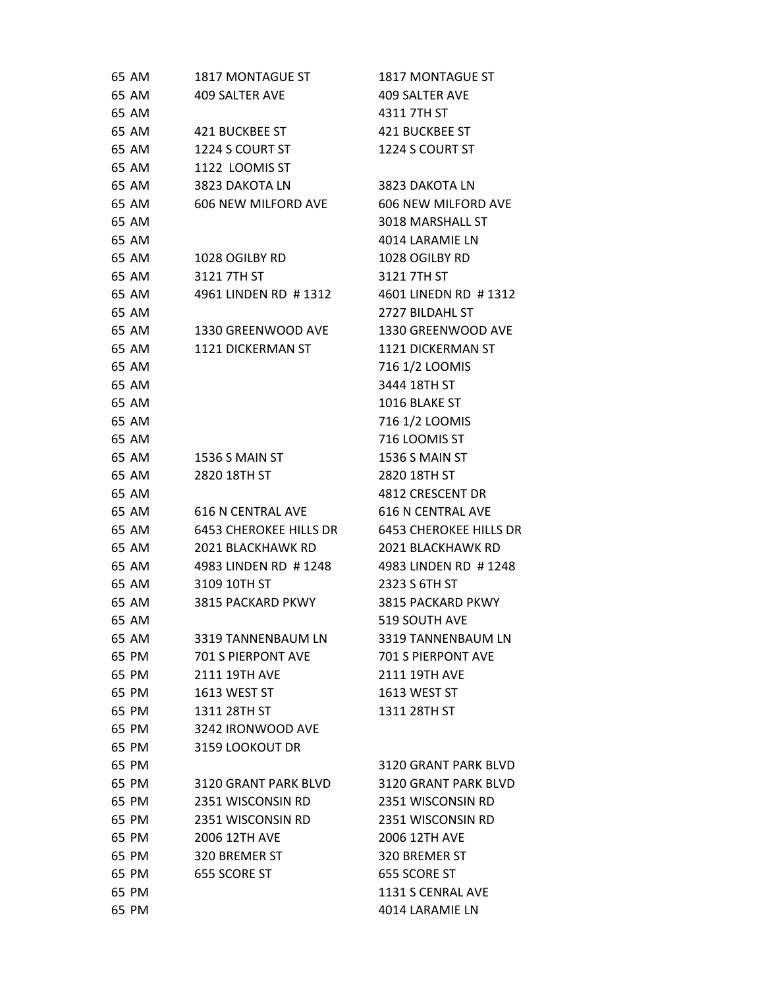| 65 AM | 1817 MONTAGUE ST         | 1817 MONTAGUE ST              |
|-------|--------------------------|-------------------------------|
| 65 AM | 409 SALTER AVE           | <b>409 SALTER AVE</b>         |
| 65 AM |                          | 4311 7TH ST                   |
| 65 AM | 421 BUCKBEE ST           | 421 BUCKBEE ST                |
| 65 AM | 1224 S COURT ST          | 1224 S COURT ST               |
| 65 AM | 1122 LOOMIS ST           |                               |
| 65 AM | 3823 DAKOTA LN           | 3823 DAKOTA LN                |
| 65 AM | 606 NEW MILFORD AVE      | 606 NEW MILFORD AVE           |
| 65 AM |                          | 3018 MARSHALL ST              |
| 65 AM |                          | 4014 LARAMIE LN               |
| 65 AM | 1028 OGILBY RD           | 1028 OGILBY RD                |
| 65 AM | 3121 7TH ST              | 3121 7TH ST                   |
| 65 AM | 4961 LINDEN RD #1312     | 4601 LINEDN RD #1312          |
| 65 AM |                          | 2727 BILDAHL ST               |
| 65 AM | 1330 GREENWOOD AVE       | 1330 GREENWOOD AVE            |
| 65 AM | 1121 DICKERMAN ST        | 1121 DICKERMAN ST             |
| 65 AM |                          | 716 1/2 LOOMIS                |
| 65 AM |                          | 3444 18TH ST                  |
| 65 AM |                          | 1016 BLAKE ST                 |
| 65 AM |                          | 716 1/2 LOOMIS                |
| 65 AM |                          | 716 LOOMIS ST                 |
| 65 AM | 1536 S MAIN ST           | 1536 S MAIN ST                |
| 65 AM | 2820 18TH ST             | 2820 18TH ST                  |
| 65 AM |                          | 4812 CRESCENT DR              |
| 65 AM | <b>616 N CENTRAL AVE</b> | <b>616 N CENTRAL AVE</b>      |
| 65 AM | 6453 CHEROKEE HILLS DR   | <b>6453 CHEROKEE HILLS DR</b> |
| 65 AM | 2021 BLACKHAWK RD        | 2021 BLACKHAWK RD             |
| 65 AM | 4983 LINDEN RD #1248     | 4983 LINDEN RD #1248          |
| 65 AM | 3109 10TH ST             | 2323 S 6TH ST                 |
| 65 AM | 3815 PACKARD PKWY        | 3815 PACKARD PKWY             |
| 65 AM |                          | 519 SOUTH AVE                 |
| 65 AM | 3319 TANNENBAUM LN       | 3319 TANNENBAUM LN            |
| 65 PM | 701 S PIERPONT AVE       | <b>701 S PIERPONT AVE</b>     |
| 65 PM | 2111 19TH AVE            | 2111 19TH AVE                 |
| 65 PM | 1613 WEST ST             | 1613 WEST ST                  |
| 65 PM | 1311 28TH ST             | 1311 28TH ST                  |
| 65 PM | 3242 IRONWOOD AVE        |                               |
| 65 PM | 3159 LOOKOUT DR          |                               |
| 65 PM |                          | 3120 GRANT PARK BLVD          |
| 65 PM | 3120 GRANT PARK BLVD     | 3120 GRANT PARK BLVD          |
| 65 PM | 2351 WISCONSIN RD        | 2351 WISCONSIN RD             |
| 65 PM | 2351 WISCONSIN RD        | 2351 WISCONSIN RD             |
| 65 PM | 2006 12TH AVE            | 2006 12TH AVE                 |
| 65 PM | 320 BREMER ST            | 320 BREMER ST                 |
| 65 PM | 655 SCORE ST             | 655 SCORE ST                  |
| 65 PM |                          | 1131 S CENRAL AVE             |
| 65 PM |                          | 4014 LARAMIE LN               |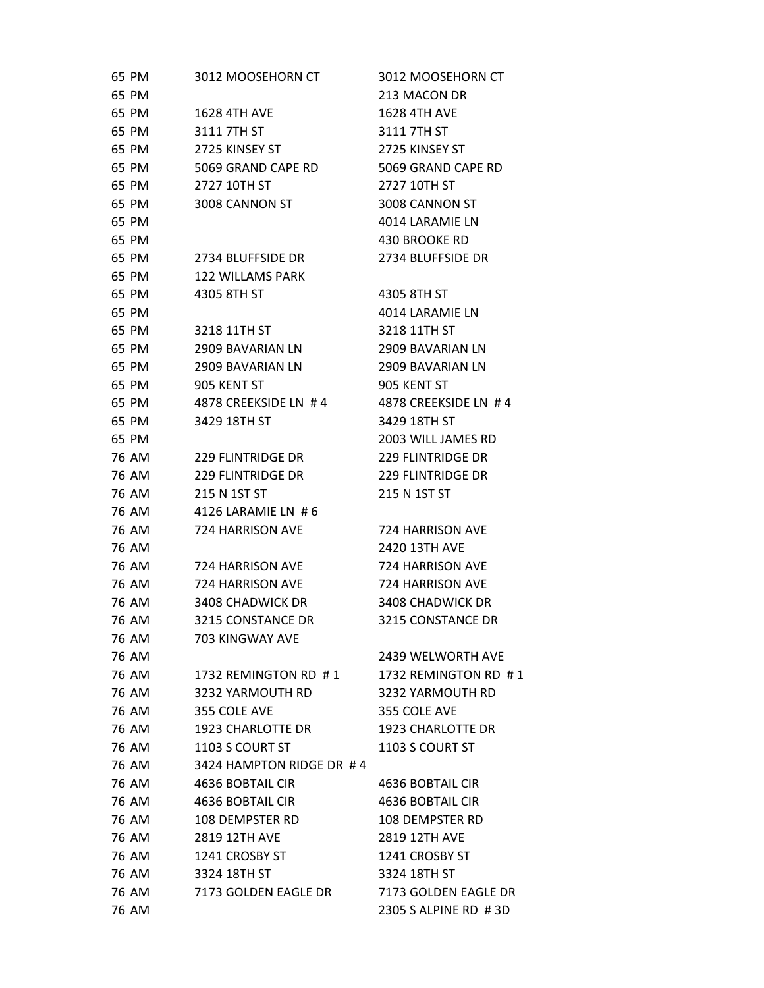| 65 PM          | 3012 MOOSEHORN CT        | 3012 MOOSEHORN CT                             |
|----------------|--------------------------|-----------------------------------------------|
| 65 PM          |                          | 213 MACON DR                                  |
| 65 PM          | <b>1628 4TH AVE</b>      | <b>1628 4TH AVE</b>                           |
| 65 PM          | 3111 7TH ST              | 3111 7TH ST                                   |
| 65 PM          | 2725 KINSEY ST           | 2725 KINSEY ST                                |
| 65 PM          | 5069 GRAND CAPE RD       | 5069 GRAND CAPE RD                            |
| 65 PM          | 2727 10TH ST             | 2727 10TH ST                                  |
| 65 PM          | 3008 CANNON ST           | 3008 CANNON ST                                |
| 65 PM          |                          | 4014 LARAMIE LN                               |
| 65 PM          |                          | 430 BROOKE RD                                 |
| 65 PM          | 2734 BLUFFSIDE DR        | 2734 BLUFFSIDE DR                             |
| 65 PM          | <b>122 WILLAMS PARK</b>  |                                               |
| 65 PM          | 4305 8TH ST              | 4305 8TH ST                                   |
| 65 PM          |                          | 4014 LARAMIE LN                               |
| 65 PM          | 3218 11TH ST             | 3218 11TH ST                                  |
| 65 PM          | 2909 BAVARIAN LN         | 2909 BAVARIAN LN                              |
| 65 PM          | 2909 BAVARIAN LN         | 2909 BAVARIAN LN                              |
| 65 PM          | 905 KENT ST              | 905 KENT ST                                   |
| 65 PM          | 4878 CREEKSIDE LN #4     | 4878 CREEKSIDE LN #4                          |
| 65 PM          | 3429 18TH ST             | 3429 18TH ST                                  |
| 65 PM          |                          | 2003 WILL JAMES RD                            |
| 76 AM          | <b>229 FLINTRIDGE DR</b> | <b>229 FLINTRIDGE DR</b>                      |
| 76 AM          | <b>229 FLINTRIDGE DR</b> | 229 FLINTRIDGE DR                             |
| 76 AM          | 215 N 1ST ST             | 215 N 1ST ST                                  |
| 76 AM          | 4126 LARAMIE LN #6       |                                               |
| 76 AM          | 724 HARRISON AVE         | 724 HARRISON AVE                              |
| 76 AM          |                          | 2420 13TH AVE                                 |
| 76 AM          | 724 HARRISON AVE         | 724 HARRISON AVE                              |
| 76 AM          | 724 HARRISON AVE         | 724 HARRISON AVE                              |
| 76 AM          | 3408 CHADWICK DR         | 3408 CHADWICK DR                              |
| 76 AM          | 3215 CONSTANCE DR        | 3215 CONSTANCE DR                             |
| 76 AM          | 703 KINGWAY AVE          |                                               |
| 76 AM          |                          | 2439 WELWORTH AVE                             |
| 76 AM          | 1732 REMINGTON RD #1     | 1732 REMINGTON RD #1                          |
| 76 AM          | 3232 YARMOUTH RD         | 3232 YARMOUTH RD                              |
| 76 AM          | 355 COLE AVE             | 355 COLE AVE                                  |
| 76 AM          | 1923 CHARLOTTE DR        | 1923 CHARLOTTE DR                             |
| 76 AM          | 1103 S COURT ST          | 1103 S COURT ST                               |
| 76 AM          | 3424 HAMPTON RIDGE DR #4 |                                               |
| 76 AM          | 4636 BOBTAIL CIR         | 4636 BOBTAIL CIR                              |
| 76 AM          | 4636 BOBTAIL CIR         | 4636 BOBTAIL CIR                              |
| 76 AM          | 108 DEMPSTER RD          | 108 DEMPSTER RD                               |
| 76 AM          | 2819 12TH AVE            | 2819 12TH AVE                                 |
| 76 AM          | 1241 CROSBY ST           | 1241 CROSBY ST                                |
| 76 AM          | 3324 18TH ST             | 3324 18TH ST                                  |
| 76 AM<br>76 AM | 7173 GOLDEN EAGLE DR     | 7173 GOLDEN EAGLE DR<br>2305 S ALPINE RD # 3D |
|                |                          |                                               |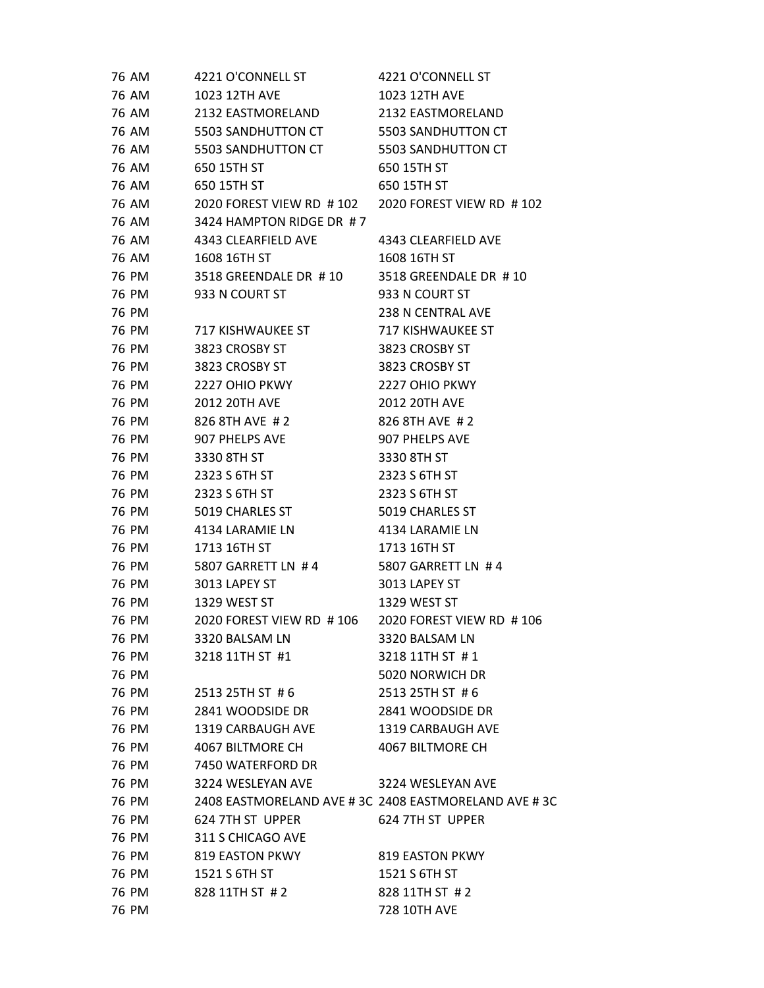| 76 AM | 4221 O'CONNELL ST                                   | 4221 O'CONNELL ST                                     |
|-------|-----------------------------------------------------|-------------------------------------------------------|
| 76 AM | 1023 12TH AVE                                       | <b>1023 12TH AVE</b>                                  |
| 76 AM | 2132 EASTMORELAND                                   | 2132 EASTMORELAND                                     |
| 76 AM | 5503 SANDHUTTON CT                                  | 5503 SANDHUTTON CT                                    |
| 76 AM | 5503 SANDHUTTON CT 5503 SANDHUTTON CT               |                                                       |
| 76 AM | 650 15TH ST                                         | 650 15TH ST                                           |
| 76 AM | 650 15TH ST                                         | 650 15TH ST                                           |
| 76 AM | 2020 FOREST VIEW RD # 102 2020 FOREST VIEW RD # 102 |                                                       |
| 76 AM | 3424 HAMPTON RIDGE DR #7                            |                                                       |
| 76 AM | 4343 CLEARFIELD AVE                                 | 4343 CLEARFIELD AVE                                   |
| 76 AM | 1608 16TH ST                                        | 1608 16TH ST                                          |
| 76 PM | 3518 GREENDALE DR #10 3518 GREENDALE DR #10         |                                                       |
| 76 PM | 933 N COURT ST                                      | 933 N COURT ST                                        |
| 76 PM |                                                     | 238 N CENTRAL AVE                                     |
| 76 PM | 717 KISHWAUKEE ST                                   | 717 KISHWAUKEE ST                                     |
| 76 PM | 3823 CROSBY ST                                      | 3823 CROSBY ST                                        |
| 76 PM | 3823 CROSBY ST                                      | 3823 CROSBY ST                                        |
| 76 PM | 2227 OHIO PKWY                                      | 2227 OHIO PKWY                                        |
| 76 PM | 2012 20TH AVE                                       | <b>2012 20TH AVE</b>                                  |
| 76 PM | 826 8TH AVE #2                                      | 826 8TH AVE #2                                        |
| 76 PM | 907 PHELPS AVE                                      | 907 PHELPS AVE                                        |
| 76 PM | 3330 8TH ST                                         | 3330 8TH ST                                           |
| 76 PM | 2323 S 6TH ST                                       | 2323 S 6TH ST                                         |
| 76 PM | 2323 S 6TH ST                                       | 2323 S 6TH ST                                         |
| 76 PM | 5019 CHARLES ST                                     | 5019 CHARLES ST                                       |
| 76 PM | 4134 LARAMIE LN                                     | 4134 LARAMIE LN                                       |
| 76 PM | 1713 16TH ST                                        | 1713 16TH ST                                          |
| 76 PM | 5807 GARRETT LN #4                                  | 5807 GARRETT LN #4                                    |
| 76 PM | 3013 LAPEY ST                                       | 3013 LAPEY ST                                         |
| 76 PM | 1329 WEST ST                                        | 1329 WEST ST                                          |
| 76 PM | 2020 FOREST VIEW RD #106 2020 FOREST VIEW RD #106   |                                                       |
| 76 PM | 3320 BALSAM LN                                      | 3320 BALSAM LN                                        |
| 76 PM | 3218 11TH ST #1                                     | 3218 11TH ST #1                                       |
| 76 PM |                                                     | 5020 NORWICH DR                                       |
| 76 PM | 2513 25TH ST #6                                     | 2513 25TH ST #6                                       |
| 76 PM | 2841 WOODSIDE DR                                    | 2841 WOODSIDE DR                                      |
| 76 PM | 1319 CARBAUGH AVE                                   | 1319 CARBAUGH AVE                                     |
| 76 PM | 4067 BILTMORE CH                                    | 4067 BILTMORE CH                                      |
| 76 PM | 7450 WATERFORD DR                                   |                                                       |
| 76 PM | 3224 WESLEYAN AVE                                   | 3224 WESLEYAN AVE                                     |
| 76 PM |                                                     | 2408 EASTMORELAND AVE # 3C 2408 EASTMORELAND AVE # 3C |
| 76 PM | 624 7TH ST UPPER                                    | 624 7TH ST UPPER                                      |
| 76 PM | 311 S CHICAGO AVE                                   |                                                       |
| 76 PM | 819 EASTON PKWY                                     | <b>819 EASTON PKWY</b>                                |
| 76 PM | 1521 S 6TH ST                                       | 1521 S 6TH ST                                         |
| 76 PM | 828 11TH ST #2                                      | 828 11TH ST #2                                        |
| 76 PM |                                                     | 728 10TH AVE                                          |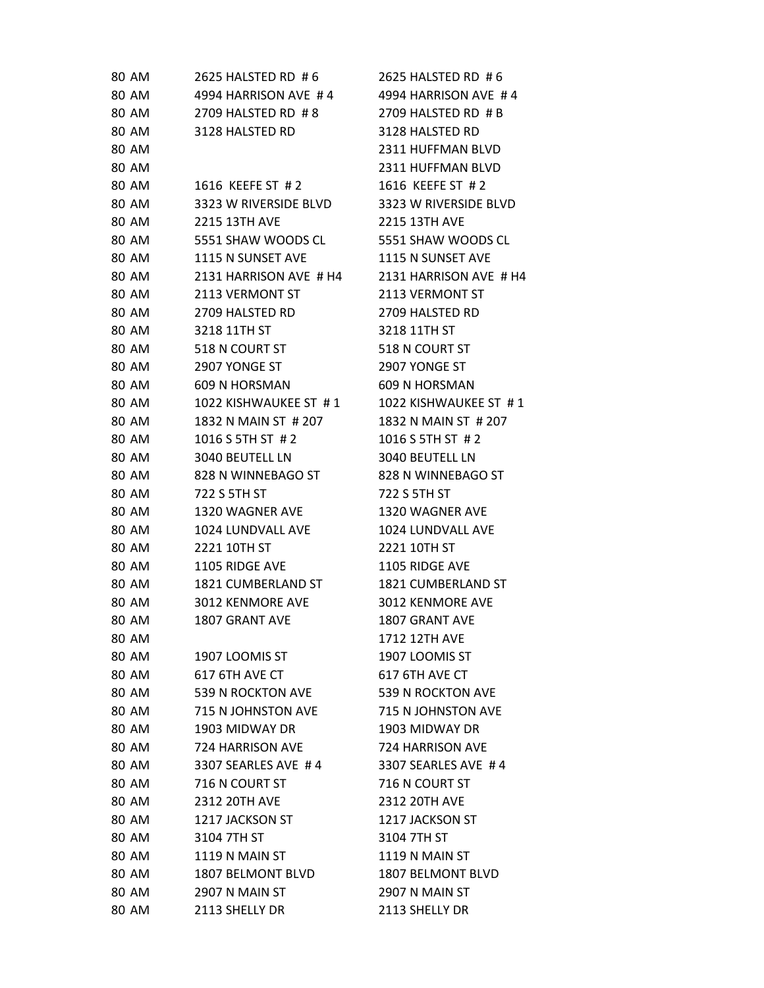| 80 AM        | 2625 HALSTED RD #6     | 2625 HALSTED RD #6     |
|--------------|------------------------|------------------------|
| 80 AM        | 4994 HARRISON AVE #4   | 4994 HARRISON AVE #4   |
| 80 AM        | 2709 HALSTED RD #8     | 2709 HALSTED RD # B    |
| 80 AM        | 3128 HALSTED RD        | 3128 HALSTED RD        |
| 80 AM        |                        | 2311 HUFFMAN BLVD      |
| 80 AM        |                        | 2311 HUFFMAN BLVD      |
| 80 AM        | 1616 KEEFE ST #2       | 1616 KEEFE ST #2       |
| 80 AM        | 3323 W RIVERSIDE BLVD  | 3323 W RIVERSIDE BLVD  |
| 80 AM        | 2215 13TH AVE          | 2215 13TH AVE          |
| 80 AM        | 5551 SHAW WOODS CL     | 5551 SHAW WOODS CL     |
| 80 AM        | 1115 N SUNSET AVE      | 1115 N SUNSET AVE      |
| 80 AM        | 2131 HARRISON AVE # H4 | 2131 HARRISON AVE # H4 |
| 80 AM        | 2113 VERMONT ST        | 2113 VERMONT ST        |
| 80 AM        | 2709 HALSTED RD        | 2709 HALSTED RD        |
| 80 AM        | 3218 11TH ST           | 3218 11TH ST           |
| 80 AM        | 518 N COURT ST         | 518 N COURT ST         |
| 80 AM        | 2907 YONGE ST          | 2907 YONGE ST          |
| 80 AM        | 609 N HORSMAN          | 609 N HORSMAN          |
| 80 AM        | 1022 KISHWAUKEE ST #1  | 1022 KISHWAUKEE ST #1  |
| 80 AM        | 1832 N MAIN ST # 207   | 1832 N MAIN ST # 207   |
| 80 AM        | 1016 S 5TH ST # 2      | 1016 S 5TH ST # 2      |
| 80 AM        | 3040 BEUTELL LN        | 3040 BEUTELL LN        |
| <b>80 AM</b> | 828 N WINNEBAGO ST     | 828 N WINNEBAGO ST     |
| 80 AM        | 722 S 5TH ST           | 722 S 5TH ST           |
| 80 AM        | 1320 WAGNER AVE        | 1320 WAGNER AVE        |
| 80 AM        | 1024 LUNDVALL AVE      | 1024 LUNDVALL AVE      |
| 80 AM        | 2221 10TH ST           | 2221 10TH ST           |
| 80 AM        | 1105 RIDGE AVE         | 1105 RIDGE AVE         |
| 80 AM        | 1821 CUMBERLAND ST     | 1821 CUMBERLAND ST     |
| 80 AM        | 3012 KENMORE AVE       | 3012 KENMORE AVE       |
| <b>80 AM</b> | <b>1807 GRANT AVE</b>  | 1807 GRANT AVE         |
| 80 AM        |                        | 1712 12TH AVE          |
| 80 AM        | 1907 LOOMIS ST         | 1907 LOOMIS ST         |
| 80 AM        | 617 6TH AVE CT         | 617 6TH AVE CT         |
| <b>80 AM</b> | 539 N ROCKTON AVE      | 539 N ROCKTON AVE      |
| 80 AM        | 715 N JOHNSTON AVE     | 715 N JOHNSTON AVE     |
| 80 AM        | 1903 MIDWAY DR         | 1903 MIDWAY DR         |
| 80 AM        | 724 HARRISON AVE       | 724 HARRISON AVE       |
| 80 AM        | 3307 SEARLES AVE #4    | 3307 SEARLES AVE #4    |
| 80 AM        | 716 N COURT ST         | 716 N COURT ST         |
| 80 AM        | 2312 20TH AVE          | 2312 20TH AVE          |
| 80 AM        | 1217 JACKSON ST        | 1217 JACKSON ST        |
| 80 AM        | 3104 7TH ST            | 3104 7TH ST            |
| 80 AM        | 1119 N MAIN ST         | <b>1119 N MAIN ST</b>  |
| 80 AM        | 1807 BELMONT BLVD      | 1807 BELMONT BLVD      |
| 80 AM        | 2907 N MAIN ST         | <b>2907 N MAIN ST</b>  |
| 80 AM        | 2113 SHELLY DR         | 2113 SHELLY DR         |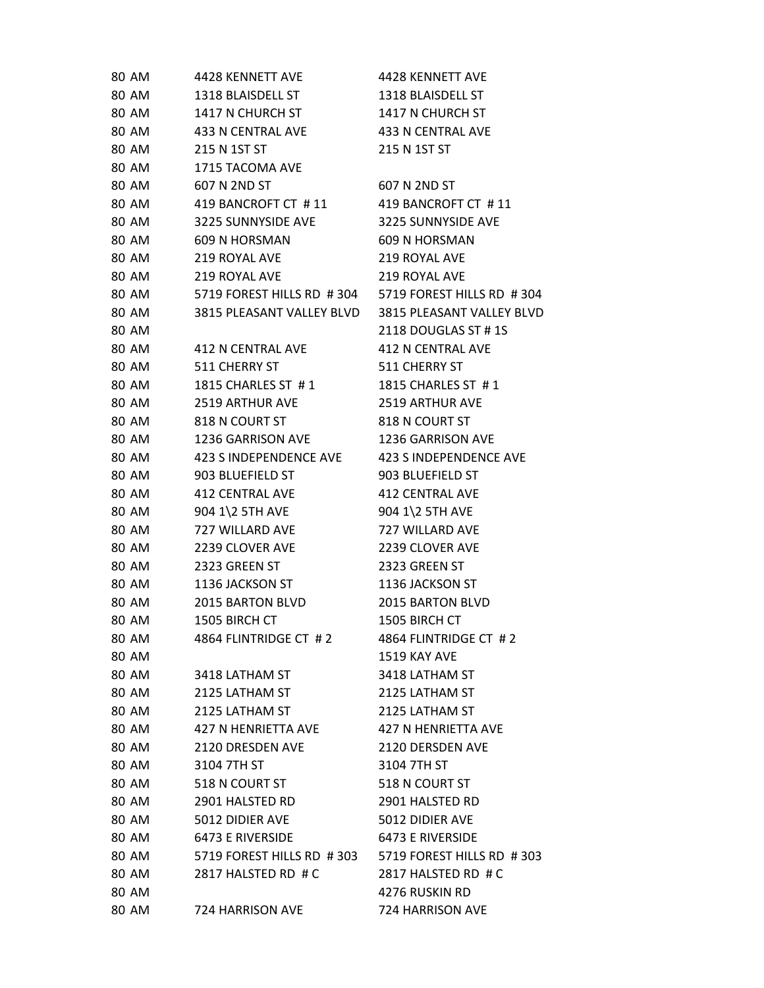| 80 AM<br>1318 BLAISDELL ST<br>1318 BLAISDELL ST<br>1417 N CHURCH ST<br>1417 N CHURCH ST<br>80 AM<br>80 AM<br>433 N CENTRAL AVE<br>433 N CENTRAL AVE<br>80 AM<br>215 N 1ST ST<br>215 N 1ST ST<br>80 AM<br>1715 TACOMA AVE<br>80 AM<br>607 N 2ND ST<br>607 N 2ND ST<br>80 AM<br>419 BANCROFT CT #11<br>419 BANCROFT CT #11<br>3225 SUNNYSIDE AVE<br>3225 SUNNYSIDE AVE<br>80 AM<br>80 AM<br>609 N HORSMAN<br>609 N HORSMAN<br>80 AM<br>219 ROYAL AVE<br>219 ROYAL AVE<br>80 AM<br>219 ROYAL AVE<br>219 ROYAL AVE<br>5719 FOREST HILLS RD #304 5719 FOREST HILLS RD #304<br>80 AM<br>80 AM<br>3815 PLEASANT VALLEY BLVD 3815 PLEASANT VALLEY BLVD<br>80 AM<br>2118 DOUGLAS ST #1S<br>80 AM<br>412 N CENTRAL AVE<br>412 N CENTRAL AVE<br>80 AM<br>511 CHERRY ST<br>511 CHERRY ST<br>80 AM<br>1815 CHARLES ST #1<br>1815 CHARLES ST #1<br>80 AM<br>2519 ARTHUR AVE<br><b>2519 ARTHUR AVE</b><br>80 AM<br>818 N COURT ST<br>818 N COURT ST<br>80 AM<br>1236 GARRISON AVE<br>1236 GARRISON AVE<br>80 AM<br>423 SINDEPENDENCE AVE 423 SINDEPENDENCE AVE<br>80 AM<br>903 BLUEFIELD ST<br>903 BLUEFIELD ST<br>80 AM<br>412 CENTRAL AVE<br><b>412 CENTRAL AVE</b><br>80 AM<br>904 1\2 5TH AVE<br>904 1\2 5TH AVE<br>80 AM<br>727 WILLARD AVE<br>727 WILLARD AVE<br>80 AM<br>2239 CLOVER AVE<br>2239 CLOVER AVE<br>80 AM<br>2323 GREEN ST<br>2323 GREEN ST<br>80 AM<br>1136 JACKSON ST<br>1136 JACKSON ST<br>80 AM<br>2015 BARTON BLVD<br>2015 BARTON BLVD<br>80 AM<br>1505 BIRCH CT<br>1505 BIRCH CT<br>4864 FLINTRIDGE CT #2<br>4864 FLINTRIDGE CT #2<br>80 AM<br>80 AM<br>1519 KAY AVE<br>80 AM<br>3418 LATHAM ST<br>3418 LATHAM ST<br>80 AM<br>2125 LATHAM ST<br>2125 LATHAM ST<br>80 AM<br>2125 LATHAM ST<br>2125 LATHAM ST<br>80 AM<br>427 N HENRIETTA AVE<br>427 N HENRIETTA AVE<br>80 AM<br>2120 DRESDEN AVE<br>2120 DERSDEN AVE<br>80 AM<br>3104 7TH ST<br>3104 7TH ST<br>80 AM<br>518 N COURT ST<br>518 N COURT ST<br>80 AM<br>2901 HALSTED RD<br>2901 HALSTED RD<br>80 AM<br>5012 DIDIER AVE<br>5012 DIDIER AVE<br>80 AM<br>6473 E RIVERSIDE<br>6473 E RIVERSIDE<br>80 AM<br>5719 FOREST HILLS RD #303 5719 FOREST HILLS RD #303<br>80 AM<br>2817 HALSTED RD # C<br>2817 HALSTED RD # C<br>80 AM<br>4276 RUSKIN RD<br>80 AM<br>724 HARRISON AVE<br>724 HARRISON AVE | 80 AM | 4428 KENNETT AVE | 4428 KENNETT AVE |
|--------------------------------------------------------------------------------------------------------------------------------------------------------------------------------------------------------------------------------------------------------------------------------------------------------------------------------------------------------------------------------------------------------------------------------------------------------------------------------------------------------------------------------------------------------------------------------------------------------------------------------------------------------------------------------------------------------------------------------------------------------------------------------------------------------------------------------------------------------------------------------------------------------------------------------------------------------------------------------------------------------------------------------------------------------------------------------------------------------------------------------------------------------------------------------------------------------------------------------------------------------------------------------------------------------------------------------------------------------------------------------------------------------------------------------------------------------------------------------------------------------------------------------------------------------------------------------------------------------------------------------------------------------------------------------------------------------------------------------------------------------------------------------------------------------------------------------------------------------------------------------------------------------------------------------------------------------------------------------------------------------------------------------------------------------------------------------------------------------------------------------------------------------------------------------------------------------------------------------------------------------------------|-------|------------------|------------------|
|                                                                                                                                                                                                                                                                                                                                                                                                                                                                                                                                                                                                                                                                                                                                                                                                                                                                                                                                                                                                                                                                                                                                                                                                                                                                                                                                                                                                                                                                                                                                                                                                                                                                                                                                                                                                                                                                                                                                                                                                                                                                                                                                                                                                                                                                    |       |                  |                  |
|                                                                                                                                                                                                                                                                                                                                                                                                                                                                                                                                                                                                                                                                                                                                                                                                                                                                                                                                                                                                                                                                                                                                                                                                                                                                                                                                                                                                                                                                                                                                                                                                                                                                                                                                                                                                                                                                                                                                                                                                                                                                                                                                                                                                                                                                    |       |                  |                  |
|                                                                                                                                                                                                                                                                                                                                                                                                                                                                                                                                                                                                                                                                                                                                                                                                                                                                                                                                                                                                                                                                                                                                                                                                                                                                                                                                                                                                                                                                                                                                                                                                                                                                                                                                                                                                                                                                                                                                                                                                                                                                                                                                                                                                                                                                    |       |                  |                  |
|                                                                                                                                                                                                                                                                                                                                                                                                                                                                                                                                                                                                                                                                                                                                                                                                                                                                                                                                                                                                                                                                                                                                                                                                                                                                                                                                                                                                                                                                                                                                                                                                                                                                                                                                                                                                                                                                                                                                                                                                                                                                                                                                                                                                                                                                    |       |                  |                  |
|                                                                                                                                                                                                                                                                                                                                                                                                                                                                                                                                                                                                                                                                                                                                                                                                                                                                                                                                                                                                                                                                                                                                                                                                                                                                                                                                                                                                                                                                                                                                                                                                                                                                                                                                                                                                                                                                                                                                                                                                                                                                                                                                                                                                                                                                    |       |                  |                  |
|                                                                                                                                                                                                                                                                                                                                                                                                                                                                                                                                                                                                                                                                                                                                                                                                                                                                                                                                                                                                                                                                                                                                                                                                                                                                                                                                                                                                                                                                                                                                                                                                                                                                                                                                                                                                                                                                                                                                                                                                                                                                                                                                                                                                                                                                    |       |                  |                  |
|                                                                                                                                                                                                                                                                                                                                                                                                                                                                                                                                                                                                                                                                                                                                                                                                                                                                                                                                                                                                                                                                                                                                                                                                                                                                                                                                                                                                                                                                                                                                                                                                                                                                                                                                                                                                                                                                                                                                                                                                                                                                                                                                                                                                                                                                    |       |                  |                  |
|                                                                                                                                                                                                                                                                                                                                                                                                                                                                                                                                                                                                                                                                                                                                                                                                                                                                                                                                                                                                                                                                                                                                                                                                                                                                                                                                                                                                                                                                                                                                                                                                                                                                                                                                                                                                                                                                                                                                                                                                                                                                                                                                                                                                                                                                    |       |                  |                  |
|                                                                                                                                                                                                                                                                                                                                                                                                                                                                                                                                                                                                                                                                                                                                                                                                                                                                                                                                                                                                                                                                                                                                                                                                                                                                                                                                                                                                                                                                                                                                                                                                                                                                                                                                                                                                                                                                                                                                                                                                                                                                                                                                                                                                                                                                    |       |                  |                  |
|                                                                                                                                                                                                                                                                                                                                                                                                                                                                                                                                                                                                                                                                                                                                                                                                                                                                                                                                                                                                                                                                                                                                                                                                                                                                                                                                                                                                                                                                                                                                                                                                                                                                                                                                                                                                                                                                                                                                                                                                                                                                                                                                                                                                                                                                    |       |                  |                  |
|                                                                                                                                                                                                                                                                                                                                                                                                                                                                                                                                                                                                                                                                                                                                                                                                                                                                                                                                                                                                                                                                                                                                                                                                                                                                                                                                                                                                                                                                                                                                                                                                                                                                                                                                                                                                                                                                                                                                                                                                                                                                                                                                                                                                                                                                    |       |                  |                  |
|                                                                                                                                                                                                                                                                                                                                                                                                                                                                                                                                                                                                                                                                                                                                                                                                                                                                                                                                                                                                                                                                                                                                                                                                                                                                                                                                                                                                                                                                                                                                                                                                                                                                                                                                                                                                                                                                                                                                                                                                                                                                                                                                                                                                                                                                    |       |                  |                  |
|                                                                                                                                                                                                                                                                                                                                                                                                                                                                                                                                                                                                                                                                                                                                                                                                                                                                                                                                                                                                                                                                                                                                                                                                                                                                                                                                                                                                                                                                                                                                                                                                                                                                                                                                                                                                                                                                                                                                                                                                                                                                                                                                                                                                                                                                    |       |                  |                  |
|                                                                                                                                                                                                                                                                                                                                                                                                                                                                                                                                                                                                                                                                                                                                                                                                                                                                                                                                                                                                                                                                                                                                                                                                                                                                                                                                                                                                                                                                                                                                                                                                                                                                                                                                                                                                                                                                                                                                                                                                                                                                                                                                                                                                                                                                    |       |                  |                  |
|                                                                                                                                                                                                                                                                                                                                                                                                                                                                                                                                                                                                                                                                                                                                                                                                                                                                                                                                                                                                                                                                                                                                                                                                                                                                                                                                                                                                                                                                                                                                                                                                                                                                                                                                                                                                                                                                                                                                                                                                                                                                                                                                                                                                                                                                    |       |                  |                  |
|                                                                                                                                                                                                                                                                                                                                                                                                                                                                                                                                                                                                                                                                                                                                                                                                                                                                                                                                                                                                                                                                                                                                                                                                                                                                                                                                                                                                                                                                                                                                                                                                                                                                                                                                                                                                                                                                                                                                                                                                                                                                                                                                                                                                                                                                    |       |                  |                  |
|                                                                                                                                                                                                                                                                                                                                                                                                                                                                                                                                                                                                                                                                                                                                                                                                                                                                                                                                                                                                                                                                                                                                                                                                                                                                                                                                                                                                                                                                                                                                                                                                                                                                                                                                                                                                                                                                                                                                                                                                                                                                                                                                                                                                                                                                    |       |                  |                  |
|                                                                                                                                                                                                                                                                                                                                                                                                                                                                                                                                                                                                                                                                                                                                                                                                                                                                                                                                                                                                                                                                                                                                                                                                                                                                                                                                                                                                                                                                                                                                                                                                                                                                                                                                                                                                                                                                                                                                                                                                                                                                                                                                                                                                                                                                    |       |                  |                  |
|                                                                                                                                                                                                                                                                                                                                                                                                                                                                                                                                                                                                                                                                                                                                                                                                                                                                                                                                                                                                                                                                                                                                                                                                                                                                                                                                                                                                                                                                                                                                                                                                                                                                                                                                                                                                                                                                                                                                                                                                                                                                                                                                                                                                                                                                    |       |                  |                  |
|                                                                                                                                                                                                                                                                                                                                                                                                                                                                                                                                                                                                                                                                                                                                                                                                                                                                                                                                                                                                                                                                                                                                                                                                                                                                                                                                                                                                                                                                                                                                                                                                                                                                                                                                                                                                                                                                                                                                                                                                                                                                                                                                                                                                                                                                    |       |                  |                  |
|                                                                                                                                                                                                                                                                                                                                                                                                                                                                                                                                                                                                                                                                                                                                                                                                                                                                                                                                                                                                                                                                                                                                                                                                                                                                                                                                                                                                                                                                                                                                                                                                                                                                                                                                                                                                                                                                                                                                                                                                                                                                                                                                                                                                                                                                    |       |                  |                  |
|                                                                                                                                                                                                                                                                                                                                                                                                                                                                                                                                                                                                                                                                                                                                                                                                                                                                                                                                                                                                                                                                                                                                                                                                                                                                                                                                                                                                                                                                                                                                                                                                                                                                                                                                                                                                                                                                                                                                                                                                                                                                                                                                                                                                                                                                    |       |                  |                  |
|                                                                                                                                                                                                                                                                                                                                                                                                                                                                                                                                                                                                                                                                                                                                                                                                                                                                                                                                                                                                                                                                                                                                                                                                                                                                                                                                                                                                                                                                                                                                                                                                                                                                                                                                                                                                                                                                                                                                                                                                                                                                                                                                                                                                                                                                    |       |                  |                  |
|                                                                                                                                                                                                                                                                                                                                                                                                                                                                                                                                                                                                                                                                                                                                                                                                                                                                                                                                                                                                                                                                                                                                                                                                                                                                                                                                                                                                                                                                                                                                                                                                                                                                                                                                                                                                                                                                                                                                                                                                                                                                                                                                                                                                                                                                    |       |                  |                  |
|                                                                                                                                                                                                                                                                                                                                                                                                                                                                                                                                                                                                                                                                                                                                                                                                                                                                                                                                                                                                                                                                                                                                                                                                                                                                                                                                                                                                                                                                                                                                                                                                                                                                                                                                                                                                                                                                                                                                                                                                                                                                                                                                                                                                                                                                    |       |                  |                  |
|                                                                                                                                                                                                                                                                                                                                                                                                                                                                                                                                                                                                                                                                                                                                                                                                                                                                                                                                                                                                                                                                                                                                                                                                                                                                                                                                                                                                                                                                                                                                                                                                                                                                                                                                                                                                                                                                                                                                                                                                                                                                                                                                                                                                                                                                    |       |                  |                  |
|                                                                                                                                                                                                                                                                                                                                                                                                                                                                                                                                                                                                                                                                                                                                                                                                                                                                                                                                                                                                                                                                                                                                                                                                                                                                                                                                                                                                                                                                                                                                                                                                                                                                                                                                                                                                                                                                                                                                                                                                                                                                                                                                                                                                                                                                    |       |                  |                  |
|                                                                                                                                                                                                                                                                                                                                                                                                                                                                                                                                                                                                                                                                                                                                                                                                                                                                                                                                                                                                                                                                                                                                                                                                                                                                                                                                                                                                                                                                                                                                                                                                                                                                                                                                                                                                                                                                                                                                                                                                                                                                                                                                                                                                                                                                    |       |                  |                  |
|                                                                                                                                                                                                                                                                                                                                                                                                                                                                                                                                                                                                                                                                                                                                                                                                                                                                                                                                                                                                                                                                                                                                                                                                                                                                                                                                                                                                                                                                                                                                                                                                                                                                                                                                                                                                                                                                                                                                                                                                                                                                                                                                                                                                                                                                    |       |                  |                  |
|                                                                                                                                                                                                                                                                                                                                                                                                                                                                                                                                                                                                                                                                                                                                                                                                                                                                                                                                                                                                                                                                                                                                                                                                                                                                                                                                                                                                                                                                                                                                                                                                                                                                                                                                                                                                                                                                                                                                                                                                                                                                                                                                                                                                                                                                    |       |                  |                  |
|                                                                                                                                                                                                                                                                                                                                                                                                                                                                                                                                                                                                                                                                                                                                                                                                                                                                                                                                                                                                                                                                                                                                                                                                                                                                                                                                                                                                                                                                                                                                                                                                                                                                                                                                                                                                                                                                                                                                                                                                                                                                                                                                                                                                                                                                    |       |                  |                  |
|                                                                                                                                                                                                                                                                                                                                                                                                                                                                                                                                                                                                                                                                                                                                                                                                                                                                                                                                                                                                                                                                                                                                                                                                                                                                                                                                                                                                                                                                                                                                                                                                                                                                                                                                                                                                                                                                                                                                                                                                                                                                                                                                                                                                                                                                    |       |                  |                  |
|                                                                                                                                                                                                                                                                                                                                                                                                                                                                                                                                                                                                                                                                                                                                                                                                                                                                                                                                                                                                                                                                                                                                                                                                                                                                                                                                                                                                                                                                                                                                                                                                                                                                                                                                                                                                                                                                                                                                                                                                                                                                                                                                                                                                                                                                    |       |                  |                  |
|                                                                                                                                                                                                                                                                                                                                                                                                                                                                                                                                                                                                                                                                                                                                                                                                                                                                                                                                                                                                                                                                                                                                                                                                                                                                                                                                                                                                                                                                                                                                                                                                                                                                                                                                                                                                                                                                                                                                                                                                                                                                                                                                                                                                                                                                    |       |                  |                  |
|                                                                                                                                                                                                                                                                                                                                                                                                                                                                                                                                                                                                                                                                                                                                                                                                                                                                                                                                                                                                                                                                                                                                                                                                                                                                                                                                                                                                                                                                                                                                                                                                                                                                                                                                                                                                                                                                                                                                                                                                                                                                                                                                                                                                                                                                    |       |                  |                  |
|                                                                                                                                                                                                                                                                                                                                                                                                                                                                                                                                                                                                                                                                                                                                                                                                                                                                                                                                                                                                                                                                                                                                                                                                                                                                                                                                                                                                                                                                                                                                                                                                                                                                                                                                                                                                                                                                                                                                                                                                                                                                                                                                                                                                                                                                    |       |                  |                  |
|                                                                                                                                                                                                                                                                                                                                                                                                                                                                                                                                                                                                                                                                                                                                                                                                                                                                                                                                                                                                                                                                                                                                                                                                                                                                                                                                                                                                                                                                                                                                                                                                                                                                                                                                                                                                                                                                                                                                                                                                                                                                                                                                                                                                                                                                    |       |                  |                  |
|                                                                                                                                                                                                                                                                                                                                                                                                                                                                                                                                                                                                                                                                                                                                                                                                                                                                                                                                                                                                                                                                                                                                                                                                                                                                                                                                                                                                                                                                                                                                                                                                                                                                                                                                                                                                                                                                                                                                                                                                                                                                                                                                                                                                                                                                    |       |                  |                  |
|                                                                                                                                                                                                                                                                                                                                                                                                                                                                                                                                                                                                                                                                                                                                                                                                                                                                                                                                                                                                                                                                                                                                                                                                                                                                                                                                                                                                                                                                                                                                                                                                                                                                                                                                                                                                                                                                                                                                                                                                                                                                                                                                                                                                                                                                    |       |                  |                  |
|                                                                                                                                                                                                                                                                                                                                                                                                                                                                                                                                                                                                                                                                                                                                                                                                                                                                                                                                                                                                                                                                                                                                                                                                                                                                                                                                                                                                                                                                                                                                                                                                                                                                                                                                                                                                                                                                                                                                                                                                                                                                                                                                                                                                                                                                    |       |                  |                  |
|                                                                                                                                                                                                                                                                                                                                                                                                                                                                                                                                                                                                                                                                                                                                                                                                                                                                                                                                                                                                                                                                                                                                                                                                                                                                                                                                                                                                                                                                                                                                                                                                                                                                                                                                                                                                                                                                                                                                                                                                                                                                                                                                                                                                                                                                    |       |                  |                  |
|                                                                                                                                                                                                                                                                                                                                                                                                                                                                                                                                                                                                                                                                                                                                                                                                                                                                                                                                                                                                                                                                                                                                                                                                                                                                                                                                                                                                                                                                                                                                                                                                                                                                                                                                                                                                                                                                                                                                                                                                                                                                                                                                                                                                                                                                    |       |                  |                  |
|                                                                                                                                                                                                                                                                                                                                                                                                                                                                                                                                                                                                                                                                                                                                                                                                                                                                                                                                                                                                                                                                                                                                                                                                                                                                                                                                                                                                                                                                                                                                                                                                                                                                                                                                                                                                                                                                                                                                                                                                                                                                                                                                                                                                                                                                    |       |                  |                  |
|                                                                                                                                                                                                                                                                                                                                                                                                                                                                                                                                                                                                                                                                                                                                                                                                                                                                                                                                                                                                                                                                                                                                                                                                                                                                                                                                                                                                                                                                                                                                                                                                                                                                                                                                                                                                                                                                                                                                                                                                                                                                                                                                                                                                                                                                    |       |                  |                  |
|                                                                                                                                                                                                                                                                                                                                                                                                                                                                                                                                                                                                                                                                                                                                                                                                                                                                                                                                                                                                                                                                                                                                                                                                                                                                                                                                                                                                                                                                                                                                                                                                                                                                                                                                                                                                                                                                                                                                                                                                                                                                                                                                                                                                                                                                    |       |                  |                  |
|                                                                                                                                                                                                                                                                                                                                                                                                                                                                                                                                                                                                                                                                                                                                                                                                                                                                                                                                                                                                                                                                                                                                                                                                                                                                                                                                                                                                                                                                                                                                                                                                                                                                                                                                                                                                                                                                                                                                                                                                                                                                                                                                                                                                                                                                    |       |                  |                  |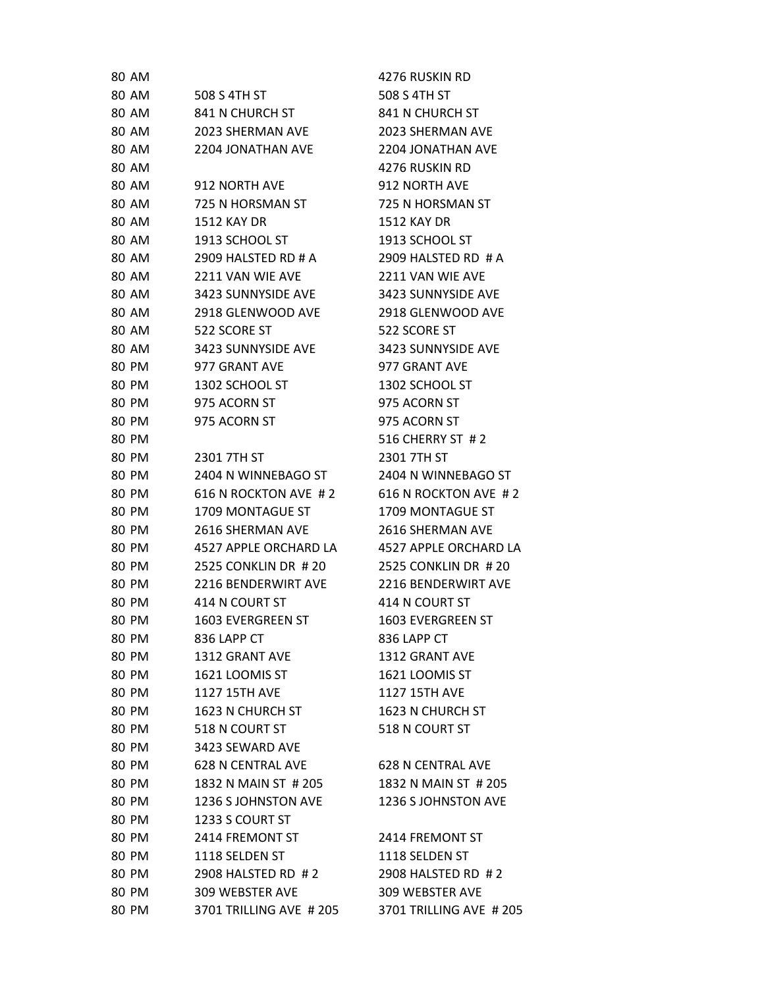| 80 AM        |                            | 4276 RUSKIN RD             |
|--------------|----------------------------|----------------------------|
| 80 AM        | 508 S 4TH ST               | 508 S 4TH ST               |
| 80 AM        | 841 N CHURCH ST            | 841 N CHURCH ST            |
| 80 AM        | 2023 SHERMAN AVE           | 2023 SHERMAN AVE           |
| 80 AM        | 2204 JONATHAN AVE          | 2204 JONATHAN AVE          |
| 80 AM        |                            | 4276 RUSKIN RD             |
| 80 AM        | 912 NORTH AVE              | 912 NORTH AVE              |
| 80 AM        | 725 N HORSMAN ST           | 725 N HORSMAN ST           |
| 80 AM        | <b>1512 KAY DR</b>         | <b>1512 KAY DR</b>         |
| <b>80 AM</b> | 1913 SCHOOL ST             | 1913 SCHOOL ST             |
| 80 AM        | 2909 HALSTED RD # A        | 2909 HALSTED RD # A        |
| 80 AM        | 2211 VAN WIE AVE           | 2211 VAN WIE AVE           |
| 80 AM        | 3423 SUNNYSIDE AVE         | 3423 SUNNYSIDE AVE         |
| <b>80 AM</b> | 2918 GLENWOOD AVE          | 2918 GLENWOOD AVE          |
| <b>80 AM</b> | 522 SCORE ST               | 522 SCORE ST               |
| 80 AM        | 3423 SUNNYSIDE AVE         | 3423 SUNNYSIDE AVE         |
| 80 PM        | 977 GRANT AVE              | 977 GRANT AVE              |
| 80 PM        | 1302 SCHOOL ST             | 1302 SCHOOL ST             |
| 80 PM        | 975 ACORN ST               | 975 ACORN ST               |
| 80 PM        | 975 ACORN ST               | 975 ACORN ST               |
| 80 PM        |                            | 516 CHERRY ST #2           |
| 80 PM        | 2301 7TH ST                | 2301 7TH ST                |
| 80 PM        | 2404 N WINNEBAGO ST        | 2404 N WINNEBAGO ST        |
| 80 PM        | 616 N ROCKTON AVE #2       | 616 N ROCKTON AVE #2       |
| 80 PM        | 1709 MONTAGUE ST           | 1709 MONTAGUE ST           |
| 80 PM        | <b>2616 SHERMAN AVE</b>    | 2616 SHERMAN AVE           |
| 80 PM        | 4527 APPLE ORCHARD LA      | 4527 APPLE ORCHARD LA      |
| 80 PM        | 2525 CONKLIN DR #20        | 2525 CONKLIN DR #20        |
| 80 PM        | <b>2216 BENDERWIRT AVE</b> | <b>2216 BENDERWIRT AVE</b> |
| 80 PM        | 414 N COURT ST             | 414 N COURT ST             |
| 80 PM        | 1603 EVERGREEN ST          | <b>1603 EVERGREEN ST</b>   |
| 80 PM        | 836 LAPP CT                | 836 LAPP CT                |
| 80 PM        | 1312 GRANT AVE             | 1312 GRANT AVE             |
| 80 PM        | 1621 LOOMIS ST             | 1621 LOOMIS ST             |
| 80 PM        | 1127 15TH AVE              | 1127 15TH AVE              |
| 80 PM        | 1623 N CHURCH ST           | 1623 N CHURCH ST           |
| 80 PM        | 518 N COURT ST             | 518 N COURT ST             |
| 80 PM        | 3423 SEWARD AVE            |                            |
| 80 PM        | <b>628 N CENTRAL AVE</b>   | <b>628 N CENTRAL AVE</b>   |
| 80 PM        | 1832 N MAIN ST # 205       | 1832 N MAIN ST # 205       |
| 80 PM        | 1236 S JOHNSTON AVE        | 1236 S JOHNSTON AVE        |
| 80 PM        | 1233 S COURT ST            |                            |
| 80 PM        | 2414 FREMONT ST            | 2414 FREMONT ST            |
| 80 PM        | 1118 SELDEN ST             | 1118 SELDEN ST             |
| 80 PM        | 2908 HALSTED RD #2         | 2908 HALSTED RD #2         |
| 80 PM        | 309 WEBSTER AVE            | 309 WEBSTER AVE            |
| 80 PM        | 3701 TRILLING AVE # 205    | 3701 TRILLING AVE # 205    |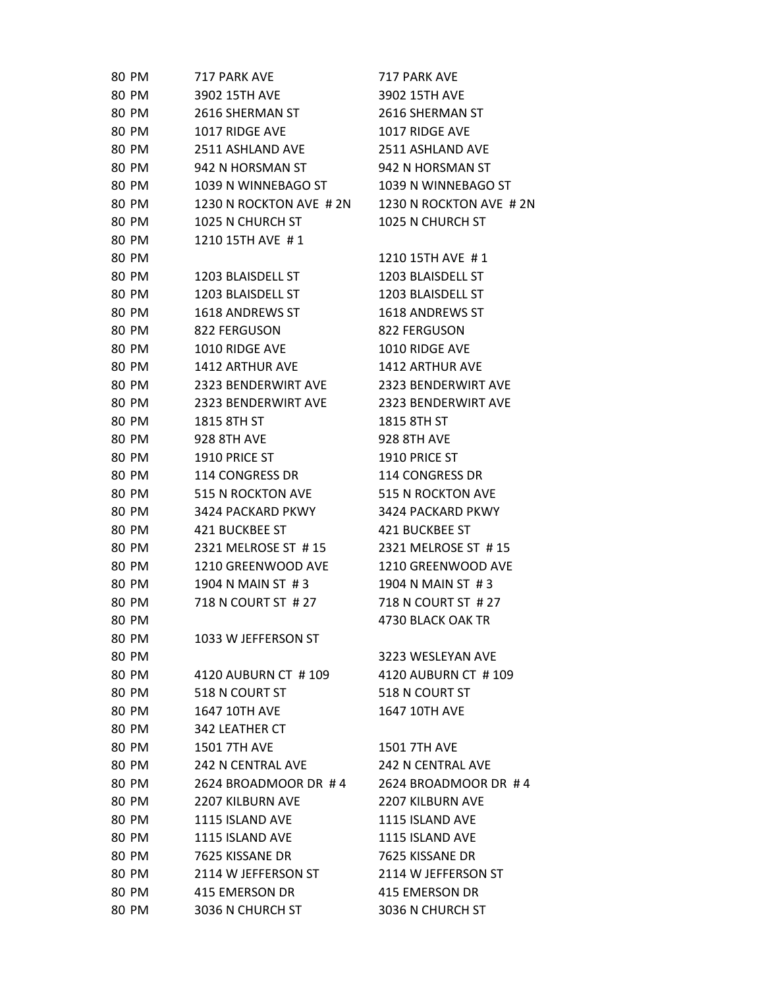| 80 PM        | 717 PARK AVE            | 717 PARK AVE             |
|--------------|-------------------------|--------------------------|
| 80 PM        | 3902 15TH AVE           | 3902 15TH AVE            |
| 80 PM        | 2616 SHERMAN ST         | 2616 SHERMAN ST          |
| 80 PM        | 1017 RIDGE AVE          | 1017 RIDGE AVE           |
| 80 PM        | 2511 ASHLAND AVE        | 2511 ASHLAND AVE         |
| 80 PM        | 942 N HORSMAN ST        | 942 N HORSMAN ST         |
| 80 PM        | 1039 N WINNEBAGO ST     | 1039 N WINNEBAGO ST      |
| 80 PM        | 1230 N ROCKTON AVE # 2N | 1230 N ROCKTON AVE # 2N  |
| 80 PM        | 1025 N CHURCH ST        | 1025 N CHURCH ST         |
| 80 PM        | 1210 15TH AVE #1        |                          |
| 80 PM        |                         | 1210 15TH AVE #1         |
| 80 PM        | 1203 BLAISDELL ST       | 1203 BLAISDELL ST        |
| 80 PM        | 1203 BLAISDELL ST       | 1203 BLAISDELL ST        |
| 80 PM        | 1618 ANDREWS ST         | 1618 ANDREWS ST          |
| 80 PM        | 822 FERGUSON            | 822 FERGUSON             |
| 80 PM        | 1010 RIDGE AVE          | 1010 RIDGE AVE           |
| 80 PM        | 1412 ARTHUR AVE         | <b>1412 ARTHUR AVE</b>   |
| 80 PM        | 2323 BENDERWIRT AVE     | 2323 BENDERWIRT AVE      |
| <b>80 PM</b> | 2323 BENDERWIRT AVE     | 2323 BENDERWIRT AVE      |
| 80 PM        | 1815 8TH ST             | 1815 8TH ST              |
| 80 PM        | <b>928 8TH AVE</b>      | <b>928 8TH AVE</b>       |
| 80 PM        | 1910 PRICE ST           | 1910 PRICE ST            |
| 80 PM        | 114 CONGRESS DR         | 114 CONGRESS DR          |
| 80 PM        | 515 N ROCKTON AVE       | 515 N ROCKTON AVE        |
| 80 PM        | 3424 PACKARD PKWY       | 3424 PACKARD PKWY        |
| 80 PM        | 421 BUCKBEE ST          | 421 BUCKBEE ST           |
| 80 PM        | 2321 MELROSE ST #15     | 2321 MELROSE ST #15      |
| 80 PM        | 1210 GREENWOOD AVE      | 1210 GREENWOOD AVE       |
| 80 PM        | 1904 N MAIN ST #3       | 1904 N MAIN ST #3        |
| 80 PM        | 718 N COURT ST # 27     | 718 N COURT ST # 27      |
| 80 PM        |                         | 4730 BLACK OAK TR        |
| 80 PM        | 1033 W JEFFERSON ST     |                          |
| 80 PM        |                         | 3223 WESLEYAN AVE        |
| 80 PM        | 4120 AUBURN CT #109     | 4120 AUBURN CT #109      |
| 80 PM        | 518 N COURT ST          | 518 N COURT ST           |
| 80 PM        | 1647 10TH AVE           | 1647 10TH AVE            |
| 80 PM        | 342 LEATHER CT          |                          |
| 80 PM        | <b>1501 7TH AVE</b>     | <b>1501 7TH AVE</b>      |
| 80 PM        | 242 N CENTRAL AVE       | <b>242 N CENTRAL AVE</b> |
| 80 PM        | 2624 BROADMOOR DR #4    | 2624 BROADMOOR DR #4     |
| 80 PM        | <b>2207 KILBURN AVE</b> | <b>2207 KILBURN AVE</b>  |
| 80 PM        | 1115 ISLAND AVE         | 1115 ISLAND AVE          |
| 80 PM        | 1115 ISLAND AVE         | 1115 ISLAND AVE          |
| 80 PM        | 7625 KISSANE DR         | 7625 KISSANE DR          |
| 80 PM        | 2114 W JEFFERSON ST     | 2114 W JEFFERSON ST      |
| 80 PM        | 415 EMERSON DR          | 415 EMERSON DR           |
| 80 PM        | 3036 N CHURCH ST        | 3036 N CHURCH ST         |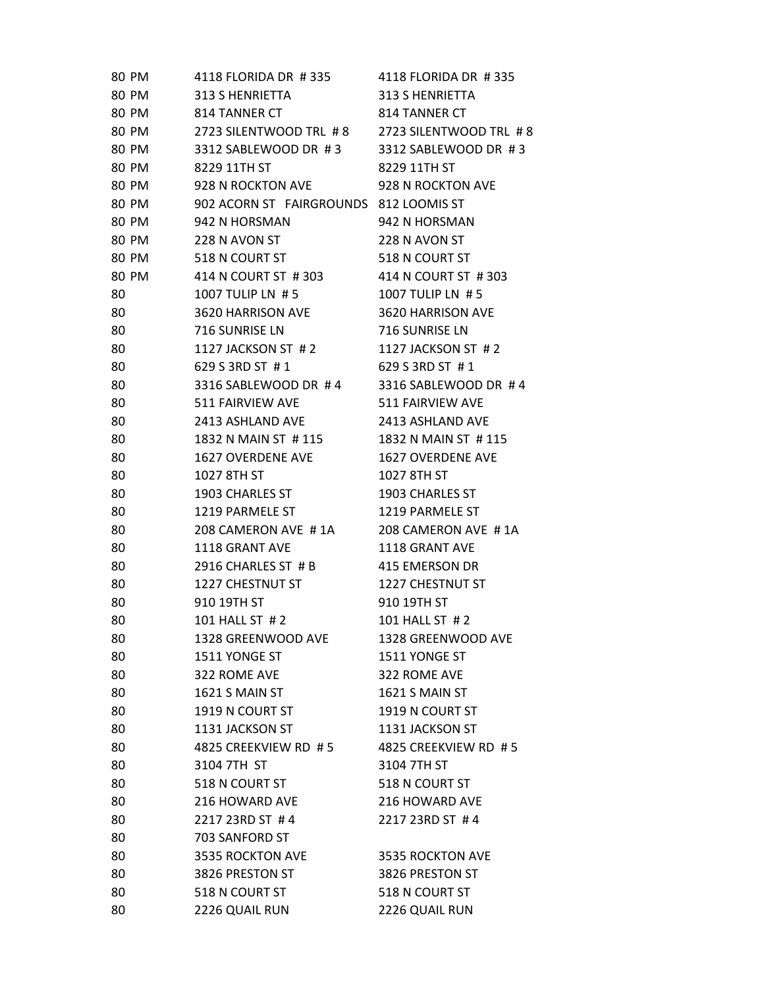| 80 PM | 4118 FLORIDA DR #335                          | 4118 FLORIDA DR #335 |
|-------|-----------------------------------------------|----------------------|
| 80 PM | 313 S HENRIETTA                               | 313 S HENRIETTA      |
| 80 PM | 814 TANNER CT                                 | 814 TANNER CT        |
| 80 PM | 2723 SILENTWOOD TRL #8 2723 SILENTWOOD TRL #8 |                      |
| 80 PM | 3312 SABLEWOOD DR #3                          | 3312 SABLEWOOD DR #3 |
| 80 PM | 8229 11TH ST                                  | 8229 11TH ST         |
| 80 PM | 928 N ROCKTON AVE                             | 928 N ROCKTON AVE    |
| 80 PM | 902 ACORN ST FAIRGROUNDS 812 LOOMIS ST        |                      |
| 80 PM | 942 N HORSMAN                                 | 942 N HORSMAN        |
| 80 PM | 228 N AVON ST                                 | 228 N AVON ST        |
| 80 PM | 518 N COURT ST                                | 518 N COURT ST       |
| 80 PM | 414 N COURT ST #303                           | 414 N COURT ST #303  |
| 80    | 1007 TULIP LN #5                              | 1007 TULIP LN #5     |
| 80    | 3620 HARRISON AVE                             | 3620 HARRISON AVE    |
| 80    | 716 SUNRISE LN                                | 716 SUNRISE LN       |
| 80    | 1127 JACKSON ST #2                            | 1127 JACKSON ST #2   |
| 80    | 629 S 3RD ST #1                               | 629 S 3RD ST #1      |
| 80    | 3316 SABLEWOOD DR #4                          | 3316 SABLEWOOD DR #4 |
| 80    | 511 FAIRVIEW AVE                              | 511 FAIRVIEW AVE     |
| 80    | 2413 ASHLAND AVE                              | 2413 ASHLAND AVE     |
| 80    | 1832 N MAIN ST # 115                          | 1832 N MAIN ST #115  |
| 80    | 1627 OVERDENE AVE                             | 1627 OVERDENE AVE    |
| 80    | 1027 8TH ST                                   | 1027 8TH ST          |
| 80    | 1903 CHARLES ST                               | 1903 CHARLES ST      |
| 80    | 1219 PARMELE ST                               | 1219 PARMELE ST      |
| 80    | 208 CAMERON AVE #1A                           | 208 CAMERON AVE #1A  |
| 80    | 1118 GRANT AVE                                | 1118 GRANT AVE       |
| 80    | 2916 CHARLES ST # B                           | 415 EMERSON DR       |
| 80    | 1227 CHESTNUT ST                              | 1227 CHESTNUT ST     |
| 80    | 910 19TH ST                                   | 910 19TH ST          |
| 80    | 101 HALL ST # 2                               | 101 HALL ST #2       |
| 80    | 1328 GREENWOOD AVE                            | 1328 GREENWOOD AVE   |
| 80    | 1511 YONGE ST                                 | 1511 YONGE ST        |
| 80    | 322 ROME AVE                                  | 322 ROME AVE         |
| 80    | 1621 S MAIN ST                                | 1621 S MAIN ST       |
| 80    | 1919 N COURT ST                               | 1919 N COURT ST      |
| 80    | 1131 JACKSON ST                               | 1131 JACKSON ST      |
| 80    | 4825 CREEKVIEW RD #5                          | 4825 CREEKVIEW RD #5 |
| 80    | 3104 7TH ST                                   | 3104 7TH ST          |
| 80    | 518 N COURT ST                                | 518 N COURT ST       |
| 80    | 216 HOWARD AVE                                | 216 HOWARD AVE       |
| 80    | 2217 23RD ST #4                               | 2217 23RD ST #4      |
| 80    | 703 SANFORD ST                                |                      |
| 80    | 3535 ROCKTON AVE                              | 3535 ROCKTON AVE     |
| 80    | 3826 PRESTON ST                               | 3826 PRESTON ST      |
| 80    | 518 N COURT ST                                | 518 N COURT ST       |
| 80    | 2226 QUAIL RUN                                | 2226 QUAIL RUN       |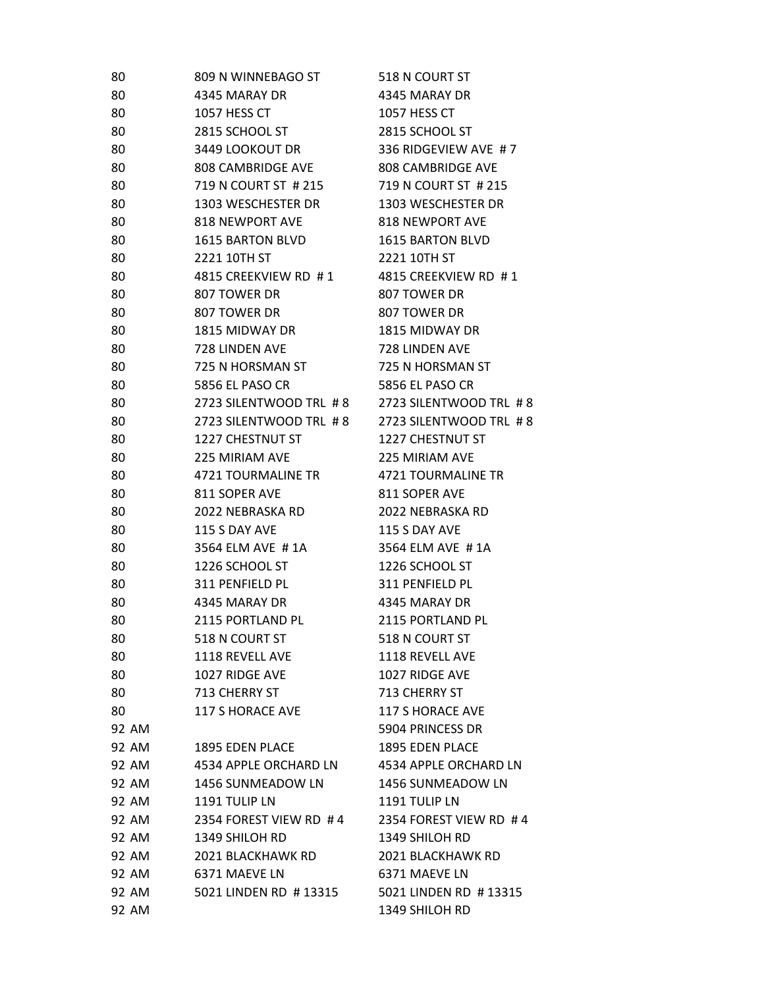| 80             | 809 N WINNEBAGO ST      | 518 N COURT ST                          |
|----------------|-------------------------|-----------------------------------------|
| 80             | 4345 MARAY DR           | 4345 MARAY DR                           |
| 80             | 1057 HESS CT            | 1057 HESS CT                            |
| 80             | 2815 SCHOOL ST          | 2815 SCHOOL ST                          |
| 80             | 3449 LOOKOUT DR         | 336 RIDGEVIEW AVE #7                    |
| 80             | 808 CAMBRIDGE AVE       | 808 CAMBRIDGE AVE                       |
| 80             | 719 N COURT ST # 215    | 719 N COURT ST # 215                    |
| 80             | 1303 WESCHESTER DR      | 1303 WESCHESTER DR                      |
| 80             | 818 NEWPORT AVE         | <b>818 NEWPORT AVE</b>                  |
| 80             | 1615 BARTON BLVD        | 1615 BARTON BLVD                        |
| 80             | 2221 10TH ST            | 2221 10TH ST                            |
| 80             | 4815 CREEKVIEW RD #1    | 4815 CREEKVIEW RD #1                    |
| 80             | 807 TOWER DR            | 807 TOWER DR                            |
| 80             | 807 TOWER DR            | 807 TOWER DR                            |
| 80             | 1815 MIDWAY DR          | 1815 MIDWAY DR                          |
| 80             | 728 LINDEN AVE          | 728 LINDEN AVE                          |
| 80             | 725 N HORSMAN ST        | 725 N HORSMAN ST                        |
| 80             | 5856 EL PASO CR         | 5856 EL PASO CR                         |
| 80             | 2723 SILENTWOOD TRL #8  | 2723 SILENTWOOD TRL #8                  |
| 80             | 2723 SILENTWOOD TRL #8  | 2723 SILENTWOOD TRL #8                  |
| 80             | 1227 CHESTNUT ST        | <b>1227 CHESTNUT ST</b>                 |
| 80             | 225 MIRIAM AVE          | 225 MIRIAM AVE                          |
| 80             | 4721 TOURMALINE TR      | 4721 TOURMALINE TR                      |
| 80             | 811 SOPER AVE           | 811 SOPER AVE                           |
| 80             | 2022 NEBRASKA RD        | 2022 NEBRASKA RD                        |
| 80             | 115 S DAY AVE           | 115 S DAY AVE                           |
| 80             | 3564 ELM AVE #1A        | 3564 ELM AVE #1A                        |
| 80             | 1226 SCHOOL ST          | 1226 SCHOOL ST                          |
| 80             | 311 PENFIELD PL         | 311 PENFIELD PL                         |
| 80             | 4345 MARAY DR           | 4345 MARAY DR                           |
| 80             | 2115 PORTLAND PL        | 2115 PORTLAND PL                        |
| 80             | 518 N COURT ST          | 518 N COURT ST                          |
| 80             | 1118 REVELL AVE         | 1118 REVELL AVE                         |
| 80             | 1027 RIDGE AVE          | 1027 RIDGE AVE                          |
| 80             | 713 CHERRY ST           | 713 CHERRY ST                           |
| 80             | <b>117 S HORACE AVE</b> | <b>117 S HORACE AVE</b>                 |
| 92 AM          |                         | 5904 PRINCESS DR                        |
| 92 AM          | 1895 EDEN PLACE         | <b>1895 EDEN PLACE</b>                  |
| 92 AM          | 4534 APPLE ORCHARD LN   | 4534 APPLE ORCHARD LN                   |
| 92 AM          | 1456 SUNMEADOW LN       | 1456 SUNMEADOW LN                       |
| 92 AM          | 1191 TULIP LN           | 1191 TULIP LN                           |
| 92 AM          | 2354 FOREST VIEW RD #4  | 2354 FOREST VIEW RD #4                  |
| 92 AM          | 1349 SHILOH RD          | 1349 SHILOH RD                          |
| 92 AM          | 2021 BLACKHAWK RD       | 2021 BLACKHAWK RD                       |
| 92 AM          | 6371 MAEVE LN           | 6371 MAEVE LN                           |
| 92 AM<br>92 AM | 5021 LINDEN RD #13315   | 5021 LINDEN RD #13315<br>1349 SHILOH RD |
|                |                         |                                         |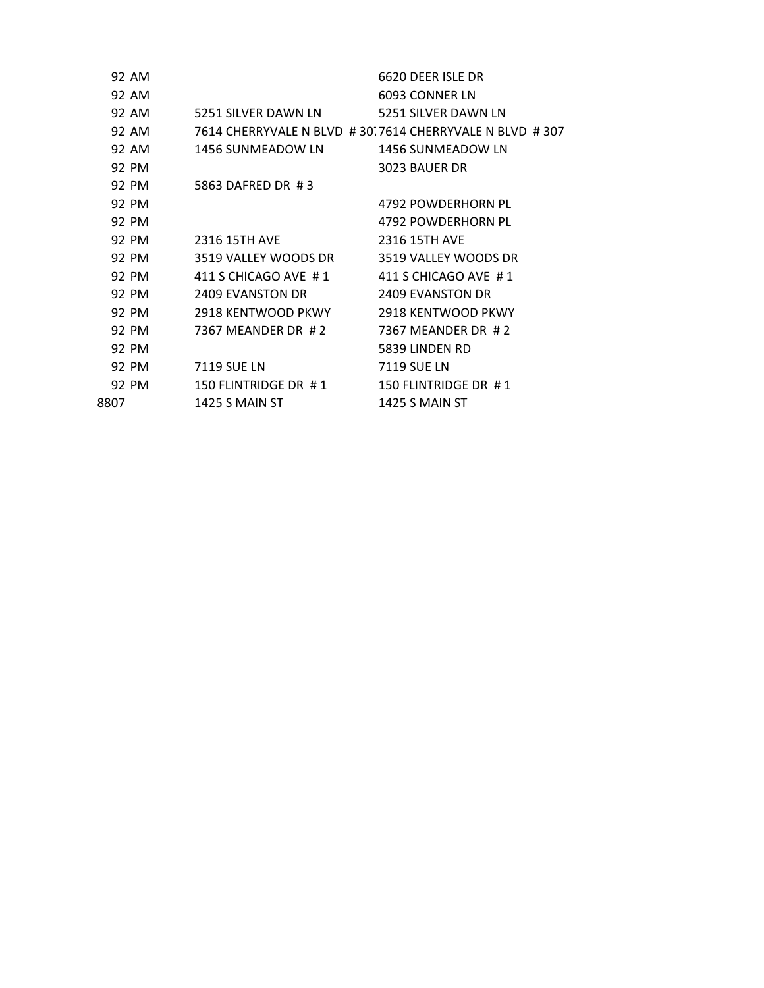|      | 92 AM |                       | 6620 DEER ISLE DR                                      |
|------|-------|-----------------------|--------------------------------------------------------|
|      | 92 AM |                       | 6093 CONNER LN                                         |
|      | 92 AM | 5251 SILVER DAWN LN   | 5251 SILVER DAWN LN                                    |
|      | 92 AM |                       | 7614 CHERRYVALE N BLVD #30.7614 CHERRYVALE N BLVD #307 |
|      | 92 AM | 1456 SUNMEADOW LN     | 1456 SUNMEADOW LN                                      |
|      | 92 PM |                       | 3023 BAUER DR                                          |
|      | 92 PM | 5863 DAFRED DR #3     |                                                        |
|      | 92 PM |                       | 4792 POWDERHORN PL                                     |
|      | 92 PM |                       | 4792 POWDERHORN PL                                     |
|      | 92 PM | <b>2316 15TH AVE</b>  | 2316 15TH AVE                                          |
|      | 92 PM | 3519 VALLEY WOODS DR  | 3519 VALLEY WOODS DR                                   |
|      | 92 PM | 411 S CHICAGO AVE #1  | 411 S CHICAGO AVE #1                                   |
|      | 92 PM | 2409 EVANSTON DR      | 2409 EVANSTON DR                                       |
|      | 92 PM | 2918 KENTWOOD PKWY    | 2918 KENTWOOD PKWY                                     |
|      | 92 PM | 7367 MEANDER DR #2    | 7367 MEANDER DR #2                                     |
|      | 92 PM |                       | 5839 LINDEN RD                                         |
|      | 92 PM | 7119 SUE LN           | 7119 SUE LN                                            |
|      | 92 PM | 150 FLINTRIDGE DR #1  | 150 FLINTRIDGE DR #1                                   |
| 8807 |       | <b>1425 S MAIN ST</b> | <b>1425 S MAIN ST</b>                                  |
|      |       |                       |                                                        |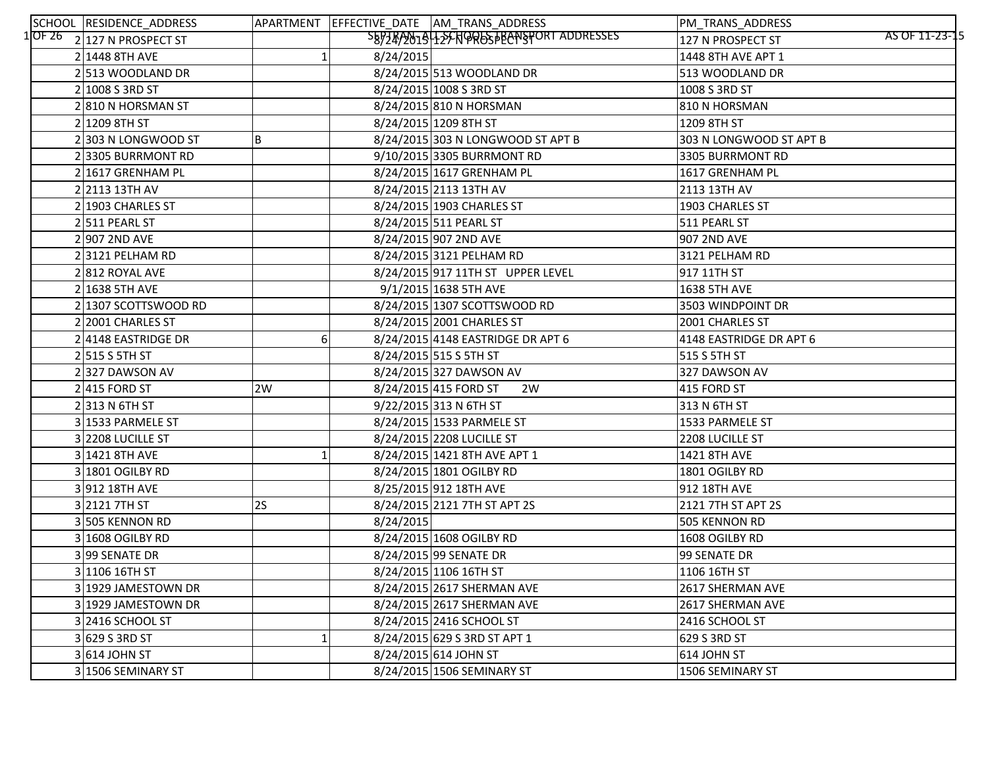| SCHOOL RESIDENCE_ADDRESS      |           |           | APARTMENT EFFECTIVE_DATE AM_TRANS_ADDRESS | PM_TRANS_ADDRESS                    |
|-------------------------------|-----------|-----------|-------------------------------------------|-------------------------------------|
| $1$ OF 26 2 127 N PROSPECT ST |           |           | SB9749019425CNQRGSTBANSPORT ADDRESSES     | AS OF 11-23-15<br>127 N PROSPECT ST |
| 2 1448 8TH AVE                |           | 8/24/2015 |                                           | 1448 8TH AVE APT 1                  |
| 2 513 WOODLAND DR             |           |           | 8/24/2015 513 WOODLAND DR                 | 513 WOODLAND DR                     |
| 2 1008 S 3RD S                |           |           | 8/24/2015 1008 S 3RD ST                   | 1008 S 3RD ST                       |
| 2810 N HORSMAN ST             |           |           | 8/24/2015 810 N HORSMAN                   | 810 N HORSMAN                       |
| 2 1209 8TH ST                 |           |           | 8/24/2015 1209 8TH ST                     | 1209 8TH ST                         |
| 2303 N LONGWOOD ST            | B         |           | 8/24/2015 303 N LONGWOOD ST APT B         | 303 N LONGWOOD ST APT B             |
| 23305 BURRMONT RD             |           |           | 9/10/2015 3305 BURRMONT RD                | 3305 BURRMONT RD                    |
| 2 1617 GRENHAM PL             |           |           | 8/24/2015 1617 GRENHAM PL                 | 1617 GRENHAM PL                     |
| 2 2113 13TH AV                |           |           | 8/24/2015 2113 13TH AV                    | 2113 13TH AV                        |
| 2 1903 CHARLES ST             |           |           | 8/24/2015 1903 CHARLES ST                 | 1903 CHARLES ST                     |
| $2 511$ PEARL ST              |           |           | 8/24/2015 511 PEARL ST                    | 511 PEARL ST                        |
| 2 907 2ND AVE                 |           |           | 8/24/2015 907 2ND AVE                     | 907 2ND AVE                         |
| $2 3121$ PELHAM RD            |           |           | 8/24/2015 3121 PELHAM RD                  | 3121 PELHAM RD                      |
| 2812 ROYAL AVE                |           |           | 8/24/2015 917 11TH ST UPPER LEVEL         | 917 11TH ST                         |
| $2 16385TH$ AVE               |           |           | 9/1/2015 1638 5TH AVE                     | 1638 5TH AVE                        |
| 2 1307 SCOTTSWOOD RD          |           |           | 8/24/2015 1307 SCOTTSWOOD RD              | 3503 WINDPOINT DR                   |
| 2 2001 CHARLES ST             |           |           | 8/24/2015 2001 CHARLES ST                 | 2001 CHARLES ST                     |
| 2 4148 EASTRIDGE DR           | 6         |           | 8/24/2015 4148 EASTRIDGE DR APT 6         | 4148 EASTRIDGE DR APT 6             |
| $2$ 515 S 5TH ST              |           |           | 8/24/2015 515 S 5TH ST                    | 515 S 5TH ST                        |
| 2327 DAWSON AV                |           |           | 8/24/2015 327 DAWSON AV                   | 327 DAWSON AV                       |
| $2 415$ FORD ST               | 2W        |           | 8/24/2015 415 FORD ST<br>2W               | 415 FORD ST                         |
| $2$  313 N 6TH ST             |           |           | 9/22/2015 313 N 6TH ST                    | 313 N 6TH ST                        |
| 3 1533 PARMELE ST             |           |           | 8/24/2015 1533 PARMELE ST                 | 1533 PARMELE ST                     |
| 3 2208 LUCILLE ST             |           |           | 8/24/2015 2208 LUCILLE ST                 | 2208 LUCILLE ST                     |
| 3 1421 8TH AVE                |           |           | 8/24/2015 1421 8TH AVE APT 1              | 1421 8TH AVE                        |
| 3 1801 OGILBY RD              |           |           | 8/24/2015 1801 OGILBY RD                  | 1801 OGILBY RD                      |
| 3912 18TH AVE                 |           |           | 8/25/2015 912 18TH AVE                    | 912 18TH AVE                        |
| 3 2121 7TH ST                 | <b>2S</b> |           | 8/24/2015 2121 7TH ST APT 2S              | 2121 7TH ST APT 2S                  |
| 3505 KENNON RD                |           | 8/24/2015 |                                           | 505 KENNON RD                       |
| 3 1608 OGILBY RD              |           |           | 8/24/2015 1608 OGILBY RD                  | 1608 OGILBY RD                      |
| 399 SENATE DR                 |           |           | 8/24/2015 99 SENATE DR                    | 99 SENATE DR                        |
| 3 1106 16TH ST                |           |           | 8/24/2015 106 16TH ST                     | 1106 16TH ST                        |
| 3 1929 JAMESTOWN DR           |           |           | 8/24/2015 2617 SHERMAN AVE                | 2617 SHERMAN AVE                    |
| 3 1929 JAMESTOWN DR           |           |           | 8/24/2015 2617 SHERMAN AVE                | 2617 SHERMAN AVE                    |
| 3 2416 SCHOOL ST              |           |           | 8/24/2015 2416 SCHOOL ST                  | 2416 SCHOOL ST                      |
| 3 629 S 3RD ST                |           |           | 8/24/2015 629 S 3RD ST APT 1              | 629 S 3RD ST                        |
| $3 614$ JOHN ST               |           |           | 8/24/2015 614 JOHN ST                     | 614 JOHN ST                         |
| 3 1506 SEMINARY ST            |           |           | 8/24/2015 1506 SEMINARY ST                | 1506 SEMINARY ST                    |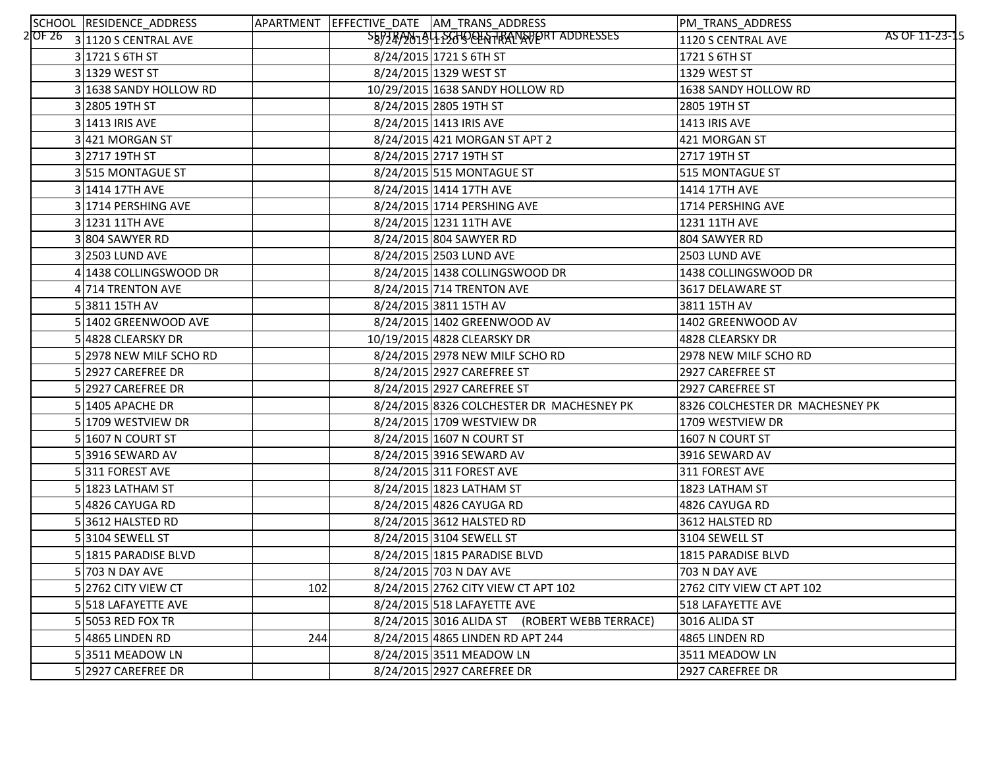| SCHOOL RESIDENCE_ADDRESS         |     | APARTMENT EFFECTIVE_DATE AM_TRANS_ADDRESS     | PM_TRANS_ADDRESS                     |
|----------------------------------|-----|-----------------------------------------------|--------------------------------------|
| $2$ OF 26 $3$ 1120 S CENTRAL AVE |     | SEPTEP 2019 15 120 DOLN TRANSPORT ADDRESSES   | AS OF 11-23-15<br>1120 S CENTRAL AVE |
| $3 1721$ S 6TH ST                |     | 8/24/2015 1721 S 6TH ST                       | 1721 S 6TH ST                        |
| 3 1329 WEST ST                   |     | 8/24/2015 1329 WEST ST                        | 1329 WEST ST                         |
| 3 1638 SANDY HOLLOW RD           |     | 10/29/2015 1638 SANDY HOLLOW RD               | 1638 SANDY HOLLOW RD                 |
| 3 2805 19TH ST                   |     | 8/24/2015 2805 19TH ST                        | 2805 19TH ST                         |
| 3 1413 IRIS AVE                  |     | 8/24/2015 1413 IRIS AVE                       | <b>1413 IRIS AVE</b>                 |
| 3 421 MORGAN ST                  |     | 8/24/2015 421 MORGAN ST APT 2                 | 421 MORGAN ST                        |
| 3 2717 19TH ST                   |     | 8/24/2015 2717 19TH ST                        | 2717 19TH ST                         |
| 3515 MONTAGUE ST                 |     | 8/24/2015 515 MONTAGUE ST                     | 515 MONTAGUE ST                      |
| 3 1414 17TH AVE                  |     | 8/24/2015 1414 17TH AVE                       | 1414 17TH AVE                        |
| 3 1714 PERSHING AVE              |     | 8/24/2015 1714 PERSHING AVE                   | 1714 PERSHING AVE                    |
| 3 1231 11TH AVE                  |     | 8/24/2015 1231 11TH AVE                       | 1231 11TH AVE                        |
| 3804 SAWYER RD                   |     | 8/24/2015 804 SAWYER RD                       | 804 SAWYER RD                        |
| 3 2503 LUND AVE                  |     | 8/24/2015 2503 LUND AVE                       | 2503 LUND AVE                        |
| 4 1438 COLLINGSWOOD DR           |     | 8/24/2015 1438 COLLINGSWOOD DR                | 1438 COLLINGSWOOD DR                 |
| 4 714 TRENTON AVE                |     | 8/24/2015 714 TRENTON AVE                     | 3617 DELAWARE ST                     |
| 53811 15TH AV                    |     | 8/24/2015 3811 15TH AV                        | 3811 15TH AV                         |
| 5 1402 GREENWOOD AVE             |     | 8/24/2015 1402 GREENWOOD AV                   | 1402 GREENWOOD AV                    |
| 5 4828 CLEARSKY DR               |     | 10/19/2015 4828 CLEARSKY DR                   | 4828 CLEARSKY DR                     |
| 5 2978 NEW MILF SCHO RD          |     | 8/24/2015 2978 NEW MILF SCHO RD               | 2978 NEW MILF SCHO RD                |
| 5 2927 CAREFREE DR               |     | 8/24/2015 2927 CAREFREE ST                    | 2927 CAREFREE ST                     |
| 5 2927 CAREFREE DR               |     | 8/24/2015 2927 CAREFREE ST                    | 2927 CAREFREE ST                     |
| 5 1405 APACHE DR                 |     | 8/24/2015 8326 COLCHESTER DR MACHESNEY PK     | 8326 COLCHESTER DR MACHESNEY PK      |
| 5 1709 WESTVIEW DR               |     | 8/24/2015 1709 WESTVIEW DR                    | 1709 WESTVIEW DR                     |
| 5 1607 N COURT ST                |     | 8/24/2015 1607 N COURT ST                     | 1607 N COURT ST                      |
| 5 3916 SEWARD AV                 |     | 8/24/2015 3916 SEWARD AV                      | 3916 SEWARD AV                       |
| 5311 FOREST AVE                  |     | 8/24/2015 311 FOREST AVE                      | 311 FOREST AVE                       |
| $5 1823$ LATHAM ST               |     | 8/24/2015 1823 LATHAM ST                      | 1823 LATHAM ST                       |
| 5 4826 CAYUGA RD                 |     | 8/24/2015 4826 CAYUGA RD                      | 4826 CAYUGA RD                       |
| 53612 HALSTED RD                 |     | 8/24/2015 3612 HALSTED RD                     | 3612 HALSTED RD                      |
| 53104 SEWELL ST                  |     | 8/24/2015 3104 SEWELL ST                      | 3104 SEWELL ST                       |
| 5 1815 PARADISE BLVD             |     | 8/24/2015 1815 PARADISE BLVD                  | 1815 PARADISE BLVD                   |
| 5 703 N DAY AVE                  |     | 8/24/2015 703 N DAY AVE                       | 703 N DAY AVE                        |
| 5 2762 CITY VIEW CT              | 102 | 8/24/2015 2762 CITY VIEW CT APT 102           | 2762 CITY VIEW CT APT 102            |
| 5 518 LAFAYETTE AVE              |     | 8/24/2015 518 LAFAYETTE AVE                   | 518 LAFAYETTE AVE                    |
| 5 5053 RED FOX TR                |     | 8/24/2015 3016 ALIDA ST (ROBERT WEBB TERRACE) | 3016 ALIDA ST                        |
| $5 4865$ LINDEN RD               | 244 | 8/24/2015 4865 LINDEN RD APT 244              | 4865 LINDEN RD                       |
| 53511 MEADOW LN                  |     | 8/24/2015 3511 MEADOW LN                      | 3511 MEADOW LN                       |
| 5 2927 CAREFREE DR               |     | 8/24/2015 2927 CAREFREE DR                    | 2927 CAREFREE DR                     |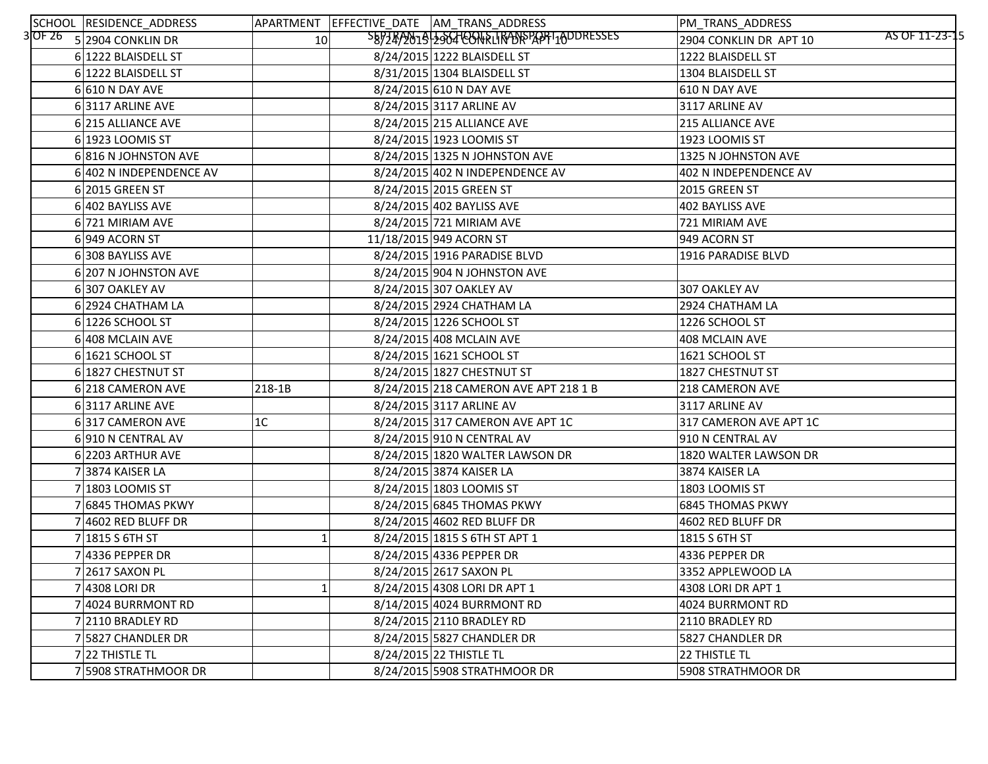| SCHOOL RESIDENCE_ADDRESS    |                 | APARTMENT EFFECTIVE_DATE AM_TRANS_ADDRESS | PM_TRANS_ADDRESS                         |
|-----------------------------|-----------------|-------------------------------------------|------------------------------------------|
| $3$ OF 26 5 2904 CONKLIN DR | 10 <sup>1</sup> | SEPZAP2019-2964-CONFLIRANSPORT10DDRESSES  | AS OF 11-23-15<br>2904 CONKLIN DR APT 10 |
| 6 1222 BLAISDELL ST         |                 | 8/24/2015 1222 BLAISDELL ST               | 1222 BLAISDELL ST                        |
| 6 1222 BLAISDELL ST         |                 | 8/31/2015 1304 BLAISDELL ST               | 1304 BLAISDELL ST                        |
| $6 610 N$ DAY AVE           |                 | 8/24/2015 610 N DAY AVE                   | 610 N DAY AVE                            |
| 63117 ARLINE AVE            |                 | 8/24/2015 3117 ARLINE AV                  | 3117 ARLINE AV                           |
| 6 215 ALLIANCE AVE          |                 | 8/24/2015 215 ALLIANCE AVE                | <b>215 ALLIANCE AVE</b>                  |
| 6 1923 LOOMIS ST            |                 | 8/24/2015 1923 LOOMIS ST                  | 1923 LOOMIS ST                           |
| 6816 N JOHNSTON AVE         |                 | 8/24/2015 1325 N JOHNSTON AVE             | 1325 N JOHNSTON AVE                      |
| 6 402 N INDEPENDENCE AV     |                 | 8/24/2015 402 N INDEPENDENCE AV           | 402 N INDEPENDENCE AV                    |
| 6 2015 GREEN ST             |                 | 8/24/2015 2015 GREEN ST                   | 2015 GREEN ST                            |
| 6 402 BAYLISS AVE           |                 | 8/24/2015 402 BAYLISS AVE                 | 402 BAYLISS AVE                          |
| 6 721 MIRIAM AVE            |                 | 8/24/2015 721 MIRIAM AVE                  | 721 MIRIAM AVE                           |
| 6949 ACORN ST               |                 | 11/18/2015 949 ACORN ST                   | 949 ACORN ST                             |
| 6308 BAYLISS AVE            |                 | 8/24/2015 1916 PARADISE BLVD              | 1916 PARADISE BLVD                       |
| 6 207 N JOHNSTON AVE        |                 | 8/24/2015 904 N JOHNSTON AVE              |                                          |
| 6307 OAKLEY AV              |                 | 8/24/2015 307 OAKLEY AV                   | 307 OAKLEY AV                            |
| 6 2924 CHATHAM LA           |                 | 8/24/2015 2924 CHATHAM LA                 | 2924 CHATHAM LA                          |
| 6 1226 SCHOOL ST            |                 | 8/24/2015 1226 SCHOOL ST                  | 1226 SCHOOL ST                           |
| 6 408 MCLAIN AVE            |                 | 8/24/2015 408 MCLAIN AVE                  | 408 MCLAIN AVE                           |
| 6 1621 SCHOOL ST            |                 | 8/24/2015 1621 SCHOOL ST                  | 1621 SCHOOL ST                           |
| 6 1827 CHESTNUT ST          |                 | 8/24/2015 1827 CHESTNUT ST                | 1827 CHESTNUT ST                         |
| 6 218 CAMERON AVE           | 218-1B          | 8/24/2015 218 CAMERON AVE APT 218 1 B     | 218 CAMERON AVE                          |
| 63117 ARLINE AVE            |                 | 8/24/2015 3117 ARLINE AV                  | 3117 ARLINE AV                           |
| 6317 CAMERON AVE            | 1 <sup>C</sup>  | 8/24/2015 317 CAMERON AVE APT 1C          | 317 CAMERON AVE APT 1C                   |
| 6910 N CENTRAL AV           |                 | 8/24/2015 910 N CENTRAL AV                | 910 N CENTRAL AV                         |
| 6 2203 ARTHUR AVE           |                 | 8/24/2015 1820 WALTER LAWSON DR           | 1820 WALTER LAWSON DR                    |
| 73874 KAISER LA             |                 | 8/24/2015 3874 KAISER LA                  | 3874 KAISER LA                           |
| 7 1803 LOOMIS ST            |                 | 8/24/2015 1803 LOOMIS ST                  | 1803 LOOMIS ST                           |
| 7 6845 THOMAS PKWY          |                 | 8/24/2015 6845 THOMAS PKWY                | <b>6845 THOMAS PKWY</b>                  |
| 7 4602 RED BLUFF DR         |                 | 8/24/2015 4602 RED BLUFF DR               | 4602 RED BLUFF DR                        |
| $7 1815$ S 6TH ST           | $1\vert$        | 8/24/2015 1815 S 6TH ST APT 1             | 1815 S 6TH ST                            |
| $7 4336$ PEPPER DR          |                 | 8/24/2015 4336 PEPPER DR                  | 4336 PEPPER DR                           |
| 7 2617 SAXON PL             |                 | 8/24/2015 2617 SAXON PL                   | 3352 APPLEWOOD LA                        |
| 7 4308 LORI DR              |                 | 8/24/2015 4308 LORI DR APT 1              | 4308 LORI DR APT 1                       |
| 7 4024 BURRMONT RD          |                 | 8/14/2015 4024 BURRMONT RD                | 4024 BURRMONT RD                         |
| 7 2110 BRADLEY RD           |                 | 8/24/2015 2110 BRADLEY RD                 | 2110 BRADLEY RD                          |
| 7 5827 CHANDLER DR          |                 | 8/24/2015 5827 CHANDLER DR                | 5827 CHANDLER DR                         |
| 7 22 THISTLE TL             |                 | 8/24/2015 22 THISTLE TL                   | 22 THISTLE TL                            |
| 7 5908 STRATHMOOR DR        |                 | 8/24/2015 5908 STRATHMOOR DR              | 5908 STRATHMOOR DR                       |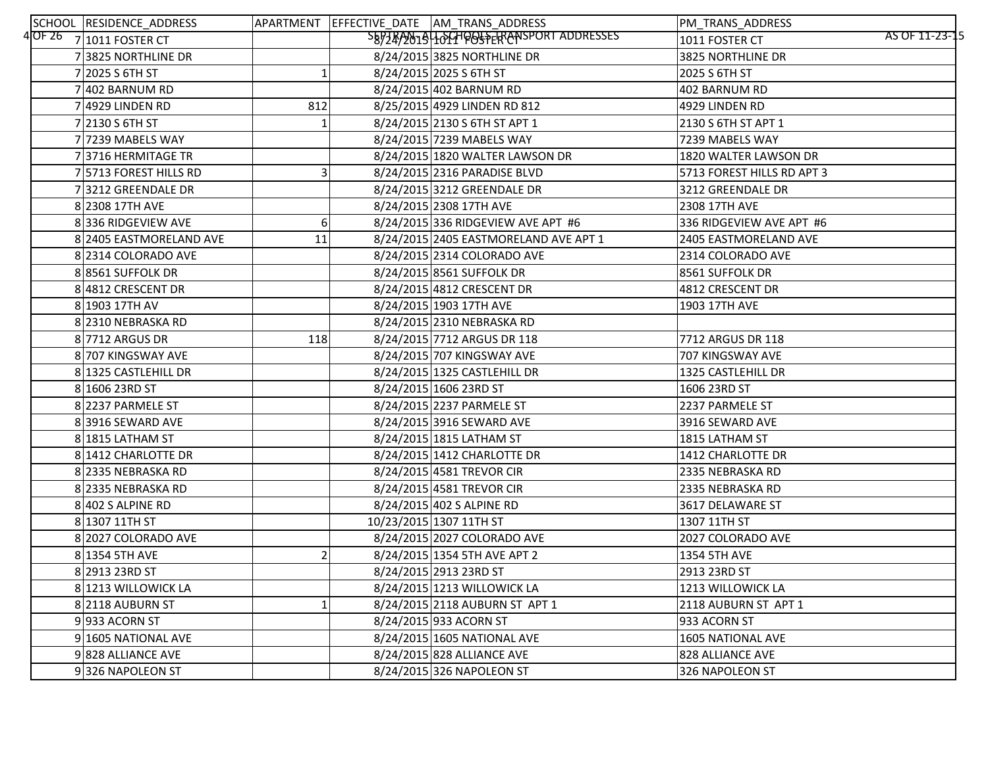| SCHOOL RESIDENCE_ADDRESS |     | APARTMENT EFFECTIVE_DATE AM_TRANS_ADDRESS | PM_TRANS_ADDRESS                 |
|--------------------------|-----|-------------------------------------------|----------------------------------|
| 4OF 26 7 1011 FOSTER CT  |     | SB9749019464HOOSFERANSPORT ADDRESSES      | AS OF 11-23-15<br>1011 FOSTER CT |
| 73825 NORTHLINE DR       |     | 8/24/2015 3825 NORTHLINE DR               | 3825 NORTHLINE DR                |
| 7 2025 S 6TH ST          |     | 8/24/2015 2025 S 6TH ST                   | 2025 S 6TH ST                    |
| 7 402 BARNUM RD          |     | 8/24/2015 402 BARNUM RD                   | 402 BARNUM RD                    |
| $7 4929$ LINDEN RD       | 812 | 8/25/2015 4929 LINDEN RD 812              | 4929 LINDEN RD                   |
| 7 2130 S 6TH ST          |     | 8/24/2015 2130 S 6TH ST APT 1             | 2130 S 6TH ST APT 1              |
| 7 7239 MABELS WAY        |     | 8/24/2015 7239 MABELS WAY                 | 7239 MABELS WAY                  |
| 73716 HERMITAGE TR       |     | 8/24/2015 1820 WALTER LAWSON DR           | 1820 WALTER LAWSON DR            |
| 7 5713 FOREST HILLS RD   | 3   | 8/24/2015 2316 PARADISE BLVD              | 5713 FOREST HILLS RD APT 3       |
| 73212 GREENDALE DR       |     | 8/24/2015 3212 GREENDALE DR               | 3212 GREENDALE DR                |
| 8 2308 17TH AVE          |     | 8/24/2015 2308 17TH AVE                   | 2308 17TH AVE                    |
| 8336 RIDGEVIEW AVE       | 6   | 8/24/2015 336 RIDGEVIEW AVE APT #6        | 336 RIDGEVIEW AVE APT #6         |
| 8 2405 EASTMORELAND AVE  | 11  | 8/24/2015 2405 EASTMORELAND AVE APT 1     | 2405 EASTMORELAND AVE            |
| 8 2314 COLORADO AVE      |     | 8/24/2015 2314 COLORADO AVE               | 2314 COLORADO AVE                |
| 88561 SUFFOLK DR         |     | 8/24/2015 8561 SUFFOLK DR                 | 8561 SUFFOLK DR                  |
| 8 4812 CRESCENT DR       |     | 8/24/2015 4812 CRESCENT DR                | 4812 CRESCENT DR                 |
| 8 1903 17TH AV           |     | 8/24/2015 1903 17TH AVE                   | 1903 17TH AVE                    |
| 8 2310 NEBRASKA RD       |     | 8/24/2015 2310 NEBRASKA RD                |                                  |
| 8 7712 ARGUS DR          | 118 | 8/24/2015 7712 ARGUS DR 118               | 7712 ARGUS DR 118                |
| 8 707 KINGSWAY AVE       |     | 8/24/2015 707 KINGSWAY AVE                | 707 KINGSWAY AVE                 |
| 8 1325 CASTLEHILL DR     |     | 8/24/2015 1325 CASTLEHILL DR              | 1325 CASTLEHILL DR               |
| 8 1606 23RD ST           |     | 8/24/2015 1606 23RD ST                    | 1606 23RD ST                     |
| 8 2237 PARMELE ST        |     | 8/24/2015 2237 PARMELE ST                 | 2237 PARMELE ST                  |
| 83916 SEWARD AVE         |     | 8/24/2015 3916 SEWARD AVE                 | 3916 SEWARD AVE                  |
| 8 1815 LATHAM ST         |     | 8/24/2015 1815 LATHAM ST                  | 1815 LATHAM ST                   |
| 8 1412 CHARLOTTE DR      |     | 8/24/2015 1412 CHARLOTTE DR               | 1412 CHARLOTTE DR                |
| 8 2335 NEBRASKA RD       |     | 8/24/2015 4581 TREVOR CIR                 | 2335 NEBRASKA RD                 |
| 8 2335 NEBRASKA RD       |     | 8/24/2015 4581 TREVOR CIR                 | 2335 NEBRASKA RD                 |
| 8 402 S ALPINE RD        |     | 8/24/2015 402 S ALPINE RD                 | 3617 DELAWARE ST                 |
| 8 1307 11TH ST           |     | 10/23/2015 1307 11TH ST                   | 1307 11TH ST                     |
| 8 2027 COLORADO AVE      |     | 8/24/2015 2027 COLORADO AVE               | 2027 COLORADO AVE                |
| 8 1354 5TH AVE           |     | 8/24/2015 1354 5TH AVE APT 2              | 1354 5TH AVE                     |
| 8 2913 23RD ST           |     | 8/24/2015 2913 23RD ST                    | 2913 23RD ST                     |
| 8 1213 WILLOWICK LA      |     | 8/24/2015 1213 WILLOWICK LA               | 1213 WILLOWICK LA                |
| 82118 AUBURN ST          |     | 8/24/2015 2118 AUBURN ST APT 1            | 2118 AUBURN ST APT 1             |
| 9933 ACORN ST            |     | 8/24/2015 933 ACORN ST                    | 933 ACORN ST                     |
| 9 1605 NATIONAL AVE      |     | 8/24/2015 1605 NATIONAL AVE               | <b>1605 NATIONAL AVE</b>         |
| 9828 ALLIANCE AVE        |     | 8/24/2015 828 ALLIANCE AVE                | 828 ALLIANCE AVE                 |
| 9326 NAPOLEON ST         |     | 8/24/2015 326 NAPOLEON ST                 | 326 NAPOLEON ST                  |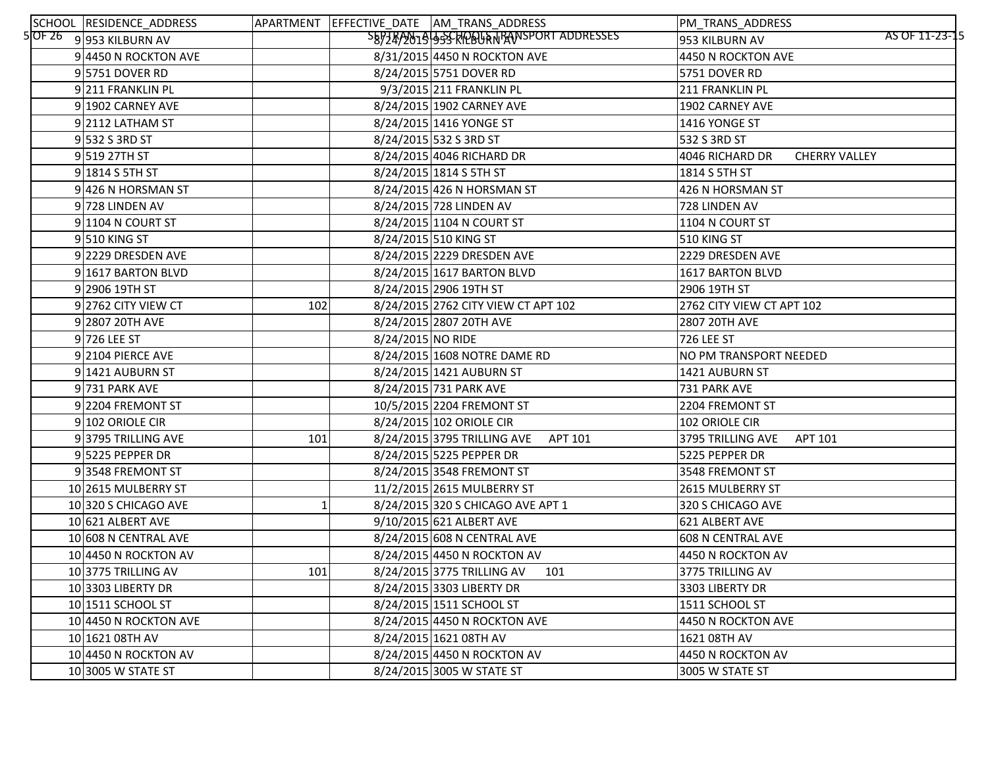| SCHOOL RESIDENCE_ADDRESS   |     |                   | APARTMENT EFFECTIVE_DATE AM_TRANS_ADDRESS  | PM_TRANS_ADDRESS          |                      |
|----------------------------|-----|-------------------|--------------------------------------------|---------------------------|----------------------|
| $5$ OF 26 9 953 KILBURN AV |     |                   | SEPTEP 2019 SSCRIPELLA TRANSPORT ADDRESSES | 953 KILBURN AV            | AS OF 11-23-15       |
| 9 4450 N ROCKTON AVE       |     |                   | 8/31/2015 4450 N ROCKTON AVE               | 4450 N ROCKTON AVE        |                      |
| 95751 DOVER RD             |     |                   | 8/24/2015 5751 DOVER RD                    | 5751 DOVER RD             |                      |
| 9211 FRANKLIN PL           |     |                   | 9/3/2015 211 FRANKLIN PL                   | 211 FRANKLIN PL           |                      |
| 9 1902 CARNEY AVE          |     |                   | 8/24/2015 1902 CARNEY AVE                  | 1902 CARNEY AVE           |                      |
| $9 2112$ LATHAM ST         |     |                   | 8/24/2015 1416 YONGE ST                    | 1416 YONGE ST             |                      |
| 9 532 S3RDST               |     |                   | 8/24/2015 532 S 3RD ST                     | 532 S 3RD ST              |                      |
| 9519 27TH ST               |     |                   | 8/24/2015 4046 RICHARD DR                  | 4046 RICHARD DR           | <b>CHERRY VALLEY</b> |
| 9 1814 S 5TH ST            |     |                   | 8/24/2015 1814 S 5TH ST                    | 1814 S 5TH ST             |                      |
| 9 426 N HORSMAN ST         |     |                   | 8/24/2015 426 N HORSMAN ST                 | 426 N HORSMAN ST          |                      |
| 9728 LINDEN AV             |     |                   | 8/24/2015 728 LINDEN AV                    | 728 LINDEN AV             |                      |
| 9 1104 N COURT ST          |     |                   | 8/24/2015 1104 N COURT ST                  | 1104 N COURT ST           |                      |
| 9510 KING ST               |     |                   | 8/24/2015 510 KING ST                      | 510 KING ST               |                      |
| 9 2229 DRESDEN AVE         |     |                   | 8/24/2015 2229 DRESDEN AVE                 | 2229 DRESDEN AVE          |                      |
| 9 1617 BARTON BLVD         |     |                   | 8/24/2015 1617 BARTON BLVD                 | 1617 BARTON BLVD          |                      |
| 9 2906 19TH ST             |     |                   | 8/24/2015 2906 19TH ST                     | 2906 19TH ST              |                      |
| 9 2762 CITY VIEW CT        | 102 |                   | 8/24/2015 2762 CITY VIEW CT APT 102        | 2762 CITY VIEW CT APT 102 |                      |
| 9 2807 20TH AVE            |     |                   | 8/24/2015 2807 20TH AVE                    | 2807 20TH AVE             |                      |
| 9726 LEE ST                |     | 8/24/2015 NO RIDE |                                            | 726 LEE ST                |                      |
| 9 2104 PIERCE AVE          |     |                   | 8/24/2015 1608 NOTRE DAME RD               | NO PM TRANSPORT NEEDED    |                      |
| 9 1421 AUBURN ST           |     |                   | 8/24/2015 1421 AUBURN ST                   | 1421 AUBURN ST            |                      |
| 9 731 PARK AVE             |     |                   | 8/24/2015 731 PARK AVE                     | 731 PARK AVE              |                      |
| 9 2204 FREMONT ST          |     |                   | 10/5/2015 2204 FREMONT ST                  | 2204 FREMONT ST           |                      |
| 9 102 ORIOLE CIR           |     |                   | 8/24/2015 102 ORIOLE CIR                   | 102 ORIOLE CIR            |                      |
| 93795 TRILLING AVE         | 101 |                   | 8/24/2015 3795 TRILLING AVE<br>APT 101     | 3795 TRILLING AVE         | APT 101              |
| 9 5225 PEPPER DR           |     |                   | 8/24/2015 5225 PEPPER DR                   | 5225 PEPPER DR            |                      |
| 93548 FREMONT ST           |     |                   | 8/24/2015 3548 FREMONT ST                  | 3548 FREMONT ST           |                      |
| 10 2615 MULBERRY ST        |     |                   | 11/2/2015 2615 MULBERRY ST                 | 2615 MULBERRY ST          |                      |
| 10 320 S CHICAGO AVE       |     |                   | 8/24/2015 320 S CHICAGO AVE APT 1          | 320 S CHICAGO AVE         |                      |
| 10 621 ALBERT AVE          |     |                   | 9/10/2015 621 ALBERT AVE                   | 621 ALBERT AVE            |                      |
| 10 608 N CENTRAL AVE       |     |                   | 8/24/2015 608 N CENTRAL AVE                | 608 N CENTRAL AVE         |                      |
| 10 4450 N ROCKTON AV       |     |                   | 8/24/2015 4450 N ROCKTON AV                | 4450 N ROCKTON AV         |                      |
| 103775 TRILLING AV         | 101 |                   | 8/24/2015 3775 TRILLING AV<br>101          | 3775 TRILLING AV          |                      |
| 10 3303 LIBERTY DR         |     |                   | 8/24/2015 3303 LIBERTY DR                  | 3303 LIBERTY DR           |                      |
| 10 1511 SCHOOL ST          |     |                   | 8/24/2015 1511 SCHOOL ST                   | 1511 SCHOOL ST            |                      |
| 10 4450 N ROCKTON AVE      |     |                   | 8/24/2015 4450 N ROCKTON AVE               | 4450 N ROCKTON AVE        |                      |
| 10 1621 08TH AV            |     |                   | 8/24/2015 1621 08TH AV                     | 1621 08TH AV              |                      |
| $10 4450$ N ROCKTON AV     |     |                   | 8/24/2015 4450 N ROCKTON AV                | 4450 N ROCKTON AV         |                      |
| 10 3005 W STATE ST         |     |                   | 8/24/2015 3005 W STATE ST                  | 3005 W STATE ST           |                      |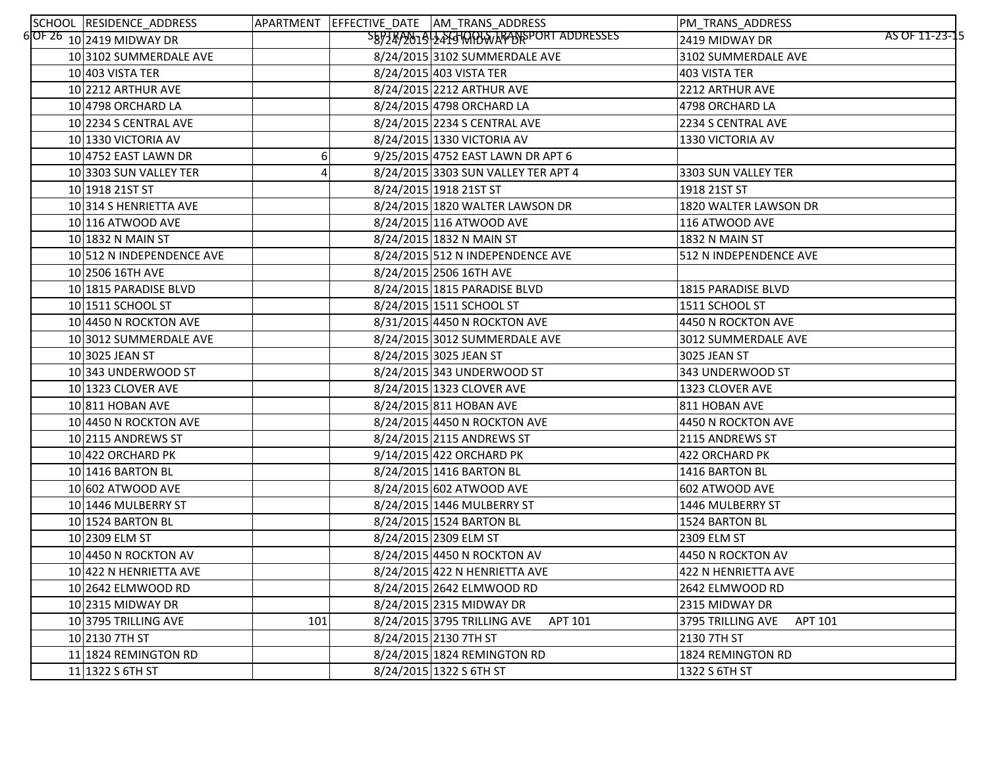| SCHOOL RESIDENCE_ADDRESS      |     | APARTMENT EFFECTIVE DATE AM TRANS ADDRESS | PM_TRANS_ADDRESS                 |
|-------------------------------|-----|-------------------------------------------|----------------------------------|
| $6$ OF 26 $10$ 2419 MIDWAY DR |     | SB9749019 24GHQQUWARANSPORT ADDRESSES     | AS OF 11-23-15<br>2419 MIDWAY DR |
| 10 3102 SUMMERDALE AVE        |     | 8/24/2015 3102 SUMMERDALE AVE             | 3102 SUMMERDALE AVE              |
| $10 403$ VISTA TER            |     | 8/24/2015 403 VISTA TER                   | 403 VISTA TER                    |
| 10 2212 ARTHUR AVE            |     | 8/24/2015 2212 ARTHUR AVE                 | 2212 ARTHUR AVE                  |
| 10 4798 ORCHARD LA            |     | 8/24/2015 4798 ORCHARD LA                 | 4798 ORCHARD LA                  |
| 10 2234 S CENTRAL AVE         |     | 8/24/2015 2234 S CENTRAL AVE              | 2234 S CENTRAL AVE               |
| 10 1330 VICTORIA AV           |     | 8/24/2015 1330 VICTORIA AV                | 1330 VICTORIA AV                 |
| 10 4752 EAST LAWN DR          |     | 9/25/2015 4752 EAST LAWN DR APT 6         |                                  |
| 10 3303 SUN VALLEY TER        |     | 8/24/2015 3303 SUN VALLEY TER APT 4       | 3303 SUN VALLEY TER              |
| 10 1918 21ST ST               |     | 8/24/2015 1918 21ST ST                    | 1918 21ST ST                     |
| 10 314 S HENRIETTA AVE        |     | 8/24/2015 1820 WALTER LAWSON DR           | 1820 WALTER LAWSON DR            |
| 10 116 ATWOOD AVE             |     | 8/24/2015 116 ATWOOD AVE                  | 116 ATWOOD AVE                   |
| 10 1832 N MAIN ST             |     | 8/24/2015 1832 N MAIN ST                  | 1832 N MAIN ST                   |
| 10 512 N INDEPENDENCE AVE     |     | 8/24/2015 512 N INDEPENDENCE AVE          | 512 N INDEPENDENCE AVE           |
| 10 2506 16TH AVE              |     | 8/24/2015 2506 16TH AVE                   |                                  |
| 10 1815 PARADISE BLVD         |     | 8/24/2015 1815 PARADISE BLVD              | 1815 PARADISE BLVD               |
| 10 1511 SCHOOL ST             |     | 8/24/2015 1511 SCHOOL ST                  | 1511 SCHOOL ST                   |
| 10 4450 N ROCKTON AVE         |     | 8/31/2015 4450 N ROCKTON AVE              | 4450 N ROCKTON AVE               |
| 10 3012 SUMMERDALE AVE        |     | 8/24/2015 3012 SUMMERDALE AVE             | 3012 SUMMERDALE AVE              |
| 10 3025 JEAN ST               |     | 8/24/2015 3025 JEAN ST                    | 3025 JEAN ST                     |
| 10 343 UNDERWOOD ST           |     | 8/24/2015 343 UNDERWOOD ST                | 343 UNDERWOOD ST                 |
| 10 1323 CLOVER AVE            |     | 8/24/2015 1323 CLOVER AVE                 | 1323 CLOVER AVE                  |
| 10 811 HOBAN AVE              |     | 8/24/2015 811 HOBAN AVE                   | 811 HOBAN AVE                    |
| 10 4450 N ROCKTON AVE         |     | 8/24/2015 4450 N ROCKTON AVE              | 4450 N ROCKTON AVE               |
| 10 2115 ANDREWS ST            |     | 8/24/2015 2115 ANDREWS ST                 | 2115 ANDREWS ST                  |
| 10 422 ORCHARD PK             |     | 9/14/2015 422 ORCHARD PK                  | 422 ORCHARD PK                   |
| 10 1416 BARTON BL             |     | 8/24/2015 1416 BARTON BL                  | 1416 BARTON BL                   |
| 10 602 ATWOOD AVE             |     | 8/24/2015 602 ATWOOD AVE                  | 602 ATWOOD AVE                   |
| 10 1446 MULBERRY ST           |     | 8/24/2015 1446 MULBERRY ST                | 1446 MULBERRY ST                 |
| 10 1524 BARTON BL             |     | 8/24/2015 1524 BARTON BL                  | 1524 BARTON BL                   |
| 10 2309 ELM ST                |     | 8/24/2015 2309 ELM ST                     | 2309 ELM ST                      |
| 10 4450 N ROCKTON AV          |     | 8/24/2015 4450 N ROCKTON AV               | 4450 N ROCKTON AV                |
| 10 422 N HENRIETTA AVE        |     | 8/24/2015 422 N HENRIETTA AVE             | 422 N HENRIETTA AVE              |
| 10 2642 ELMWOOD RD            |     | 8/24/2015 2642 ELMWOOD RD                 | 2642 ELMWOOD RD                  |
| 10 2315 MIDWAY DR             |     | 8/24/2015 2315 MIDWAY DR                  | 2315 MIDWAY DR                   |
| 10 3795 TRILLING AVE          | 101 | APT 101<br>8/24/2015 3795 TRILLING AVE    | 3795 TRILLING AVE<br>APT 101     |
| 10 2130 7TH ST                |     | 8/24/2015 2130 7TH ST                     | 2130 7TH ST                      |
| 11 1824 REMINGTON RD          |     | 8/24/2015 1824 REMINGTON RD               | 1824 REMINGTON RD                |
| $11 1322$ S 6TH ST            |     | 8/24/2015 1322 S 6TH ST                   | 1322 S 6TH ST                    |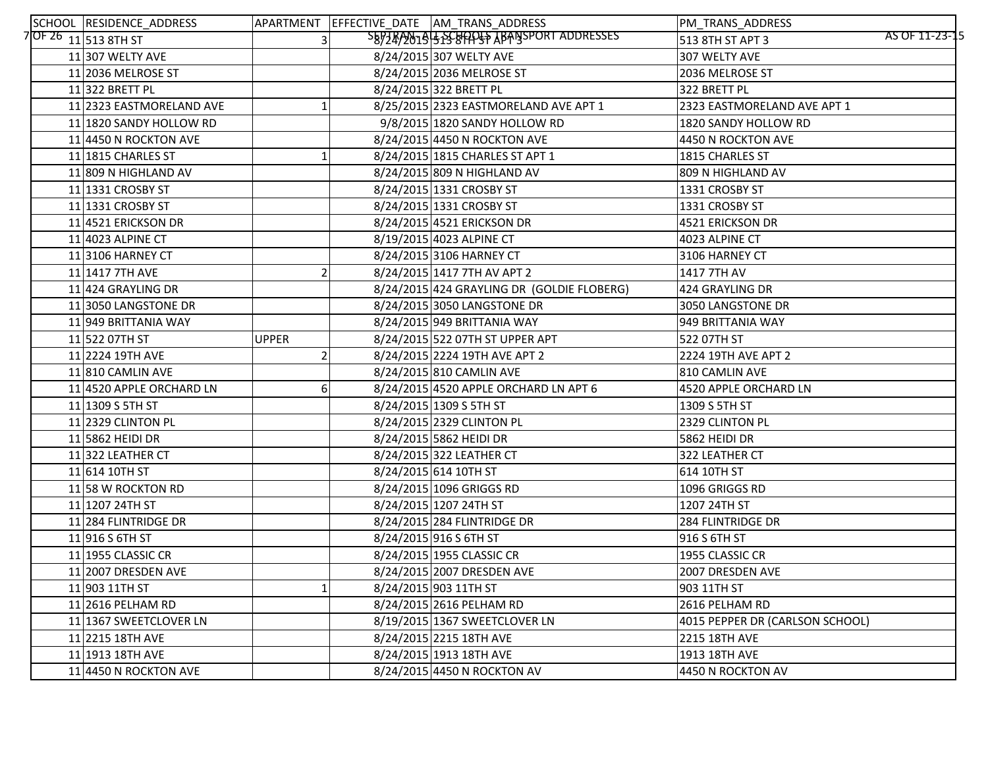| SCHOOL RESIDENCE_ADDRESS  |              | APARTMENT EFFECTIVE_DATE AM_TRANS_ADDRESS  | PM_TRANS_ADDRESS                |                |
|---------------------------|--------------|--------------------------------------------|---------------------------------|----------------|
| $7$ OF 26 $11$ 513 8TH ST |              | SB97RAN1945SSBAPS ABANSPORT ADDRESSES      | 513 8TH ST APT 3                | AS OF 11-23-15 |
| $11$  307 WELTY AVE       |              | 8/24/2015 307 WELTY AVE                    | 307 WELTY AVE                   |                |
| 11 2036 MELROSE ST        |              | 8/24/2015 2036 MELROSE ST                  | 2036 MELROSE ST                 |                |
| 11 322 BRETT PL           |              | 8/24/2015 322 BRETT PL                     | 322 BRETT PL                    |                |
| 11 2323 EASTMORELAND AVE  |              | 8/25/2015 2323 EASTMORELAND AVE APT 1      | 2323 EASTMORELAND AVE APT 1     |                |
| 11 1820 SANDY HOLLOW RD   |              | 9/8/2015 1820 SANDY HOLLOW RD              | 1820 SANDY HOLLOW RD            |                |
| 11 4450 N ROCKTON AVE     |              | 8/24/2015 4450 N ROCKTON AVE               | 4450 N ROCKTON AVE              |                |
| 11 1815 CHARLES ST        |              | 8/24/2015 1815 CHARLES ST APT 1            | 1815 CHARLES ST                 |                |
| 11 809 N HIGHLAND AV      |              | 8/24/2015 809 N HIGHLAND AV                | 809 N HIGHLAND AV               |                |
| 11 1331 CROSBY ST         |              | 8/24/2015 1331 CROSBY ST                   | 1331 CROSBY ST                  |                |
| 11 1331 CROSBY ST         |              | 8/24/2015 1331 CROSBY ST                   | 1331 CROSBY ST                  |                |
| 11 4521 ERICKSON DR       |              | 8/24/2015 4521 ERICKSON DR                 | 4521 ERICKSON DR                |                |
| 11 4023 ALPINE CT         |              | 8/19/2015 4023 ALPINE CT                   | 4023 ALPINE CT                  |                |
| 11 3106 HARNEY CT         |              | 8/24/2015 3106 HARNEY CT                   | 3106 HARNEY CT                  |                |
| 11 1417 7TH AVE           |              | 8/24/2015 1417 7TH AV APT 2                | 1417 7TH AV                     |                |
| 11 424 GRAYLING DR        |              | 8/24/2015 424 GRAYLING DR (GOLDIE FLOBERG) | 424 GRAYLING DR                 |                |
| 11 3050 LANGSTONE DR      |              | 8/24/2015 3050 LANGSTONE DR                | 3050 LANGSTONE DR               |                |
| 11 949 BRITTANIA WAY      |              | 8/24/2015 949 BRITTANIA WAY                | 949 BRITTANIA WAY               |                |
| 11 522 07TH ST            | <b>UPPER</b> | 8/24/2015 522 07TH ST UPPER APT            | 522 07TH ST                     |                |
| 11 2224 19TH AVE          |              | 8/24/2015 2224 19TH AVE APT 2              | 2224 19TH AVE APT 2             |                |
| 11 810 CAMLIN AVE         |              | 8/24/2015 810 CAMLIN AVE                   | 810 CAMLIN AVE                  |                |
| 11 4520 APPLE ORCHARD LN  |              | 8/24/2015 4520 APPLE ORCHARD LN APT 6      | 4520 APPLE ORCHARD LN           |                |
| $11$   1309 S 5TH ST      |              | 8/24/2015 1309 S 5TH ST                    | 1309 S 5TH ST                   |                |
| 11 2329 CLINTON PL        |              | 8/24/2015 2329 CLINTON PL                  | 2329 CLINTON PL                 |                |
| $11$   5862 HEIDI DR      |              | 8/24/2015 5862 HEIDI DR                    | 5862 HEIDI DR                   |                |
| 11 322 LEATHER CT         |              | 8/24/2015 322 LEATHER CT                   | 322 LEATHER CT                  |                |
| 11 61410THST              |              | 8/24/2015 614 10TH ST                      | 614 10TH ST                     |                |
| 11 58 W ROCKTON RD        |              | 8/24/2015 1096 GRIGGS RD                   | 1096 GRIGGS RD                  |                |
| 11 1207 24TH ST           |              | 8/24/2015 1207 24TH ST                     | 1207 24TH ST                    |                |
| 11 284 FLINTRIDGE DR      |              | 8/24/2015 284 FLINTRIDGE DR                | 284 FLINTRIDGE DR               |                |
| $11$ 916 S 6TH ST         |              | 8/24/2015 916 S 6TH ST                     | 916 S 6TH ST                    |                |
| 11 1955 CLASSIC CR        |              | 8/24/2015 1955 CLASSIC CR                  | 1955 CLASSIC CR                 |                |
| 11 2007 DRESDEN AVE       |              | 8/24/2015 2007 DRESDEN AVE                 | 2007 DRESDEN AVE                |                |
| 11 903 11 TH ST           |              | 8/24/2015 903 11TH ST                      | 903 11TH ST                     |                |
| 11 2616 PELHAM RD         |              | 8/24/2015 2616 PELHAM RD                   | 2616 PELHAM RD                  |                |
| 11 1367 SWEETCLOVER LN    |              | 8/19/2015 1367 SWEETCLOVER LN              | 4015 PEPPER DR (CARLSON SCHOOL) |                |
| 11 2215 18TH AVE          |              | 8/24/2015 2215 18TH AVE                    | 2215 18TH AVE                   |                |
| $11 1913$ 18TH AVE        |              | 8/24/2015 1913 18TH AVE                    | 1913 18TH AVE                   |                |
| 11 4450 N ROCKTON AVE     |              | 8/24/2015 4450 N ROCKTON AV                | 4450 N ROCKTON AV               |                |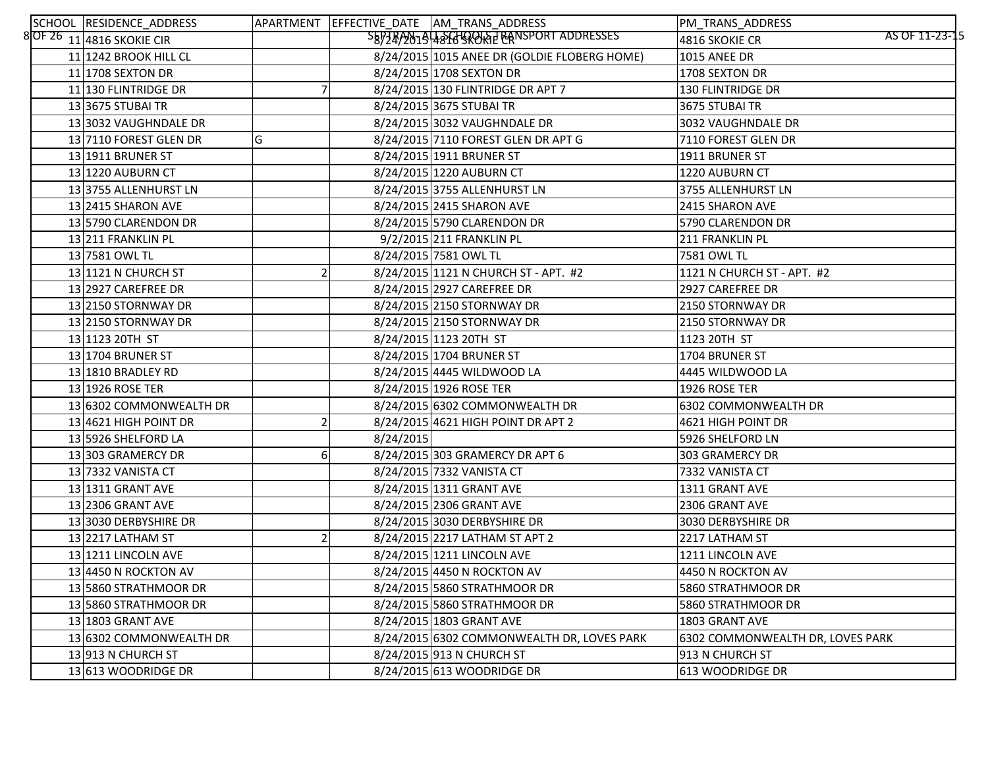| SCHOOL RESIDENCE_ADDRESS       |                |           | APARTMENT EFFECTIVE_DATE AM_TRANS_ADDRESS    | PM_TRANS_ADDRESS                 |                |
|--------------------------------|----------------|-----------|----------------------------------------------|----------------------------------|----------------|
| $8$ OF 26 $11$ 4816 SKOKIE CIR |                |           |                                              | 4816 SKOKIE CR                   | AS OF 11-23-15 |
| 11 1242 BROOK HILL CL          |                |           | 8/24/2015 1015 ANEE DR (GOLDIE FLOBERG HOME) | <b>1015 ANEE DR</b>              |                |
| 11 1708 SEXTON DR              |                |           | 8/24/2015 1708 SEXTON DR                     | 1708 SEXTON DR                   |                |
| 11 130 FLINTRIDGE DR           |                |           | 8/24/2015 130 FLINTRIDGE DR APT 7            | <b>130 FLINTRIDGE DR</b>         |                |
| 13 3675 STUBAI TR              |                |           | 8/24/2015 3675 STUBAI TR                     | 3675 STUBAI TR                   |                |
| 13 3032 VAUGHNDALE DR          |                |           | 8/24/2015 3032 VAUGHNDALE DR                 | 3032 VAUGHNDALE DR               |                |
| 13 7110 FOREST GLEN DR         | G              |           | 8/24/2015 7110 FOREST GLEN DR APT G          | 7110 FOREST GLEN DR              |                |
| 13 1911 BRUNER ST              |                |           | 8/24/2015 1911 BRUNER ST                     | 1911 BRUNER ST                   |                |
| 13 1220 AUBURN CT              |                |           | 8/24/2015 1220 AUBURN CT                     | 1220 AUBURN CT                   |                |
| 13 3755 ALLENHURST LN          |                |           | 8/24/2015 3755 ALLENHURST LN                 | 3755 ALLENHURST LN               |                |
| 13 2415 SHARON AVE             |                |           | 8/24/2015 2415 SHARON AVE                    | 2415 SHARON AVE                  |                |
| 13 5790 CLARENDON DR           |                |           | 8/24/2015 5790 CLARENDON DR                  | 5790 CLARENDON DR                |                |
| 13 211 FRANKLIN PL             |                |           | 9/2/2015 211 FRANKLIN PL                     | 211 FRANKLIN PL                  |                |
| 13 7581 OWL TL                 |                |           | 8/24/2015 7581 OWL TL                        | 7581 OWL TL                      |                |
| 13 1121 N CHURCH ST            |                |           | 8/24/2015 1121 N CHURCH ST - APT. #2         | 1121 N CHURCH ST - APT. #2       |                |
| 13 2927 CAREFREE DR            |                |           | 8/24/2015 2927 CAREFREE DR                   | 2927 CAREFREE DR                 |                |
| 13 2150 STORNWAY DR            |                |           | 8/24/2015 2150 STORNWAY DR                   | 2150 STORNWAY DR                 |                |
| 13 2150 STORNWAY DR            |                |           | 8/24/2015 2150 STORNWAY DR                   | 2150 STORNWAY DR                 |                |
| 13 1123 20TH ST                |                |           | 8/24/2015 1123 20TH ST                       | 1123 20TH ST                     |                |
| 13 1704 BRUNER ST              |                |           | 8/24/2015 1704 BRUNER ST                     | 1704 BRUNER ST                   |                |
| 13 1810 BRADLEY RD             |                |           | 8/24/2015 4445 WILDWOOD LA                   | 4445 WILDWOOD LA                 |                |
| 13 1926 ROSE TER               |                |           | 8/24/2015 1926 ROSE TER                      | 1926 ROSE TER                    |                |
| 13 6302 COMMONWEALTH DR        |                |           | 8/24/2015 6302 COMMONWEALTH DR               | 6302 COMMONWEALTH DR             |                |
| 13 4621 HIGH POINT DR          |                |           | 8/24/2015 4621 HIGH POINT DR APT 2           | 4621 HIGH POINT DR               |                |
| 13 5926 SHELFORD LA            |                | 8/24/2015 |                                              | 5926 SHELFORD LN                 |                |
| 13 303 GRAMERCY DR             |                |           | 8/24/2015 303 GRAMERCY DR APT 6              | 303 GRAMERCY DR                  |                |
| 13 7332 VANISTA CT             |                |           | 8/24/2015 7332 VANISTA CT                    | 7332 VANISTA CT                  |                |
| 13 1311 GRANT AVE              |                |           | 8/24/2015 1311 GRANT AVE                     | 1311 GRANT AVE                   |                |
| 13 2306 GRANT AVE              |                |           | 8/24/2015 2306 GRANT AVE                     | 2306 GRANT AVE                   |                |
| 13 3030 DERBYSHIRE DR          |                |           | 8/24/2015 3030 DERBYSHIRE DR                 | 3030 DERBYSHIRE DR               |                |
| 13 2217 LATHAM ST              | $\overline{2}$ |           | 8/24/2015 2217 LATHAM ST APT 2               | 2217 LATHAM ST                   |                |
| 13 1211 LINCOLN AVE            |                |           | 8/24/2015 1211 LINCOLN AVE                   | 1211 LINCOLN AVE                 |                |
| 13 4450 N ROCKTON AV           |                |           | 8/24/2015 4450 N ROCKTON AV                  | 4450 N ROCKTON AV                |                |
| 13 5860 STRATHMOOR DR          |                |           | 8/24/2015 5860 STRATHMOOR DR                 | 5860 STRATHMOOR DR               |                |
| 13 5860 STRATHMOOR DR          |                |           | 8/24/2015 5860 STRATHMOOR DR                 | 5860 STRATHMOOR DR               |                |
| 13 1803 GRANT AVE              |                |           | 8/24/2015 1803 GRANT AVE                     | 1803 GRANT AVE                   |                |
| 13 6302 COMMONWEALTH DR        |                |           | 8/24/2015 6302 COMMONWEALTH DR, LOVES PARK   | 6302 COMMONWEALTH DR, LOVES PARK |                |
| 13913 N CHURCH ST              |                |           | 8/24/2015 913 N CHURCH ST                    | 913 N CHURCH ST                  |                |
| 13 613 WOODRIDGE DR            |                |           | 8/24/2015 613 WOODRIDGE DR                   | 613 WOODRIDGE DR                 |                |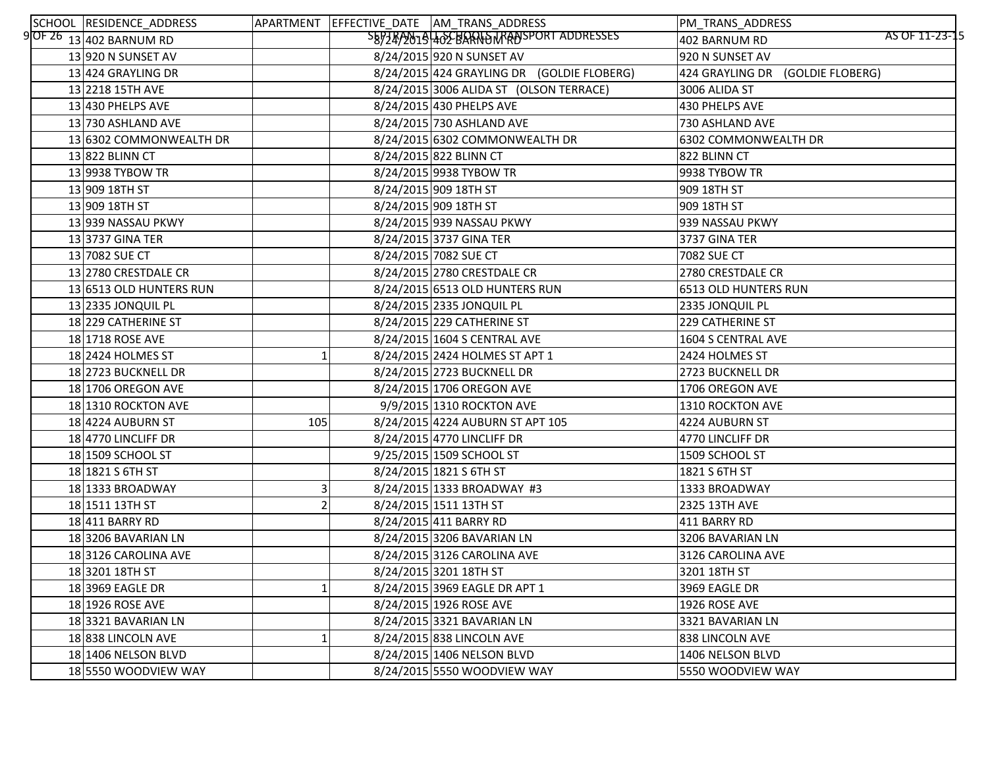| SCHOOL RESIDENCE_ADDRESS   |     | APARTMENT   EFFECTIVE_DATE   AM_TRANS_ADDRESS | PM_TRANS_ADDRESS                    |
|----------------------------|-----|-----------------------------------------------|-------------------------------------|
| 9 OF $26$ 13 402 BARNUM RD |     | SB9749019402BANDMANSPORTADDRESSES             | AS OF 11-23-15<br>402 BARNUM RD     |
| 13 920 N SUNSET AV         |     | 8/24/2015 920 N SUNSET AV                     | 920 N SUNSET AV                     |
| 13 424 GRAYLING DR         |     | 8/24/2015 424 GRAYLING DR (GOLDIE FLOBERG)    | 424 GRAYLING DR<br>(GOLDIE FLOBERG) |
| 13 2218 15TH AVE           |     | 8/24/2015 3006 ALIDA ST (OLSON TERRACE)       | 3006 ALIDA ST                       |
| 13 430 PHELPS AVE          |     | 8/24/2015 430 PHELPS AVE                      | 430 PHELPS AVE                      |
| 13 730 ASHLAND AVE         |     | 8/24/2015 730 ASHLAND AVE                     | 730 ASHLAND AVE                     |
| 13 6302 COMMONWEALTH DR    |     | 8/24/2015 6302 COMMONWEALTH DR                | 6302 COMMONWEALTH DR                |
| 13 822 BLINN CT            |     | 8/24/2015 822 BLINN CT                        | 822 BLINN CT                        |
| 13 9938 TYBOW TR           |     | 8/24/2015 9938 TYBOW TR                       | 9938 TYBOW TR                       |
| 13 909 18TH ST             |     | 8/24/2015 909 18TH ST                         | 909 18TH ST                         |
| 13 909 18TH ST             |     | 8/24/2015 909 18TH ST                         | 909 18TH ST                         |
| 13 939 NASSAU PKWY         |     | 8/24/2015 939 NASSAU PKWY                     | 939 NASSAU PKWY                     |
| 13 3737 GINA TER           |     | 8/24/2015 3737 GINA TER                       | 3737 GINA TER                       |
| 13 7082 SUE CT             |     | 8/24/2015 7082 SUE CT                         | <b>7082 SUE CT</b>                  |
| 13 2780 CRESTDALE CR       |     | 8/24/2015 2780 CRESTDALE CR                   | 2780 CRESTDALE CR                   |
| 13 6513 OLD HUNTERS RUN    |     | 8/24/2015 6513 OLD HUNTERS RUN                | 6513 OLD HUNTERS RUN                |
| 13 2335 JONQUIL PL         |     | 8/24/2015 2335 JONQUIL PL                     | 2335 JONQUIL PL                     |
| 18 229 CATHERINE ST        |     | 8/24/2015 229 CATHERINE ST                    | 229 CATHERINE ST                    |
| 18 1718 ROSE AVE           |     | 8/24/2015 1604 S CENTRAL AVE                  | 1604 S CENTRAL AVE                  |
| 18 2424 HOLMES ST          |     | 8/24/2015 2424 HOLMES ST APT 1                | 2424 HOLMES ST                      |
| 18 2723 BUCKNELL DR        |     | 8/24/2015 2723 BUCKNELL DR                    | 2723 BUCKNELL DR                    |
| 18 1706 OREGON AVE         |     | 8/24/2015 1706 OREGON AVE                     | 1706 OREGON AVE                     |
| 18 1310 ROCKTON AVE        |     | 9/9/2015 1310 ROCKTON AVE                     | 1310 ROCKTON AVE                    |
| 18 4224 AUBURN ST          | 105 | 8/24/2015 4224 AUBURN ST APT 105              | 4224 AUBURN ST                      |
| 18 4770 LINCLIFF DR        |     | 8/24/2015 4770 LINCLIFF DR                    | 4770 LINCLIFF DR                    |
| 18 1509 SCHOOL ST          |     | 9/25/2015 1509 SCHOOL ST                      | 1509 SCHOOL ST                      |
| 18 1821 S 6TH ST           |     | 8/24/2015 1821 S 6TH ST                       | 1821 S 6TH ST                       |
| 18 1333 BROADWAY           |     | 8/24/2015 1333 BROADWAY #3                    | 1333 BROADWAY                       |
| 18 1511 13TH ST            |     | 8/24/2015 1511 13TH ST                        | 2325 13TH AVE                       |
| 18 411 BARRY RD            |     | 8/24/2015 411 BARRY RD                        | 411 BARRY RD                        |
| 18 3206 BAVARIAN LN        |     | 8/24/2015 3206 BAVARIAN LN                    | 3206 BAVARIAN LN                    |
| 183126 CAROLINA AVE        |     | 8/24/2015 3126 CAROLINA AVE                   | 3126 CAROLINA AVE                   |
| 18 3201 18TH ST            |     | 8/24/2015 3201 18TH ST                        | 3201 18TH ST                        |
| 18 3969 EAGLE DR           |     | 8/24/2015 3969 EAGLE DR APT 1                 | 3969 EAGLE DR                       |
| 18 1926 ROSE AVE           |     | 8/24/2015 1926 ROSE AVE                       | 1926 ROSE AVE                       |
| 18 3321 BAVARIAN LN        |     | 8/24/2015 3321 BAVARIAN LN                    | 3321 BAVARIAN LN                    |
| 18838 LINCOLN AVE          |     | 8/24/2015 838 LINCOLN AVE                     | 838 LINCOLN AVE                     |
| 18 1406 NELSON BLVD        |     | 8/24/2015 1406 NELSON BLVD                    | 1406 NELSON BLVD                    |
| 18 5550 WOODVIEW WAY       |     | 8/24/2015 5550 WOODVIEW WAY                   | 5550 WOODVIEW WAY                   |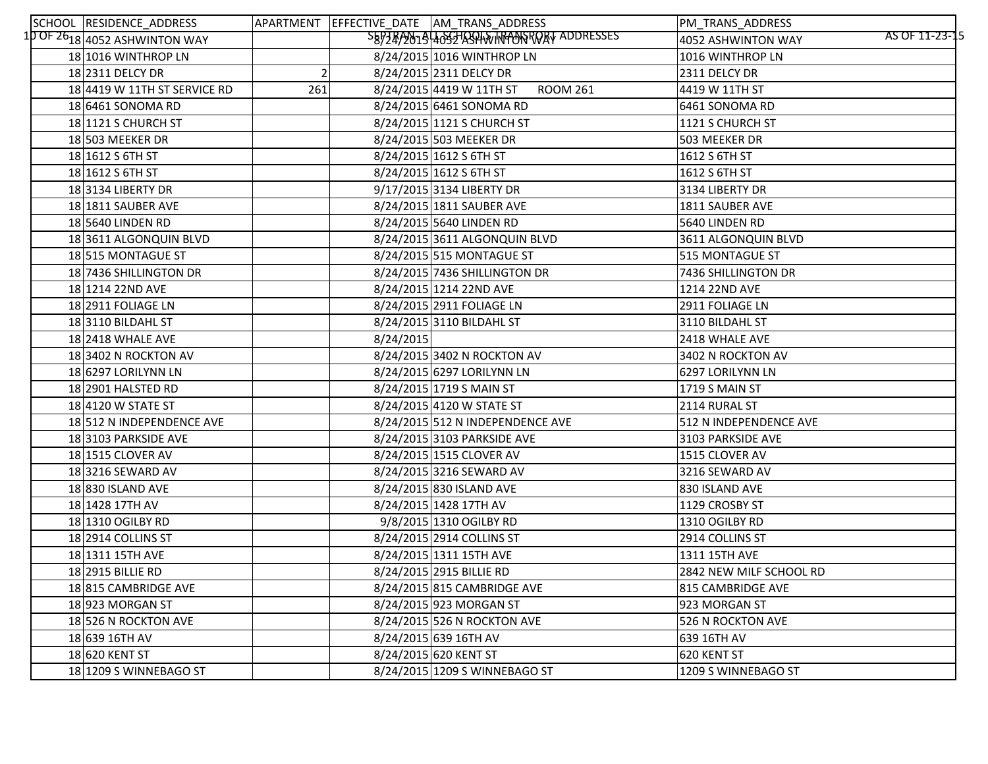| SCHOOL RESIDENCE_ADDRESS                                |     |           | APARTMENT EFFECTIVE DATE AM TRANS ADDRESS   | PM_TRANS_ADDRESS                     |
|---------------------------------------------------------|-----|-----------|---------------------------------------------|--------------------------------------|
| 1 <mark>0 OF 26<sub>18</sub> 4</mark> 052 ASHWINTON WAY |     |           | SEPZEP201940527ASPHA/INPONSROAT ADDRESSES   | AS OF 11-23-15<br>4052 ASHWINTON WAY |
| 18 1016 WINTHROP LN                                     |     |           | 8/24/2015 1016 WINTHROP LN                  | 1016 WINTHROP LN                     |
| 18 2311 DELCY DR                                        |     |           | 8/24/2015 2311 DELCY DR                     | 2311 DELCY DR                        |
| 18 4419 W 11TH ST SERVICE RD                            | 261 |           | 8/24/2015 4419 W 11TH ST<br><b>ROOM 261</b> | 4419 W 11TH ST                       |
| 18 6461 SONOMA RD                                       |     |           | 8/24/2015 6461 SONOMA RD                    | 6461 SONOMA RD                       |
| 18 121 S CHURCH ST                                      |     |           | 8/24/2015 1121 S CHURCH ST                  | 1121 S CHURCH ST                     |
| 18 503 MEEKER DR                                        |     |           | 8/24/2015 503 MEEKER DR                     | 503 MEEKER DR                        |
| $18 1612$ S 6TH ST                                      |     |           | 8/24/2015 1612 S 6TH ST                     | 1612 S 6TH ST                        |
| $18 1612$ S 6TH ST                                      |     |           | 8/24/2015 1612 S 6TH ST                     | 1612 S 6TH ST                        |
| 18 3134 LIBERTY DR                                      |     |           | 9/17/2015 3134 LIBERTY DR                   | 3134 LIBERTY DR                      |
| 18 1811 SAUBER AVE                                      |     |           | 8/24/2015 1811 SAUBER AVE                   | 1811 SAUBER AVE                      |
| 18 5640 LINDEN RD                                       |     |           | 8/24/2015 5640 LINDEN RD                    | 5640 LINDEN RD                       |
| 183611 ALGONQUIN BLVD                                   |     |           | 8/24/2015 3611 ALGONQUIN BLVD               | 3611 ALGONQUIN BLVD                  |
| 18 515 MONTAGUE ST                                      |     |           | 8/24/2015 515 MONTAGUE ST                   | 515 MONTAGUE ST                      |
| 18 7436 SHILLINGTON DR                                  |     |           | 8/24/2015 7436 SHILLINGTON DR               | 7436 SHILLINGTON DR                  |
| 18 1214 22ND AVE                                        |     |           | 8/24/2015 1214 22ND AVE                     | 1214 22ND AVE                        |
| 18 2911 FOLIAGE LN                                      |     |           | 8/24/2015 2911 FOLIAGE LN                   | 2911 FOLIAGE LN                      |
| 18 3110 BILDAHL ST                                      |     |           | 8/24/2015 3110 BILDAHL ST                   | 3110 BILDAHL ST                      |
| 18 2418 WHALE AVE                                       |     | 8/24/2015 |                                             | 2418 WHALE AVE                       |
| 18 3402 N ROCKTON AV                                    |     |           | 8/24/2015 3402 N ROCKTON AV                 | 3402 N ROCKTON AV                    |
| 18 6297 LORILYNN LN                                     |     |           | 8/24/2015 6297 LORILYNN LN                  | 6297 LORILYNN LN                     |
| 18 2901 HALSTED RD                                      |     |           | 8/24/2015 1719 S MAIN ST                    | 1719 S MAIN ST                       |
| 18 4120 W STATE ST                                      |     |           | 8/24/2015 4120 W STATE ST                   | 2114 RURAL ST                        |
| 18 512 N INDEPENDENCE AVE                               |     |           | 8/24/2015 512 N INDEPENDENCE AVE            | 512 N INDEPENDENCE AVE               |
| 18 3103 PARKSIDE AVE                                    |     |           | 8/24/2015 3103 PARKSIDE AVE                 | 3103 PARKSIDE AVE                    |
| 18 1515 CLOVER AV                                       |     |           | 8/24/2015 1515 CLOVER AV                    | 1515 CLOVER AV                       |
| 183216 SEWARD AV                                        |     |           | 8/24/2015 3216 SEWARD AV                    | 3216 SEWARD AV                       |
| 18 830 ISLAND AVE                                       |     |           | 8/24/2015 830 ISLAND AVE                    | 830 ISLAND AVE                       |
| 18 1428 17TH AV                                         |     |           | 8/24/2015 1428 17TH AV                      | 1129 CROSBY ST                       |
| 18 1310 OGILBY RD                                       |     |           | 9/8/2015 1310 OGILBY RD                     | 1310 OGILBY RD                       |
| 18 2914 COLLINS ST                                      |     |           | 8/24/2015 2914 COLLINS ST                   | 2914 COLLINS ST                      |
| 18 1311 15TH AVE                                        |     |           | 8/24/2015 1311 15TH AVE                     | 1311 15TH AVE                        |
| 18 2915 BILLIE RD                                       |     |           | 8/24/2015 2915 BILLIE RD                    | 2842 NEW MILF SCHOOL RD              |
| 18815 CAMBRIDGE AVE                                     |     |           | 8/24/2015 815 CAMBRIDGE AVE                 | 815 CAMBRIDGE AVE                    |
| 18923 MORGAN ST                                         |     |           | 8/24/2015 923 MORGAN ST                     | 923 MORGAN ST                        |
| 18 526 N ROCKTON AVE                                    |     |           | 8/24/2015 526 N ROCKTON AVE                 | 526 N ROCKTON AVE                    |
| 18 639 16TH AV                                          |     |           | 8/24/2015 639 16TH AV                       | 639 16TH AV                          |
| 18 620 KENT ST                                          |     |           | 8/24/2015 620 KENT ST                       | 620 KENT ST                          |
| 18 1209 S WINNEBAGO ST                                  |     |           | 8/24/2015 1209 S WINNEBAGO ST               | 1209 S WINNEBAGO ST                  |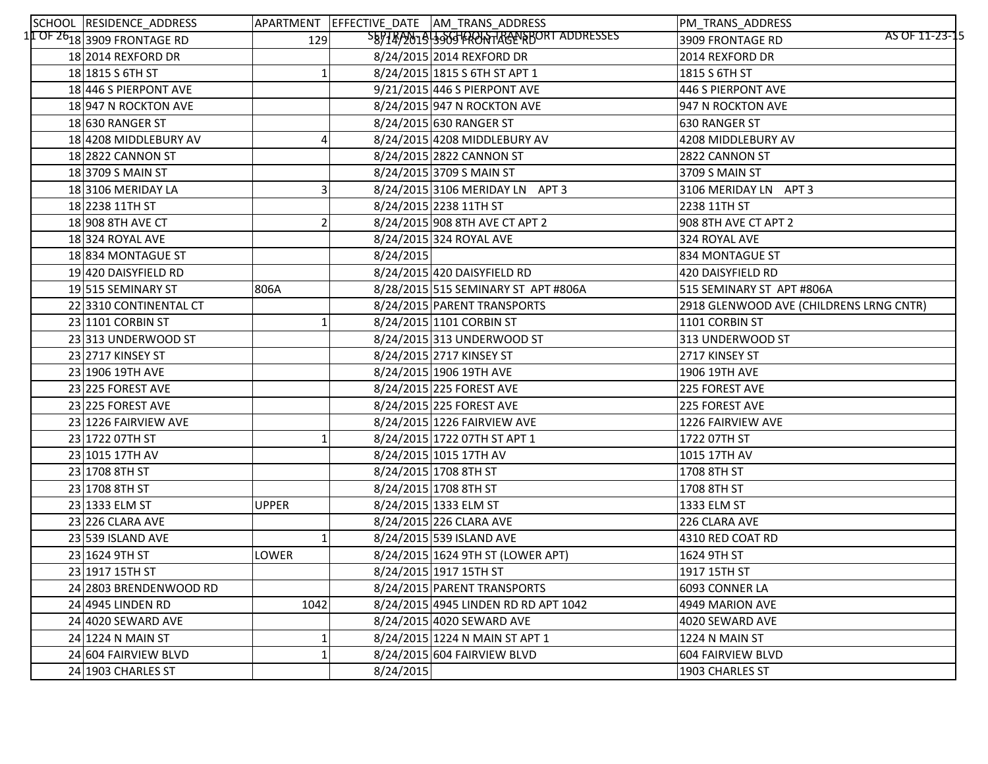| SCHOOL RESIDENCE_ADDRESS         |              |           | APARTMENT EFFECTIVE_DATE AM_TRANS_ADDRESS  | PM_TRANS_ADDRESS                        |
|----------------------------------|--------------|-----------|--------------------------------------------|-----------------------------------------|
| I OF 26 $_{18}$ 3909 FRONTAGE RD | 129          |           | SEPTEP 2019 300 FRONT RGENE BORT ADDRESSES | AS OF 11-23-15<br>3909 FRONTAGE RD      |
| 18 2014 REXFORD DR               |              |           | 8/24/2015 2014 REXFORD DR                  | 2014 REXFORD DR                         |
| $18 1815 S$ 6TH ST               |              |           | 8/24/2015 1815 S 6TH ST APT 1              | 1815 S 6TH ST                           |
| 18 446 S PIERPONT AVE            |              |           | 9/21/2015 446 S PIERPONT AVE               | 446 S PIERPONT AVE                      |
| 18 947 N ROCKTON AVE             |              |           | 8/24/2015 947 N ROCKTON AVE                | 947 N ROCKTON AVE                       |
| 18 630 RANGER ST                 |              |           | 8/24/2015 630 RANGER ST                    | 630 RANGER ST                           |
| 18 4208 MIDDLEBURY AV            |              |           | 8/24/2015 4208 MIDDLEBURY AV               | 4208 MIDDLEBURY AV                      |
| 18 2822 CANNON ST                |              |           | 8/24/2015 2822 CANNON ST                   | 2822 CANNON ST                          |
| 18 3709 S MAIN ST                |              |           | 8/24/2015 3709 S MAIN ST                   | 3709 S MAIN ST                          |
| 18 3106 MERIDAY LA               |              |           | 8/24/2015 3106 MERIDAY LN APT 3            | 3106 MERIDAY LN APT 3                   |
| 18 2238 11TH ST                  |              |           | 8/24/2015 2238 11TH ST                     | 2238 11TH ST                            |
| 18 908 8TH AVE CT                |              |           | 8/24/2015 908 8TH AVE CT APT 2             | 908 8TH AVE CT APT 2                    |
| 18 324 ROYAL AVE                 |              |           | 8/24/2015 324 ROYAL AVE                    | 324 ROYAL AVE                           |
| 18834 MONTAGUE ST                |              | 8/24/2015 |                                            | 834 MONTAGUE ST                         |
| 19 420 DAISYFIELD RD             |              |           | 8/24/2015 420 DAISYFIELD RD                | 420 DAISYFIELD RD                       |
| 19515 SEMINARY ST                | 806A         |           | 8/28/2015 515 SEMINARY ST APT #806A        | 515 SEMINARY ST APT #806A               |
| 22 3310 CONTINENTAL CT           |              |           | 8/24/2015 PARENT TRANSPORTS                | 2918 GLENWOOD AVE (CHILDRENS LRNG CNTR) |
| 23 1101 CORBIN ST                |              |           | 8/24/2015 1101 CORBIN ST                   | 1101 CORBIN ST                          |
| 23 313 UNDERWOOD ST              |              |           | 8/24/2015 313 UNDERWOOD ST                 | 313 UNDERWOOD ST                        |
| 23 2717 KINSEY ST                |              |           | 8/24/2015 2717 KINSEY ST                   | 2717 KINSEY ST                          |
| 23 1906 19TH AVE                 |              |           | 8/24/2015 1906 19TH AVE                    | 1906 19TH AVE                           |
| 23 225 FOREST AVE                |              |           | 8/24/2015 225 FOREST AVE                   | 225 FOREST AVE                          |
| 23 225 FOREST AVE                |              |           | 8/24/2015 225 FOREST AVE                   | 225 FOREST AVE                          |
| 23 1226 FAIRVIEW AVE             |              |           | 8/24/2015 1226 FAIRVIEW AVE                | 1226 FAIRVIEW AVE                       |
| 23 1722 07TH ST                  |              |           | 8/24/2015 1722 07TH ST APT 1               | 1722 07TH ST                            |
| 23 1015 17TH AV                  |              |           | 8/24/2015 1015 17TH AV                     | 1015 17TH AV                            |
| 23 1708 8TH ST                   |              |           | 8/24/2015 1708 8TH ST                      | 1708 8TH ST                             |
| 23 1708 8TH ST                   |              |           | 8/24/2015 1708 8TH ST                      | 1708 8TH ST                             |
| 23 1333 ELM ST                   | <b>UPPER</b> |           | 8/24/2015 1333 ELM ST                      | 1333 ELM ST                             |
| 23 226 CLARA AVE                 |              |           | 8/24/2015 226 CLARA AVE                    | 226 CLARA AVE                           |
| 23 539 ISLAND AVE                |              |           | 8/24/2015 539 ISLAND AVE                   | 4310 RED COAT RD                        |
| 23 1624 9TH ST                   | <b>LOWER</b> |           | 8/24/2015 1624 9TH ST (LOWER APT)          | 1624 9TH ST                             |
| 23 1917 15TH ST                  |              |           | 8/24/2015 1917 15TH ST                     | 1917 15TH ST                            |
| 24 2803 BRENDENWOOD RD           |              |           | 8/24/2015 PARENT TRANSPORTS                | 6093 CONNER LA                          |
| 24 4945 LINDEN RD                | 1042         |           | 8/24/2015 4945 LINDEN RD RD APT 1042       | 4949 MARION AVE                         |
| 24 4020 SEWARD AVE               |              |           | 8/24/2015 4020 SEWARD AVE                  | 4020 SEWARD AVE                         |
| 24 1224 N MAIN ST                |              |           | 8/24/2015 1224 N MAIN ST APT 1             | 1224 N MAIN ST                          |
| 24 604 FAIRVIEW BLVD             |              |           | 8/24/2015 604 FAIRVIEW BLVD                | 604 FAIRVIEW BLVD                       |
| 24 1903 CHARLES ST               |              | 8/24/2015 |                                            | 1903 CHARLES ST                         |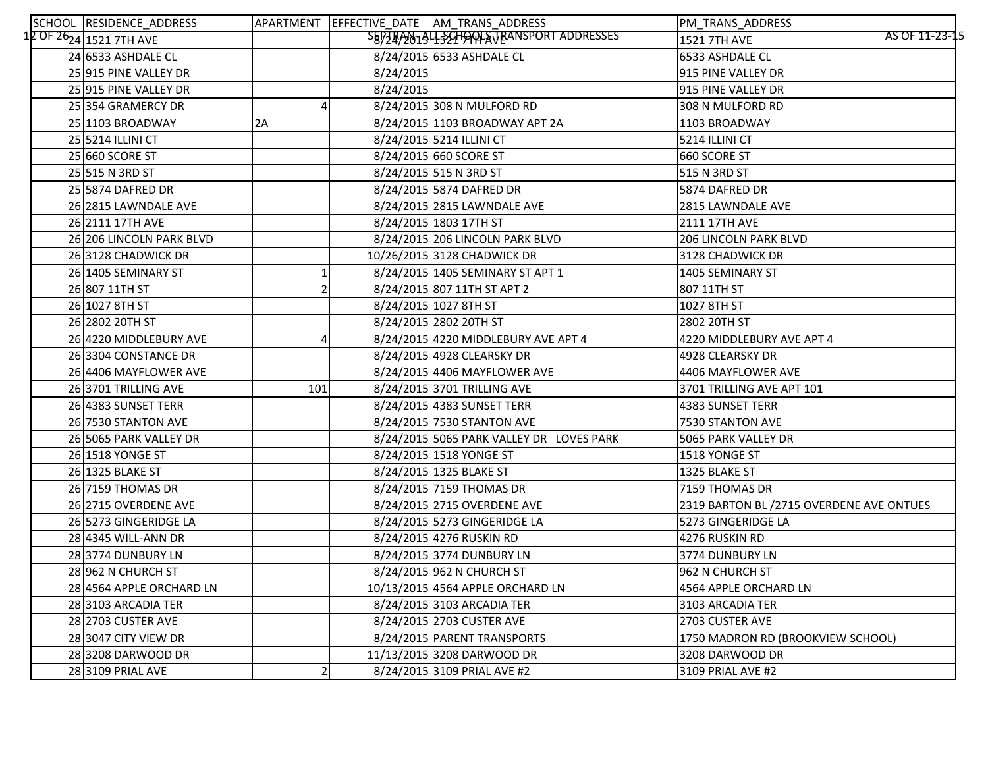| SCHOOL RESIDENCE_ADDRESS                         |           |           | APARTMENT EFFECTIVE DATE AM TRANS ADDRESS | PM_TRANS_ADDRESS                         |
|--------------------------------------------------|-----------|-----------|-------------------------------------------|------------------------------------------|
| 1 <mark>2 OF 26<sub>24</sub> 1521 7TH AVE</mark> |           |           | SB978/2019 1521 PALA JEANSPORT ADDRESSES  | AS OF 11-23-15<br>1521 7TH AVE           |
| 24 6533 ASHDALE CL                               |           |           | 8/24/2015 6533 ASHDALE CL                 | 6533 ASHDALE CL                          |
| 25 915 PINE VALLEY DR                            |           | 8/24/2015 |                                           | 915 PINE VALLEY DR                       |
| 25 915 PINE VALLEY DR                            |           | 8/24/2015 |                                           | 915 PINE VALLEY DR                       |
| 25 354 GRAMERCY DR                               |           |           | 8/24/2015 308 N MULFORD RD                | 308 N MULFORD RD                         |
| 25 1103 BROADWAY                                 | 2A        |           | 8/24/2015 1103 BROADWAY APT 2A            | 1103 BROADWAY                            |
| 25 5214 ILLINI CT                                |           |           | 8/24/2015 5214 ILLINI CT                  | 5214 ILLINI CT                           |
| 25 660 SCORE ST                                  |           |           | 8/24/2015 660 SCORE ST                    | 660 SCORE ST                             |
| 25 515 N 3RD ST                                  |           |           | 8/24/2015 515 N 3RD ST                    | 515 N 3RD ST                             |
| 25 5874 DAFRED DR                                |           |           | 8/24/2015 5874 DAFRED DR                  | 5874 DAFRED DR                           |
| 26 2815 LAWNDALE AVE                             |           |           | 8/24/2015 2815 LAWNDALE AVE               | 2815 LAWNDALE AVE                        |
| 26 2111 17TH AVE                                 |           |           | 8/24/2015 1803 17TH ST                    | 2111 17TH AVE                            |
| 26 206 LINCOLN PARK BLVD                         |           |           | 8/24/2015 206 LINCOLN PARK BLVD           | 206 LINCOLN PARK BLVD                    |
| 26 3128 CHADWICK DR                              |           |           | 10/26/2015 3128 CHADWICK DR               | 3128 CHADWICK DR                         |
| 26 1405 SEMINARY ST                              |           |           | 8/24/2015 1405 SEMINARY ST APT 1          | 1405 SEMINARY ST                         |
| 26 807 11TH ST                                   |           |           | 8/24/2015 807 11TH ST APT 2               | 807 11TH ST                              |
| 26 1027 8TH ST                                   |           |           | 8/24/2015 1027 8TH ST                     | 1027 8TH ST                              |
| 26 2802 20TH ST                                  |           |           | 8/24/2015 2802 20TH ST                    | 2802 20TH ST                             |
| 26 4220 MIDDLEBURY AVE                           | $\Lambda$ |           | 8/24/2015 4220 MIDDLEBURY AVE APT 4       | 4220 MIDDLEBURY AVE APT 4                |
| 26 3304 CONSTANCE DR                             |           |           | 8/24/2015 4928 CLEARSKY DR                | 4928 CLEARSKY DR                         |
| 26 4406 MAYFLOWER AVE                            |           |           | 8/24/2015 4406 MAYFLOWER AVE              | 4406 MAYFLOWER AVE                       |
| 26 3701 TRILLING AVE                             | 101       |           | 8/24/2015 3701 TRILLING AVE               | 3701 TRILLING AVE APT 101                |
| 26 4383 SUNSET TERR                              |           |           | 8/24/2015 4383 SUNSET TERR                | <b>4383 SUNSET TERR</b>                  |
| 26 7530 STANTON AVE                              |           |           | 8/24/2015 7530 STANTON AVE                | 7530 STANTON AVE                         |
| 26 5065 PARK VALLEY DR                           |           |           | 8/24/2015 5065 PARK VALLEY DR LOVES PARK  | 5065 PARK VALLEY DR                      |
| 26 1518 YONGE ST                                 |           |           | 8/24/2015 1518 YONGE ST                   | 1518 YONGE ST                            |
| 26 1325 BLAKE ST                                 |           |           | 8/24/2015 1325 BLAKE ST                   | 1325 BLAKE ST                            |
| 26 7159 THOMAS DR                                |           |           | 8/24/2015 7159 THOMAS DR                  | 7159 THOMAS DR                           |
| 26 2715 OVERDENE AVE                             |           |           | 8/24/2015 2715 OVERDENE AVE               | 2319 BARTON BL /2715 OVERDENE AVE ONTUES |
| 26 5273 GINGERIDGE LA                            |           |           | 8/24/2015 5273 GINGERIDGE LA              | 5273 GINGERIDGE LA                       |
| 28 4345 WILL-ANN DR                              |           |           | 8/24/2015 4276 RUSKIN RD                  | 4276 RUSKIN RD                           |
| 28 3774 DUNBURY LN                               |           |           | 8/24/2015 3774 DUNBURY LN                 | 3774 DUNBURY LN                          |
| 28 962 N CHURCH ST                               |           |           | 8/24/2015 962 N CHURCH ST                 | 962 N CHURCH ST                          |
| 28 4564 APPLE ORCHARD LN                         |           |           | 10/13/2015 4564 APPLE ORCHARD LN          | 4564 APPLE ORCHARD LN                    |
| 28 3103 ARCADIA TER                              |           |           | 8/24/2015 3103 ARCADIA TER                | 3103 ARCADIA TER                         |
| 28 2703 CUSTER AVE                               |           |           | 8/24/2015 2703 CUSTER AVE                 | 2703 CUSTER AVE                          |
| 28 3047 CITY VIEW DR                             |           |           | 8/24/2015 PARENT TRANSPORTS               | 1750 MADRON RD (BROOKVIEW SCHOOL)        |
| 28 3208 DARWOOD DR                               |           |           | 11/13/2015 3208 DARWOOD DR                | 3208 DARWOOD DR                          |
| 28 3109 PRIAL AVE                                |           |           | 8/24/2015 3109 PRIAL AVE #2               | 3109 PRIAL AVE #2                        |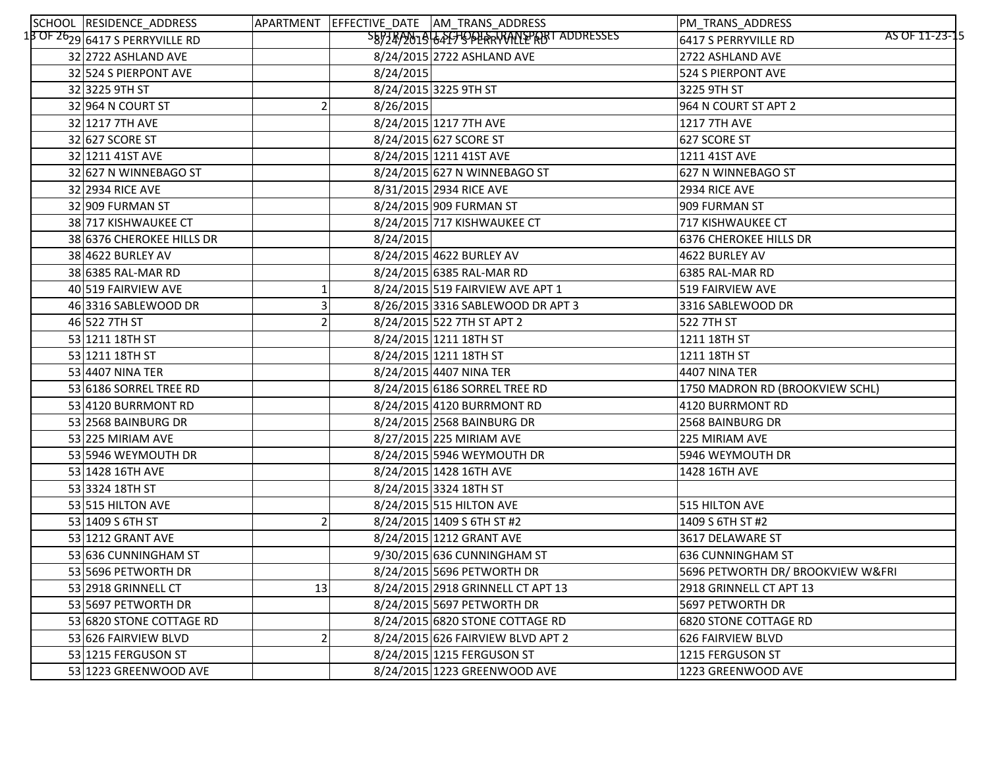| SCHOOL RESIDENCE_ADDRESS                                 |    |           | APARTMENT EFFECTIVE_DATE AM_TRANS_ADDRESS | PM_TRANS_ADDRESS                       |
|----------------------------------------------------------|----|-----------|-------------------------------------------|----------------------------------------|
| $1\overline{3}$ OF 26 <sub>29</sub> 6417 S PERRYVILLE RD |    |           | SEPZEP0019 64 FFJORLARTANLEPROT ADDRESSES | AS OF 11-23-15<br>6417 S PERRYVILLE RD |
| 32 2722 ASHLAND AVE                                      |    |           | 8/24/2015 2722 ASHLAND AVE                | 2722 ASHLAND AVE                       |
| 32 524 S PIERPONT AVE                                    |    | 8/24/2015 |                                           | 524 S PIERPONT AVE                     |
| 32 3225 9TH ST                                           |    |           | 8/24/2015 3225 9TH ST                     | 3225 9TH ST                            |
| 32 964 N COURT ST                                        |    | 8/26/2015 |                                           | 964 N COURT ST APT 2                   |
| 32 1217 7TH AVE                                          |    |           | 8/24/2015 1217 7TH AVE                    | <b>1217 7TH AVE</b>                    |
| 32 627 SCORE ST                                          |    |           | 8/24/2015 627 SCORE ST                    | 627 SCORE ST                           |
| 32 1211 41ST AVE                                         |    |           | 8/24/2015 1211 41ST AVE                   | 1211 41ST AVE                          |
| 32 627 N WINNEBAGO ST                                    |    |           | 8/24/2015 627 N WINNEBAGO ST              | 627 N WINNEBAGO ST                     |
| 32 2934 RICE AVE                                         |    |           | 8/31/2015 2934 RICE AVE                   | 2934 RICE AVE                          |
| 32 909 FURMAN ST                                         |    |           | 8/24/2015 909 FURMAN ST                   | 909 FURMAN ST                          |
| 38 717 KISHWAUKEE CT                                     |    |           | 8/24/2015 717 KISHWAUKEE CT               | 717 KISHWAUKEE CT                      |
| 38 6376 CHEROKEE HILLS DR                                |    | 8/24/2015 |                                           | <b>6376 CHEROKEE HILLS DR</b>          |
| 38 4622 BURLEY AV                                        |    |           | 8/24/2015 4622 BURLEY AV                  | 4622 BURLEY AV                         |
| 38 6385 RAL-MAR RD                                       |    |           | 8/24/2015 6385 RAL-MAR RD                 | 6385 RAL-MAR RD                        |
| 40 519 FAIRVIEW AVE                                      |    |           | 8/24/2015 519 FAIRVIEW AVE APT 1          | 519 FAIRVIEW AVE                       |
| 46 3316 SABLEWOOD DR                                     |    |           | 8/26/2015 3316 SABLEWOOD DR APT 3         | 3316 SABLEWOOD DR                      |
| 46 522 7TH ST                                            |    |           | 8/24/2015 522 7TH ST APT 2                | 522 7TH ST                             |
| 53 1211 18TH ST                                          |    |           | 8/24/2015 1211 18TH ST                    | 1211 18TH ST                           |
| 53 1211 18TH ST                                          |    |           | 8/24/2015 1211 18TH ST                    | 1211 18TH ST                           |
| 53 4407 NINA TER                                         |    |           | 8/24/2015 4407 NINA TER                   | 4407 NINA TER                          |
| 53 6186 SORREL TREE RD                                   |    |           | 8/24/2015 6186 SORREL TREE RD             | 1750 MADRON RD (BROOKVIEW SCHL)        |
| 53 4120 BURRMONT RD                                      |    |           | 8/24/2015 4120 BURRMONT RD                | 4120 BURRMONT RD                       |
| 53 2568 BAINBURG DR                                      |    |           | 8/24/2015 2568 BAINBURG DR                | 2568 BAINBURG DR                       |
| 53 225 MIRIAM AVE                                        |    |           | 8/27/2015 225 MIRIAM AVE                  | 225 MIRIAM AVE                         |
| 53 5946 WEYMOUTH DR                                      |    |           | 8/24/2015 5946 WEYMOUTH DR                | 5946 WEYMOUTH DR                       |
| 53 1428 16TH AVE                                         |    |           | 8/24/2015 1428 16TH AVE                   | 1428 16TH AVE                          |
| 53 3324 18TH ST                                          |    |           | 8/24/2015 3324 18TH ST                    |                                        |
| 53 515 HILTON AVE                                        |    |           | 8/24/2015 515 HILTON AVE                  | 515 HILTON AVE                         |
| 53 1409 S 6TH ST                                         |    |           | 8/24/2015 1409 S 6TH ST #2                | 1409 S 6TH ST #2                       |
| 53 1212 GRANT AVE                                        |    |           | 8/24/2015 1212 GRANT AVE                  | 3617 DELAWARE ST                       |
| 53 636 CUNNINGHAM ST                                     |    |           | 9/30/2015 636 CUNNINGHAM ST               | 636 CUNNINGHAM ST                      |
| 53 5696 PETWORTH DR                                      |    |           | 8/24/2015 5696 PETWORTH DR                | 5696 PETWORTH DR/ BROOKVIEW W&FRI      |
| 53 2918 GRINNELL CT                                      | 13 |           | 8/24/2015 2918 GRINNELL CT APT 13         | 2918 GRINNELL CT APT 13                |
| 53 5697 PETWORTH DR                                      |    |           | 8/24/2015 5697 PETWORTH DR                | 5697 PETWORTH DR                       |
| 53 6820 STONE COTTAGE RD                                 |    |           | 8/24/2015 6820 STONE COTTAGE RD           | 6820 STONE COTTAGE RD                  |
| 53 626 FAIRVIEW BLVD                                     |    |           | 8/24/2015 626 FAIRVIEW BLVD APT 2         | 626 FAIRVIEW BLVD                      |
| 53 1215 FERGUSON ST                                      |    |           | 8/24/2015 1215 FERGUSON ST                | 1215 FERGUSON ST                       |
| 53 1223 GREENWOOD AVE                                    |    |           | 8/24/2015 1223 GREENWOOD AVE              | 1223 GREENWOOD AVE                     |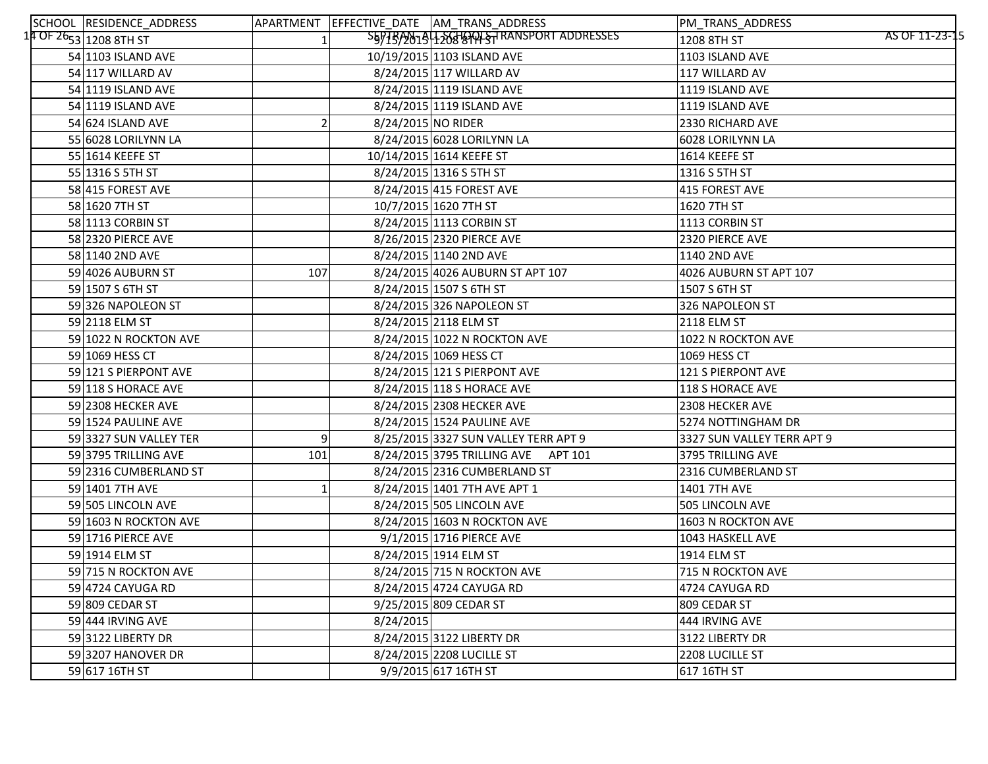| SCHOOL RESIDENCE_ADDRESS           |                |                    | APARTMENT EFFECTIVE_DATE AM_TRANS_ADDRESS | PM_TRANS_ADDRESS              |
|------------------------------------|----------------|--------------------|-------------------------------------------|-------------------------------|
| 14 OF 26 <sub>53</sub> 1208 8TH ST |                |                    | S5975/2019 1200 GTRANSPORT ADDRESSES      | AS OF 11-23-15<br>1208 8TH ST |
| 54 1103 ISLAND AVE                 |                |                    | 10/19/2015 1103 ISLAND AVE                | 1103 ISLAND AVE               |
| 54 117 WILLARD AV                  |                |                    | 8/24/2015 117 WILLARD AV                  | 117 WILLARD AV                |
| 54 1119 ISLAND AVE                 |                |                    | 8/24/2015 1119 ISLAND AVE                 | 1119 ISLAND AVE               |
| 54 1119 ISLAND AVE                 |                |                    | 8/24/2015 1119 ISLAND AVE                 | 1119 ISLAND AVE               |
| 54 624 ISLAND AVE                  |                | 8/24/2015 NO RIDER |                                           | 2330 RICHARD AVE              |
| 55 6028 LORILYNN LA                |                |                    | 8/24/2015 6028 LORILYNN LA                | 6028 LORILYNN LA              |
| 55 1614 KEEFE ST                   |                |                    | 10/14/2015 1614 KEEFE ST                  | 1614 KEEFE ST                 |
| 55 1316 S 5TH ST                   |                |                    | 8/24/2015 1316 S 5TH ST                   | 1316 S 5TH ST                 |
| 58 415 FOREST AVE                  |                |                    | 8/24/2015 415 FOREST AVE                  | 415 FOREST AVE                |
| 58 1620 7TH ST                     |                |                    | 10/7/2015 1620 7TH ST                     | 1620 7TH ST                   |
| 58 1113 CORBIN ST                  |                |                    | 8/24/2015 1113 CORBIN ST                  | 1113 CORBIN ST                |
| 58 2320 PIERCE AVE                 |                |                    | 8/26/2015 2320 PIERCE AVE                 | 2320 PIERCE AVE               |
| 58 1140 2ND AVE                    |                |                    | 8/24/2015 1140 2ND AVE                    | 1140 2ND AVE                  |
| 59 4026 AUBURN ST                  | 107            |                    | 8/24/2015 4026 AUBURN ST APT 107          | 4026 AUBURN ST APT 107        |
| 59 1507 S 6TH ST                   |                |                    | 8/24/2015 1507 S 6TH ST                   | 1507 S 6TH ST                 |
| 59 326 NAPOLEON ST                 |                |                    | 8/24/2015 326 NAPOLEON ST                 | 326 NAPOLEON ST               |
| 59 2118 ELM ST                     |                |                    | 8/24/2015 2118 ELM ST                     | <b>2118 ELM ST</b>            |
| 59 1022 N ROCKTON AVE              |                |                    | 8/24/2015 1022 N ROCKTON AVE              | 1022 N ROCKTON AVE            |
| 59 1069 HESS CT                    |                |                    | 8/24/2015 1069 HESS CT                    | 1069 HESS CT                  |
| 59 121 S PIERPONT AVE              |                |                    | 8/24/2015 121 S PIERPONT AVE              | 121 S PIERPONT AVE            |
| 59 118 S HORACE AVE                |                |                    | 8/24/2015 118 S HORACE AVE                | 118 S HORACE AVE              |
| 59 2308 HECKER AVE                 |                |                    | 8/24/2015 2308 HECKER AVE                 | 2308 HECKER AVE               |
| 59 1524 PAULINE AVE                |                |                    | 8/24/2015 1524 PAULINE AVE                | 5274 NOTTINGHAM DR            |
| 59 3327 SUN VALLEY TER             | 9 <sup>1</sup> |                    | 8/25/2015 3327 SUN VALLEY TERR APT 9      | 3327 SUN VALLEY TERR APT 9    |
| 59 3795 TRILLING AVE               | 101            |                    | 8/24/2015 3795 TRILLING AVE APT 101       | 3795 TRILLING AVE             |
| 59 2316 CUMBERLAND ST              |                |                    | 8/24/2015 2316 CUMBERLAND ST              | 2316 CUMBERLAND ST            |
| 59 1401 7TH AVE                    |                |                    | 8/24/2015 1401 7TH AVE APT 1              | 1401 7TH AVE                  |
| 59 505 LINCOLN AVE                 |                |                    | 8/24/2015 505 LINCOLN AVE                 | 505 LINCOLN AVE               |
| 59 1603 N ROCKTON AVE              |                |                    | 8/24/2015 1603 N ROCKTON AVE              | 1603 N ROCKTON AVE            |
| 59 1716 PIERCE AVE                 |                |                    | 9/1/2015 1716 PIERCE AVE                  | 1043 HASKELL AVE              |
| 59 1914 ELM ST                     |                |                    | 8/24/2015 1914 ELM ST                     | 1914 ELM ST                   |
| 59 715 N ROCKTON AVE               |                |                    | 8/24/2015 715 N ROCKTON AVE               | <b>715 N ROCKTON AVE</b>      |
| 59 4724 CAYUGA RD                  |                |                    | 8/24/2015 4724 CAYUGA RD                  | 4724 CAYUGA RD                |
| 59 809 CEDAR ST                    |                |                    | 9/25/2015 809 CEDAR ST                    | 809 CEDAR ST                  |
| 59 444 IRVING AVE                  |                | 8/24/2015          |                                           | 444 IRVING AVE                |
| 59 3122 LIBERTY DR                 |                |                    | 8/24/2015 3122 LIBERTY DR                 | 3122 LIBERTY DR               |
| 59 3207 HANOVER DR                 |                |                    | 8/24/2015 2208 LUCILLE ST                 | 2208 LUCILLE ST               |
| 59 617 16TH ST                     |                |                    | 9/9/2015 617 16TH ST                      | 617 16TH ST                   |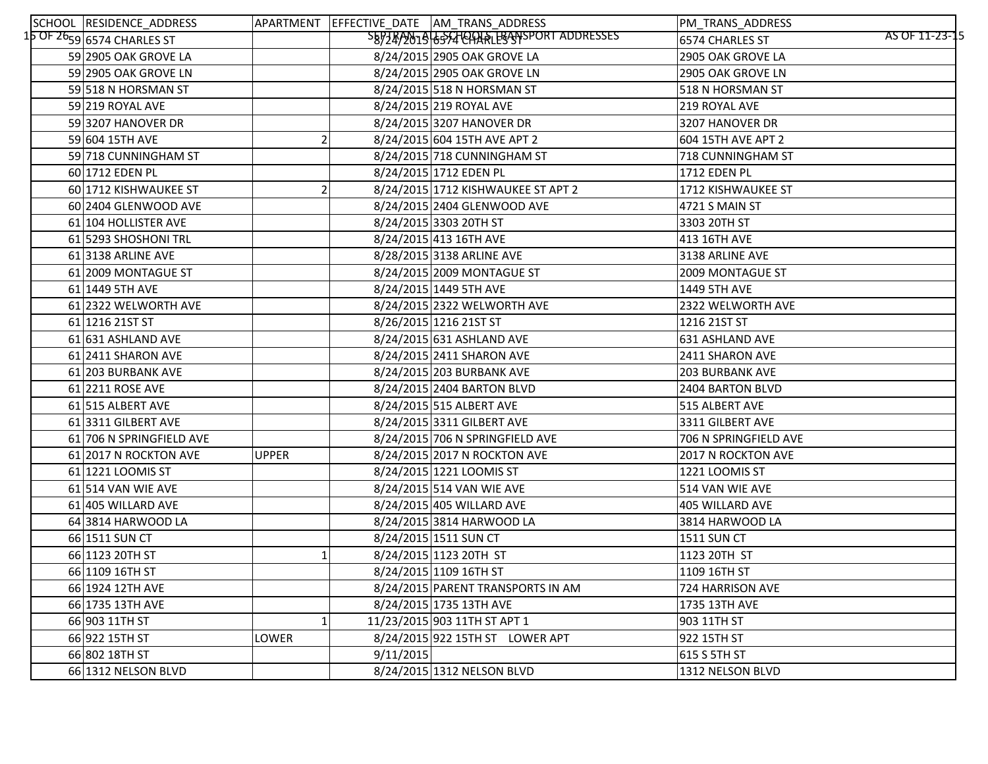| SCHOOL RESIDENCE_ADDRESS               |              |           | APARTMENT EFFECTIVE DATE AM TRANS ADDRESS | PM_TRANS_ADDRESS                  |
|----------------------------------------|--------------|-----------|-------------------------------------------|-----------------------------------|
| $15$ OF $26$ 59 $\mid$ 6574 CHARLES ST |              |           | SEPZEP2019 6554 CANALES ANSPORT ADDRESSES | AS OF 11-23-15<br>6574 CHARLES ST |
| 59 2905 OAK GROVE LA                   |              |           | 8/24/2015 2905 OAK GROVE LA               | 2905 OAK GROVE LA                 |
| 59 2905 OAK GROVE LN                   |              |           | 8/24/2015 2905 OAK GROVE LN               | 2905 OAK GROVE LN                 |
| 59 518 N HORSMAN ST                    |              |           | 8/24/2015 518 N HORSMAN ST                | 518 N HORSMAN ST                  |
| 59 219 ROYAL AVE                       |              |           | 8/24/2015 219 ROYAL AVE                   | 219 ROYAL AVE                     |
| 59 3207 HANOVER DR                     |              |           | 8/24/2015 3207 HANOVER DR                 | 3207 HANOVER DR                   |
| 59 604 15TH AVE                        |              |           | 8/24/2015 604 15TH AVE APT 2              | 604 15TH AVE APT 2                |
| 59 718 CUNNINGHAM ST                   |              |           | 8/24/2015 718 CUNNINGHAM ST               | 718 CUNNINGHAM ST                 |
| 60 1712 EDEN PL                        |              |           | 8/24/2015 1712 EDEN PL                    | 1712 EDEN PL                      |
| 60 1712 KISHWAUKEE ST                  |              |           | 8/24/2015 1712 KISHWAUKEE ST APT 2        | 1712 KISHWAUKEE ST                |
| 60 2404 GLENWOOD AVE                   |              |           | 8/24/2015 2404 GLENWOOD AVE               | 4721 S MAIN ST                    |
| 61 104 HOLLISTER AVE                   |              |           | 8/24/2015 3303 20TH ST                    | 3303 20TH ST                      |
| 61 5293 SHOSHONI TRL                   |              |           | 8/24/2015 413 16TH AVE                    | 413 16TH AVE                      |
| 61 3138 ARLINE AVE                     |              |           | 8/28/2015 3138 ARLINE AVE                 | 3138 ARLINE AVE                   |
| 61 2009 MONTAGUE ST                    |              |           | 8/24/2015 2009 MONTAGUE ST                | 2009 MONTAGUE ST                  |
| 61 1449 5TH AVE                        |              |           | 8/24/2015 1449 5TH AVE                    | 1449 5TH AVE                      |
| 61 2322 WELWORTH AVE                   |              |           | 8/24/2015 2322 WELWORTH AVE               | 2322 WELWORTH AVE                 |
| 61 1216 21ST ST                        |              |           | 8/26/2015 1216 21ST ST                    | 1216 21ST ST                      |
| 61 631 ASHLAND AVE                     |              |           | 8/24/2015 631 ASHLAND AVE                 | 631 ASHLAND AVE                   |
| 61 2411 SHARON AVE                     |              |           | 8/24/2015 2411 SHARON AVE                 | 2411 SHARON AVE                   |
| 61 203 BURBANK AVE                     |              |           | 8/24/2015 203 BURBANK AVE                 | <b>203 BURBANK AVE</b>            |
| 61 2211 ROSE AVE                       |              |           | 8/24/2015 2404 BARTON BLVD                | 2404 BARTON BLVD                  |
| 61 515 ALBERT AVE                      |              |           | 8/24/2015 515 ALBERT AVE                  | 515 ALBERT AVE                    |
| 61 3311 GILBERT AVE                    |              |           | 8/24/2015 3311 GILBERT AVE                | 3311 GILBERT AVE                  |
| 61 706 N SPRINGFIELD AVE               |              |           | 8/24/2015 706 N SPRINGFIELD AVE           | 706 N SPRINGFIELD AVE             |
| 61 2017 N ROCKTON AVE                  | <b>UPPER</b> |           | 8/24/2015 2017 N ROCKTON AVE              | 2017 N ROCKTON AVE                |
| 61 1221 LOOMIS ST                      |              |           | 8/24/2015 1221 LOOMIS ST                  | 1221 LOOMIS ST                    |
| 61 514 VAN WIE AVE                     |              |           | 8/24/2015 514 VAN WIE AVE                 | 514 VAN WIE AVE                   |
| 61 405 WILLARD AVE                     |              |           | 8/24/2015 405 WILLARD AVE                 | 405 WILLARD AVE                   |
| 64 3814 HARWOOD LA                     |              |           | 8/24/2015 3814 HARWOOD LA                 | 3814 HARWOOD LA                   |
| 66 1511 SUN CT                         |              |           | 8/24/2015 1511 SUN CT                     | <b>1511 SUN CT</b>                |
| 66 1123 20TH ST                        |              |           | 8/24/2015 1123 20TH ST                    | 1123 20TH ST                      |
| 66 1109 16TH ST                        |              |           | 8/24/2015 1109 16TH ST                    | 1109 16TH ST                      |
| 66 1924 12TH AVE                       |              |           | 8/24/2015 PARENT TRANSPORTS IN AM         | 724 HARRISON AVE                  |
| 66 1735 13TH AVE                       |              |           | 8/24/2015 1735 13TH AVE                   | 1735 13TH AVE                     |
| 66 903 11TH ST                         |              |           | 11/23/2015 903 11TH ST APT 1              | 903 11TH ST                       |
| 66 922 15TH ST                         | LOWER        |           | 8/24/2015 922 15TH ST LOWER APT           | 922 15TH ST                       |
| 66 802 18TH ST                         |              | 9/11/2015 |                                           | 615 S 5TH ST                      |
| 66 1312 NELSON BLVD                    |              |           | 8/24/2015 1312 NELSON BLVD                | 1312 NELSON BLVD                  |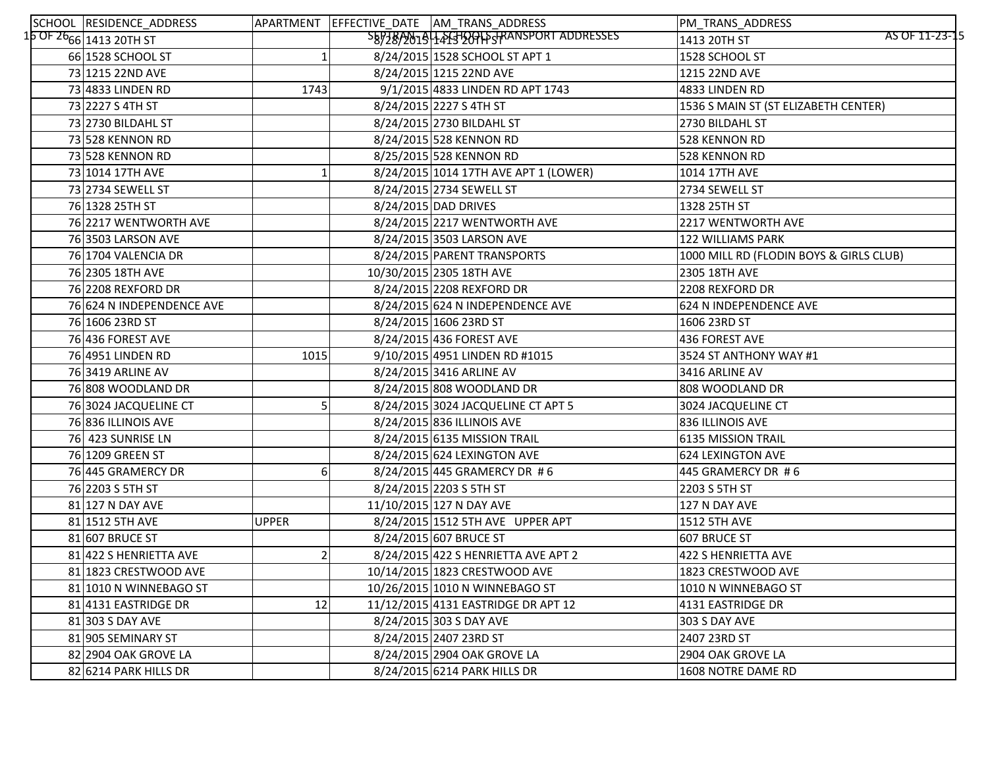| SCHOOL RESIDENCE_ADDRESS                          |              | APARTMENT EFFECTIVE_DATE AM_TRANS_ADDRESS | PM_TRANS_ADDRESS                        |
|---------------------------------------------------|--------------|-------------------------------------------|-----------------------------------------|
| 1 <mark>6 OF 26<sub>66</sub> 1</mark> 413 20ТН ST |              | SEPTEAN1944FGHQOHSTRANSPORT ADDRESSES     | AS OF 11-23-15<br>1413 20TH ST          |
| 66 1528 SCHOOL ST                                 |              | 8/24/2015 1528 SCHOOL ST APT 1            | 1528 SCHOOL ST                          |
| 73 1215 22ND AVE                                  |              | 8/24/2015 1215 22ND AVE                   | 1215 22ND AVE                           |
| 73 4833 LINDEN RD                                 | 1743         | 9/1/2015 4833 LINDEN RD APT 1743          | 4833 LINDEN RD                          |
| 73 2227 S 4TH ST                                  |              | 8/24/2015 2227 S 4TH ST                   | 1536 S MAIN ST (ST ELIZABETH CENTER)    |
| 73 2730 BILDAHL ST                                |              | 8/24/2015 2730 BILDAHL ST                 | 2730 BILDAHL ST                         |
| 73 528 KENNON RD                                  |              | 8/24/2015 528 KENNON RD                   | 528 KENNON RD                           |
| 73 528 KENNON RD                                  |              | 8/25/2015 528 KENNON RD                   | 528 KENNON RD                           |
| 73 1014 17TH AVE                                  |              | 8/24/2015 1014 17TH AVE APT 1 (LOWER)     | 1014 17TH AVE                           |
| 73 2734 SEWELL ST                                 |              | 8/24/2015 2734 SEWELL ST                  | 2734 SEWELL ST                          |
| 76 1328 25TH ST                                   |              | 8/24/2015 DAD DRIVES                      | 1328 25TH ST                            |
| 76 2217 WENTWORTH AVE                             |              | 8/24/2015 2217 WENTWORTH AVE              | 2217 WENTWORTH AVE                      |
| 76 3503 LARSON AVE                                |              | 8/24/2015 3503 LARSON AVE                 | <b>122 WILLIAMS PARK</b>                |
| 76 1704 VALENCIA DR                               |              | 8/24/2015 PARENT TRANSPORTS               | 1000 MILL RD (FLODIN BOYS & GIRLS CLUB) |
| 76 2305 18TH AVE                                  |              | 10/30/2015 2305 18TH AVE                  | 2305 18TH AVE                           |
| 76 2208 REXFORD DR                                |              | 8/24/2015 2208 REXFORD DR                 | 2208 REXFORD DR                         |
| 76 624 N INDEPENDENCE AVE                         |              | 8/24/2015 624 N INDEPENDENCE AVE          | 624 N INDEPENDENCE AVE                  |
| 76 1606 23RD ST                                   |              | 8/24/2015 1606 23RD ST                    | 1606 23RD ST                            |
| 76 436 FOREST AVE                                 |              | 8/24/2015 436 FOREST AVE                  | 436 FOREST AVE                          |
| 76 4951 LINDEN RD                                 | 1015         | 9/10/2015 4951 LINDEN RD #1015            | 3524 ST ANTHONY WAY #1                  |
| 76 3419 ARLINE AV                                 |              | 8/24/2015 3416 ARLINE AV                  | 3416 ARLINE AV                          |
| 76 808 WOODLAND DR                                |              | 8/24/2015 808 WOODLAND DR                 | 808 WOODLAND DR                         |
| 76 3024 JACQUELINE CT                             |              | 8/24/2015 3024 JACQUELINE CT APT 5        | 3024 JACQUELINE CT                      |
| 76 836 ILLINOIS AVE                               |              | 8/24/2015 836 ILLINOIS AVE                | 836 ILLINOIS AVE                        |
| 76 423 SUNRISE LN                                 |              | 8/24/2015 6135 MISSION TRAIL              | 6135 MISSION TRAIL                      |
| 76 1209 GREEN ST                                  |              | 8/24/2015 624 LEXINGTON AVE               | <b>624 LEXINGTON AVE</b>                |
| 76 445 GRAMERCY DR                                | 6            | 8/24/2015 445 GRAMERCY DR #6              | 445 GRAMERCY DR #6                      |
| 76 2203 S 5TH ST                                  |              | 8/24/2015 2203 S 5TH ST                   | 2203 S 5TH ST                           |
| 81 127 N DAY AVE                                  |              | 11/10/2015 127 N DAY AVE                  | 127 N DAY AVE                           |
| 81 1512 5TH AVE                                   | <b>UPPER</b> | 8/24/2015 1512 5TH AVE UPPER APT          | <b>1512 5TH AVE</b>                     |
| 81 607 BRUCE ST                                   |              | 8/24/2015 607 BRUCE ST                    | 607 BRUCE ST                            |
| 81 422 S HENRIETTA AVE                            |              | 8/24/2015 422 S HENRIETTA AVE APT 2       | 422 S HENRIETTA AVE                     |
| 81 1823 CRESTWOOD AVE                             |              | 10/14/2015 1823 CRESTWOOD AVE             | 1823 CRESTWOOD AVE                      |
| 81 1010 N WINNEBAGO ST                            |              | 10/26/2015 1010 N WINNEBAGO ST            | 1010 N WINNEBAGO ST                     |
| 81 4131 EASTRIDGE DR                              | 12           | 11/12/2015 4131 EASTRIDGE DR APT 12       | 4131 EASTRIDGE DR                       |
| 81 303 S DAY AVE                                  |              | 8/24/2015 303 S DAY AVE                   | 303 S DAY AVE                           |
| 81 905 SEMINARY ST                                |              | 8/24/2015 2407 23RD ST                    | 2407 23RD ST                            |
| 82 2904 OAK GROVE LA                              |              | 8/24/2015 2904 OAK GROVE LA               | 2904 OAK GROVE LA                       |
| 82 6214 PARK HILLS DR                             |              | 8/24/2015 6214 PARK HILLS DR              | 1608 NOTRE DAME RD                      |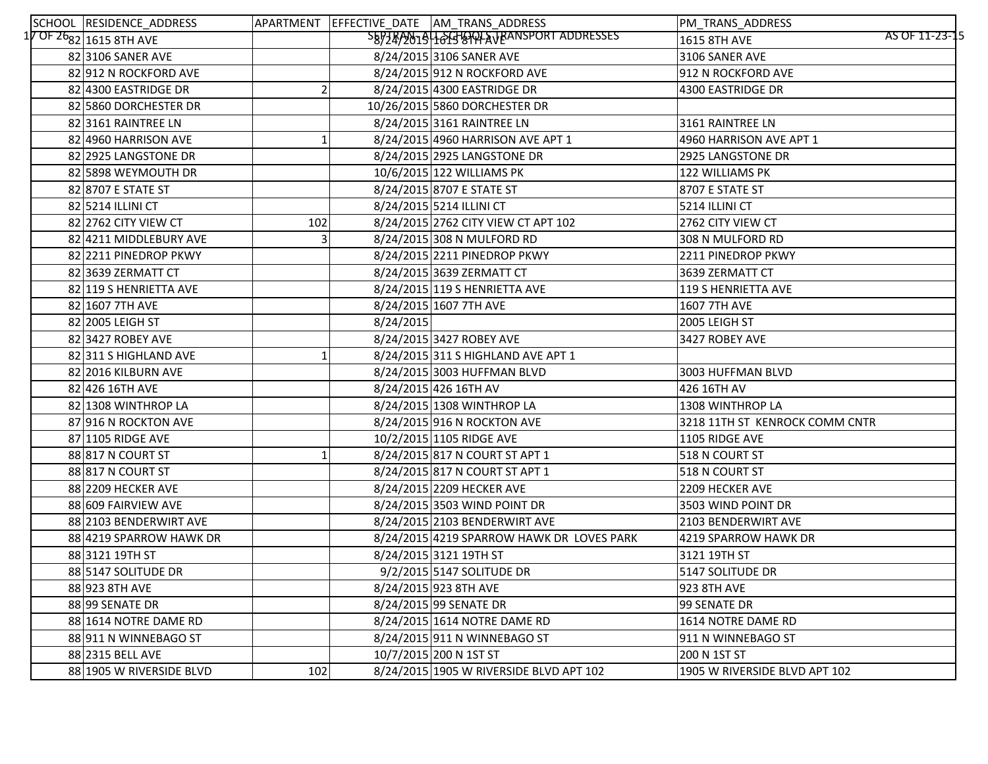| SCHOOL RESIDENCE_ADDRESS          |     |           | APARTMENT EFFECTIVE_DATE AM_TRANS_ADDRESS | PM_TRANS_ADDRESS               |
|-----------------------------------|-----|-----------|-------------------------------------------|--------------------------------|
| $17$ OF $26_{82} _{1615}$ 8TH AVE |     |           | SB97RA01916GHOOLAJRANSPORT ADDRESSES      | AS OF 11-23-15<br>1615 8TH AVE |
| 82 3106 SANER AVE                 |     |           | 8/24/2015 3106 SANER AVE                  | 3106 SANER AVE                 |
| 82 912 N ROCKFORD AVE             |     |           | 8/24/2015 912 N ROCKFORD AVE              | 912 N ROCKFORD AVE             |
| 82 4300 EASTRIDGE DR              |     |           | 8/24/2015 4300 EASTRIDGE DR               | 4300 EASTRIDGE DR              |
| 82 5860 DORCHESTER DR             |     |           | 10/26/2015 5860 DORCHESTER DR             |                                |
| 82 3161 RAINTREE LN               |     |           | 8/24/2015 3161 RAINTREE LN                | 3161 RAINTREE LN               |
| 82 4960 HARRISON AVE              |     |           | 8/24/2015 4960 HARRISON AVE APT 1         | 4960 HARRISON AVE APT 1        |
| 82 2925 LANGSTONE DR              |     |           | 8/24/2015 2925 LANGSTONE DR               | 2925 LANGSTONE DR              |
| 82 5898 WEYMOUTH DR               |     |           | 10/6/2015 122 WILLIAMS PK                 | 122 WILLIAMS PK                |
| 82 8707 E STATE ST                |     |           | 8/24/2015 8707 E STATE ST                 | 8707 E STATE ST                |
| 82 5214 ILLINI CT                 |     |           | 8/24/2015 5214 ILLINI CT                  | 5214 ILLINI CT                 |
| 82 2762 CITY VIEW CT              | 102 |           | 8/24/2015 2762 CITY VIEW CT APT 102       | 2762 CITY VIEW CT              |
| 82 4211 MIDDLEBURY AVE            |     |           | 8/24/2015 308 N MULFORD RD                | 308 N MULFORD RD               |
| 82 2211 PINEDROP PKWY             |     |           | 8/24/2015 2211 PINEDROP PKWY              | 2211 PINEDROP PKWY             |
| 82 3639 ZERMATT CT                |     |           | 8/24/2015 3639 ZERMATT CT                 | 3639 ZERMATT CT                |
| 82 119 S HENRIETTA AVE            |     |           | 8/24/2015 119 S HENRIETTA AVE             | 119 S HENRIETTA AVE            |
| 82 1607 7TH AVE                   |     |           | 8/24/2015 1607 7TH AVE                    | <b>1607 7TH AVE</b>            |
| 82 2005 LEIGH ST                  |     | 8/24/2015 |                                           | 2005 LEIGH ST                  |
| 82 3427 ROBEY AVE                 |     |           | 8/24/2015 3427 ROBEY AVE                  | 3427 ROBEY AVE                 |
| 82 311 S HIGHLAND AVE             |     |           | 8/24/2015 311 S HIGHLAND AVE APT 1        |                                |
| 82 2016 KILBURN AVE               |     |           | 8/24/2015 3003 HUFFMAN BLVD               | 3003 HUFFMAN BLVD              |
| 82 426 16TH AVE                   |     |           | 8/24/2015 426 16TH AV                     | 426 16TH AV                    |
| 82 1308 WINTHROP LA               |     |           | 8/24/2015 1308 WINTHROP LA                | 1308 WINTHROP LA               |
| 87 916 N ROCKTON AVE              |     |           | 8/24/2015 916 N ROCKTON AVE               | 3218 11TH ST KENROCK COMM CNTR |
| 87 1105 RIDGE AVE                 |     |           | 10/2/2015 1105 RIDGE AVE                  | 1105 RIDGE AVE                 |
| 88 817 N COURT ST                 |     |           | 8/24/2015 817 N COURT ST APT 1            | 518 N COURT ST                 |
| 88 817 N COURT ST                 |     |           | 8/24/2015 817 N COURT ST APT 1            | 518 N COURT ST                 |
| 88 2209 HECKER AVE                |     |           | 8/24/2015 2209 HECKER AVE                 | 2209 HECKER AVE                |
| 88 609 FAIRVIEW AVE               |     |           | 8/24/2015 3503 WIND POINT DR              | 3503 WIND POINT DR             |
| 88 2103 BENDERWIRT AVE            |     |           | 8/24/2015 2103 BENDERWIRT AVE             | 2103 BENDERWIRT AVE            |
| 88 4219 SPARROW HAWK DR           |     |           | 8/24/2015 4219 SPARROW HAWK DR LOVES PARK | 4219 SPARROW HAWK DR           |
| 88 3121 19TH ST                   |     |           | 8/24/2015 3121 19TH ST                    | 3121 19TH ST                   |
| 88 5147 SOLITUDE DR               |     |           | 9/2/2015 5147 SOLITUDE DR                 | 5147 SOLITUDE DR               |
| 88 923 8TH AVE                    |     |           | 8/24/2015 923 8TH AVE                     | 923 8TH AVE                    |
| 88 99 SENATE DR                   |     |           | 8/24/2015 99 SENATE DR                    | 99 SENATE DR                   |
| 88 1614 NOTRE DAME RD             |     |           | 8/24/2015 1614 NOTRE DAME RD              | 1614 NOTRE DAME RD             |
| 88 911 N WINNEBAGO ST             |     |           | 8/24/2015 911 N WINNEBAGO ST              | 911 N WINNEBAGO ST             |
| 88 2315 BELL AVE                  |     |           | 10/7/2015 200 N 1ST ST                    | 200 N 1ST ST                   |
| 88 1905 W RIVERSIDE BLVD          | 102 |           | 8/24/2015 1905 W RIVERSIDE BLVD APT 102   | 1905 W RIVERSIDE BLVD APT 102  |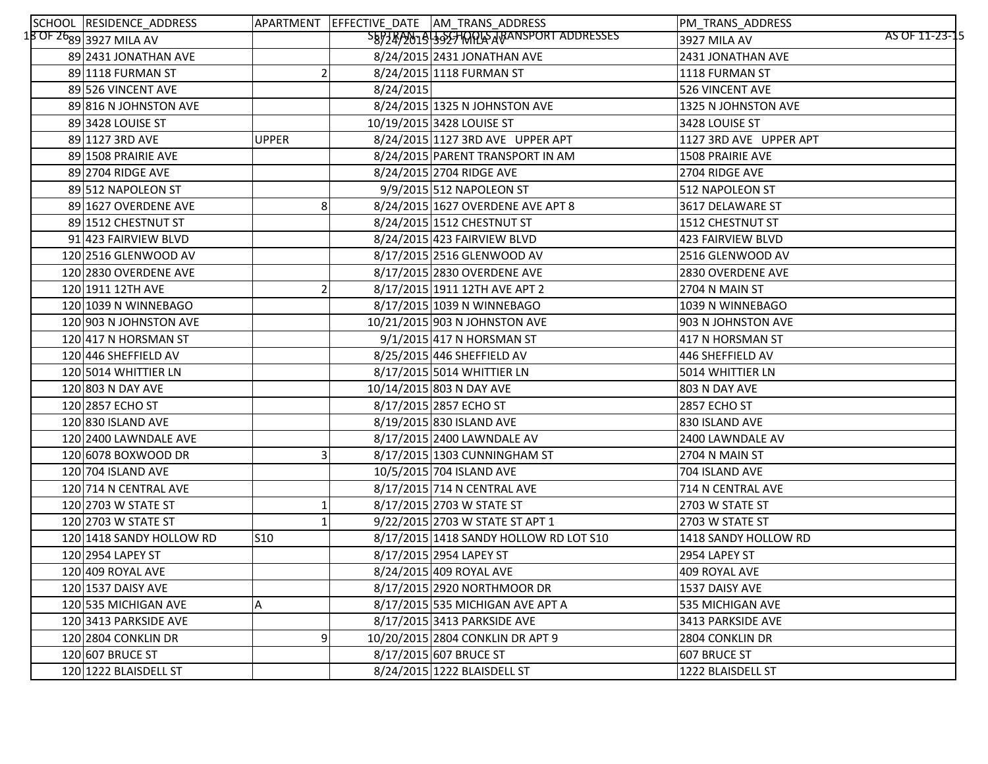| SCHOOL RESIDENCE_ADDRESS     |              |           | APARTMENT EFFECTIVE_DATE AM_TRANS_ADDRESS | PM_TRANS_ADDRESS               |
|------------------------------|--------------|-----------|-------------------------------------------|--------------------------------|
| $18$ OF $26$ g9 3927 MILA AV |              |           | SB97RAN194525HQQLARANSPORT ADDRESSES      | AS OF 11-23-15<br>3927 MILA AV |
| 89 2431 JONATHAN AVE         |              |           | 8/24/2015 2431 JONATHAN AVE               | 2431 JONATHAN AVE              |
| 89 1118 FURMAN ST            |              |           | 8/24/2015 1118 FURMAN ST                  | 1118 FURMAN ST                 |
| 89 526 VINCENT AVE           |              | 8/24/2015 |                                           | 526 VINCENT AVE                |
| 89 816 N JOHNSTON AVE        |              |           | 8/24/2015 1325 N JOHNSTON AVE             | 1325 N JOHNSTON AVE            |
| 89 3428 LOUISE ST            |              |           | 10/19/2015 3428 LOUISE ST                 | 3428 LOUISE ST                 |
| 89 1127 3RD AVE              | <b>UPPER</b> |           | 8/24/2015 1127 3RD AVE UPPER APT          | 1127 3RD AVE UPPER APT         |
| 89 1508 PRAIRIE AVE          |              |           | 8/24/2015 PARENT TRANSPORT IN AM          | 1508 PRAIRIE AVE               |
| 89 2704 RIDGE AVE            |              |           | 8/24/2015 2704 RIDGE AVE                  | 2704 RIDGE AVE                 |
| 89 512 NAPOLEON ST           |              |           | 9/9/2015 512 NAPOLEON ST                  | 512 NAPOLEON ST                |
| 89 1627 OVERDENE AVE         | 8            |           | 8/24/2015 1627 OVERDENE AVE APT 8         | 3617 DELAWARE ST               |
| 89 1512 CHESTNUT ST          |              |           | 8/24/2015 1512 CHESTNUT ST                | 1512 CHESTNUT ST               |
| 91 423 FAIRVIEW BLVD         |              |           | 8/24/2015 423 FAIRVIEW BLVD               | <b>423 FAIRVIEW BLVD</b>       |
| 120 2516 GLENWOOD AV         |              |           | 8/17/2015 2516 GLENWOOD AV                | 2516 GLENWOOD AV               |
| 120 2830 OVERDENE AVE        |              |           | 8/17/2015 2830 OVERDENE AVE               | 2830 OVERDENE AVE              |
| 120 1911 12TH AVE            |              |           | 8/17/2015 1911 12TH AVE APT 2             | 2704 N MAIN ST                 |
| 120 1039 N WINNEBAGO         |              |           | 8/17/2015 1039 N WINNEBAGO                | 1039 N WINNEBAGO               |
| 120 903 N JOHNSTON AVE       |              |           | 10/21/2015 903 N JOHNSTON AVE             | 903 N JOHNSTON AVE             |
| 120 417 N HORSMAN ST         |              |           | 9/1/2015 417 N HORSMAN ST                 | 417 N HORSMAN ST               |
| 120 446 SHEFFIELD AV         |              |           | 8/25/2015 446 SHEFFIELD AV                | 446 SHEFFIELD AV               |
| 120 5014 WHITTIER LN         |              |           | 8/17/2015 5014 WHITTIER LN                | 5014 WHITTIER LN               |
| 120 803 N DAY AVE            |              |           | 10/14/2015 803 N DAY AVE                  | 803 N DAY AVE                  |
| 120 2857 ECHO ST             |              |           | 8/17/2015 2857 ECHO ST                    | 2857 ECHO ST                   |
| 120 830 ISLAND AVE           |              |           | 8/19/2015 830 ISLAND AVE                  | 830 ISLAND AVE                 |
| 120 2400 LAWNDALE AVE        |              |           | 8/17/2015 2400 LAWNDALE AV                | 2400 LAWNDALE AV               |
| 120 6078 BOXWOOD DR          |              |           | 8/17/2015 1303 CUNNINGHAM ST              | 2704 N MAIN ST                 |
| 120 704 ISLAND AVE           |              |           | 10/5/2015 704 ISLAND AVE                  | 704 ISLAND AVE                 |
| 120 714 N CENTRAL AVE        |              |           | 8/17/2015 714 N CENTRAL AVE               | 714 N CENTRAL AVE              |
| 120 2703 W STATE ST          |              |           | 8/17/2015 2703 W STATE ST                 | 2703 W STATE ST                |
| 120 2703 W STATE ST          |              |           | 9/22/2015 2703 W STATE ST APT 1           | 2703 W STATE ST                |
| 120 1418 SANDY HOLLOW RD     | $\vert$ S10  |           | 8/17/2015 1418 SANDY HOLLOW RD LOT S10    | 1418 SANDY HOLLOW RD           |
| 120 2954 LAPEY ST            |              |           | 8/17/2015 2954 LAPEY ST                   | 2954 LAPEY ST                  |
| 120 409 ROYAL AVE            |              |           | 8/24/2015 409 ROYAL AVE                   | 409 ROYAL AVE                  |
| 120 1537 DAISY AVE           |              |           | 8/17/2015 2920 NORTHMOOR DR               | 1537 DAISY AVE                 |
| 120 535 MICHIGAN AVE         | Α            |           | 8/17/2015 535 MICHIGAN AVE APT A          | 535 MICHIGAN AVE               |
| 120 3413 PARKSIDE AVE        |              |           | 8/17/2015 3413 PARKSIDE AVE               | 3413 PARKSIDE AVE              |
| 120 2804 CONKLIN DR          | 9            |           | 10/20/2015 2804 CONKLIN DR APT 9          | 2804 CONKLIN DR                |
| 120 607 BRUCE ST             |              |           | 8/17/2015 607 BRUCE ST                    | 607 BRUCE ST                   |
| 120 1222 BLAISDELL ST        |              |           | 8/24/2015 1222 BLAISDELL ST               | 1222 BLAISDELL ST              |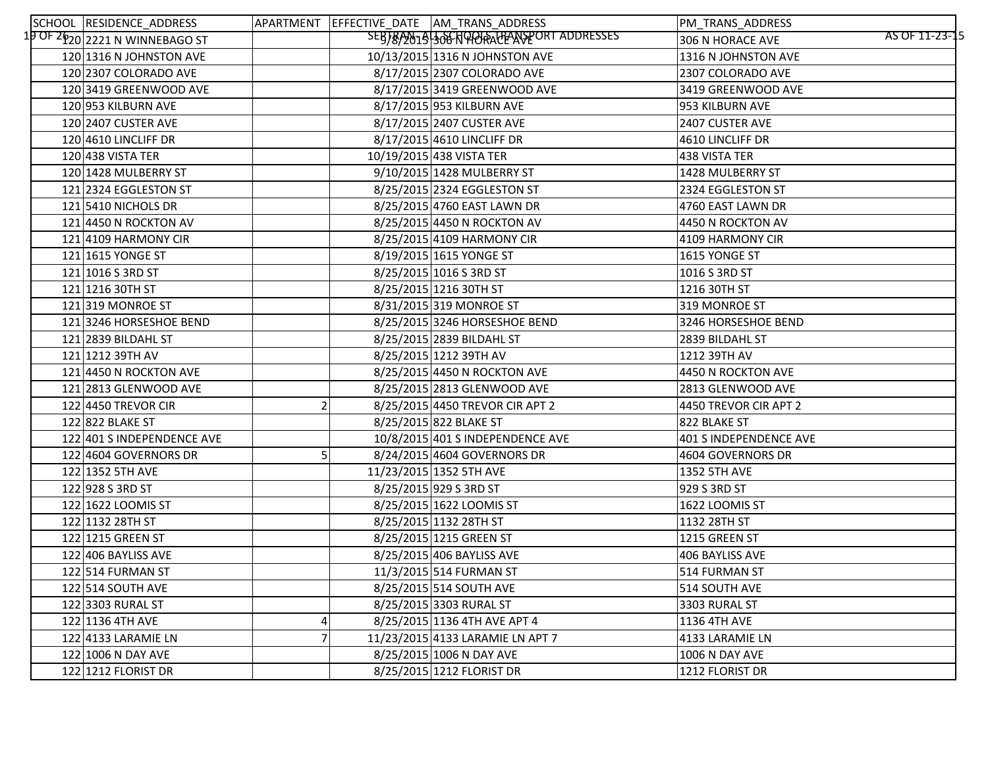| SCHOOL RESIDENCE_ADDRESS                             |  | APARTMENT EFFECTIVE_DATE AM_TRANS_ADDRESS | PM_TRANS_ADDRESS                   |
|------------------------------------------------------|--|-------------------------------------------|------------------------------------|
| 1 <mark>9 OF 2620</mark> 2221 N WIN <u>NEBAGO ST</u> |  | SEBJ8/2019 306 NQQQQQDADDORT ADDRESSES    | AS OF 11-23-15<br>306 N HORACE AVE |
| 120 1316 N JOHNSTON AVE                              |  | 10/13/2015 1316 N JOHNSTON AVE            | 1316 N JOHNSTON AVE                |
| 120 2307 COLORADO AVE                                |  | 8/17/2015 2307 COLORADO AVE               | 2307 COLORADO AVE                  |
| 120 3419 GREENWOOD AVE                               |  | 8/17/2015 3419 GREENWOOD AVE              | 3419 GREENWOOD AVE                 |
| 120 953 KILBURN AVE                                  |  | 8/17/2015 953 KILBURN AVE                 | 953 KILBURN AVE                    |
| 120 2407 CUSTER AVE                                  |  | 8/17/2015 2407 CUSTER AVE                 | 2407 CUSTER AVE                    |
| 120 4610 LINCLIFF DR                                 |  | 8/17/2015 4610 LINCLIFF DR                | 4610 LINCLIFF DR                   |
| $120 438$ VISTA TER                                  |  | 10/19/2015 438 VISTA TER                  | 438 VISTA TER                      |
| 120 1428 MULBERRY ST                                 |  | 9/10/2015 1428 MULBERRY ST                | 1428 MULBERRY ST                   |
| 121 2324 EGGLESTON ST                                |  | 8/25/2015 2324 EGGLESTON ST               | 2324 EGGLESTON ST                  |
| 121 5410 NICHOLS DR                                  |  | 8/25/2015 4760 EAST LAWN DR               | 4760 EAST LAWN DR                  |
| 121 4450 N ROCKTON AV                                |  | 8/25/2015 4450 N ROCKTON AV               | 4450 N ROCKTON AV                  |
| 121 4109 HARMONY CIR                                 |  | 8/25/2015 4109 HARMONY CIR                | 4109 HARMONY CIR                   |
| 121 1615 YONGE ST                                    |  | 8/19/2015 1615 YONGE ST                   | 1615 YONGE ST                      |
| $121 1016$ S 3RD ST                                  |  | 8/25/2015 1016 S 3RD ST                   | 1016 S 3RD ST                      |
| 121 1216 30TH ST                                     |  | 8/25/2015 1216 30TH ST                    | 1216 30TH ST                       |
| 121 319 MONROE ST                                    |  | 8/31/2015 319 MONROE ST                   | 319 MONROE ST                      |
| 121 3246 HORSESHOE BEND                              |  | 8/25/2015 3246 HORSESHOE BEND             | 3246 HORSESHOE BEND                |
| 121 2839 BILDAHL ST                                  |  | 8/25/2015 2839 BILDAHL ST                 | 2839 BILDAHL ST                    |
| 121 1212 39TH AV                                     |  | 8/25/2015 1212 39TH AV                    | 1212 39TH AV                       |
| 121 4450 N ROCKTON AVE                               |  | 8/25/2015 4450 N ROCKTON AVE              | 4450 N ROCKTON AVE                 |
| 121 2813 GLENWOOD AVE                                |  | 8/25/2015 2813 GLENWOOD AVE               | 2813 GLENWOOD AVE                  |
| 122 4450 TREVOR CIR                                  |  | 8/25/2015 4450 TREVOR CIR APT 2           | 4450 TREVOR CIR APT 2              |
| 122 822 BLAKE ST                                     |  | 8/25/2015 822 BLAKE ST                    | 822 BLAKE ST                       |
| 122 401 S INDEPENDENCE AVE                           |  | 10/8/2015 401 S INDEPENDENCE AVE          | 401 S INDEPENDENCE AVE             |
| 122 4604 GOVERNORS DR                                |  | 8/24/2015 4604 GOVERNORS DR               | 4604 GOVERNORS DR                  |
| 122 1352 5TH AVE                                     |  | 11/23/2015 1352 5TH AVE                   | 1352 5TH AVE                       |
| 122 928 S 3RD ST                                     |  | 8/25/2015 929 S 3RD ST                    | 929 S 3RD ST                       |
| 122 1622 LOOMIS ST                                   |  | 8/25/2015 1622 LOOMIS ST                  | 1622 LOOMIS ST                     |
| 122 1132 28TH ST                                     |  | 8/25/2015 1132 28TH ST                    | 1132 28TH ST                       |
| 122 1215 GREEN ST                                    |  | 8/25/2015 1215 GREEN ST                   | 1215 GREEN ST                      |
| 122 406 BAYLISS AVE                                  |  | 8/25/2015 406 BAYLISS AVE                 | 406 BAYLISS AVE                    |
| 122 514 FURMAN ST                                    |  | 11/3/2015 514 FURMAN ST                   | 514 FURMAN ST                      |
| 122 514 SOUTH AVE                                    |  | 8/25/2015 514 SOUTH AVE                   | 514 SOUTH AVE                      |
| 122 3303 RURAL ST                                    |  | 8/25/2015 3303 RURAL ST                   | 3303 RURAL ST                      |
| 122 1136 4TH AVE                                     |  | 8/25/2015 1136 4TH AVE APT 4              | 1136 4TH AVE                       |
| 122 4133 LARAMIE LN                                  |  | 11/23/2015 4133 LARAMIE LN APT 7          | 4133 LARAMIE LN                    |
| 122 1006 N DAY AVE                                   |  | 8/25/2015 1006 N DAY AVE                  | <b>1006 N DAY AVE</b>              |
| 122 1212 FLORIST DR                                  |  | 8/25/2015 1212 FLORIST DR                 | 1212 FLORIST DR                    |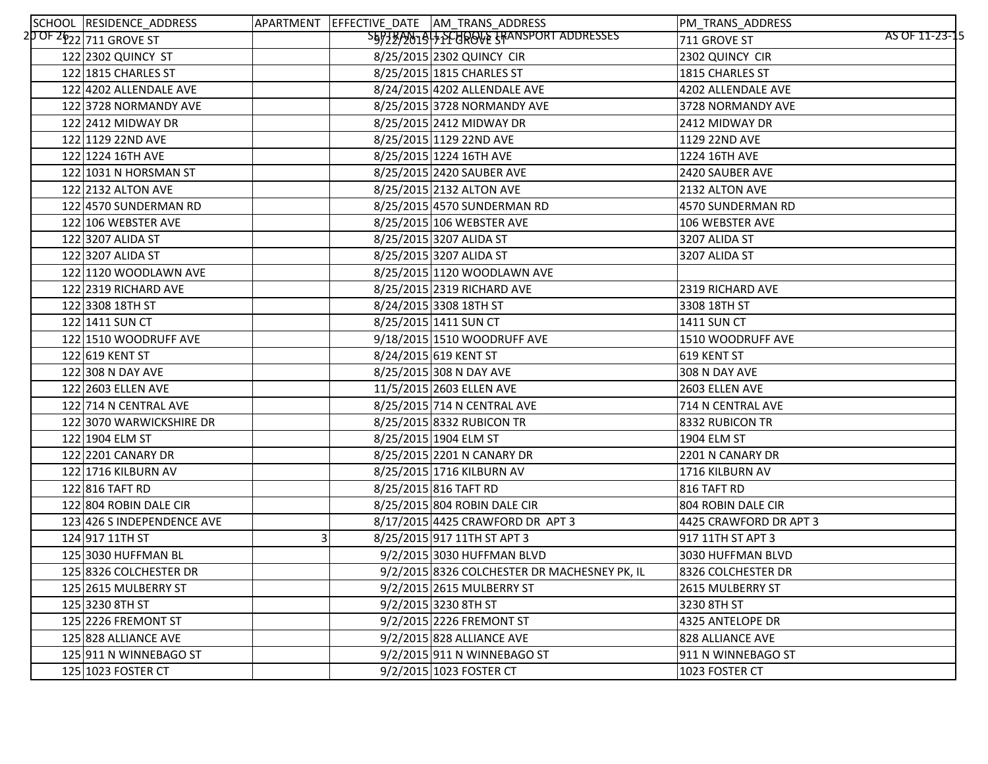| SCHOOL RESIDENCE_ADDRESS   |   | APARTMENT EFFECTIVE DATE AM TRANS ADDRESS    | PM_TRANS_ADDRESS       |                |
|----------------------------|---|----------------------------------------------|------------------------|----------------|
| 20 OF 2622 711 GROVE ST    |   | S5978/2019 + PCUROVE TRANSPORT ADDRESSES     | 711 GROVE ST           | AS OF 11-23-15 |
| 122 2302 QUINCY ST         |   | 8/25/2015 2302 QUINCY CIR                    | 2302 QUINCY CIR        |                |
| 122 1815 CHARLES ST        |   | 8/25/2015 1815 CHARLES ST                    | 1815 CHARLES ST        |                |
| 122 4202 ALLENDALE AVE     |   | 8/24/2015 4202 ALLENDALE AVE                 | 4202 ALLENDALE AVE     |                |
| 122 3728 NORMANDY AVE      |   | 8/25/2015 3728 NORMANDY AVE                  | 3728 NORMANDY AVE      |                |
| 122 2412 MIDWAY DR         |   | 8/25/2015 2412 MIDWAY DR                     | 2412 MIDWAY DR         |                |
| 122 1129 22ND AVE          |   | 8/25/2015 1129 22ND AVE                      | 1129 22ND AVE          |                |
| 122 1224 16TH AVE          |   | 8/25/2015 1224 16TH AVE                      | 1224 16TH AVE          |                |
| 122 1031 N HORSMAN ST      |   | 8/25/2015 2420 SAUBER AVE                    | 2420 SAUBER AVE        |                |
| 122 2132 ALTON AVE         |   | 8/25/2015 2132 ALTON AVE                     | 2132 ALTON AVE         |                |
| 122 4570 SUNDERMAN RD      |   | 8/25/2015 4570 SUNDERMAN RD                  | 4570 SUNDERMAN RD      |                |
| 122 106 WEBSTER AVE        |   | 8/25/2015 106 WEBSTER AVE                    | 106 WEBSTER AVE        |                |
| 122 3207 ALIDA ST          |   | 8/25/2015 3207 ALIDA ST                      | 3207 ALIDA ST          |                |
| 122 3207 ALIDA ST          |   | 8/25/2015 3207 ALIDA ST                      | 3207 ALIDA ST          |                |
| 122 1120 WOODLAWN AVE      |   | 8/25/2015 1120 WOODLAWN AVE                  |                        |                |
| 122 2319 RICHARD AVE       |   | 8/25/2015 2319 RICHARD AVE                   | 2319 RICHARD AVE       |                |
| 122 3308 18TH ST           |   | 8/24/2015 3308 18TH ST                       | 3308 18TH ST           |                |
| 122 1411 SUN CT            |   | 8/25/2015 1411 SUN CT                        | <b>1411 SUN CT</b>     |                |
| 122 1510 WOODRUFF AVE      |   | 9/18/2015 1510 WOODRUFF AVE                  | 1510 WOODRUFF AVE      |                |
| 122 619 KENT ST            |   | 8/24/2015 619 KENT ST                        | 619 KENT ST            |                |
| 122 308 N DAY AVE          |   | 8/25/2015 308 N DAY AVE                      | 308 N DAY AVE          |                |
| 122 2603 ELLEN AVE         |   | 11/5/2015 2603 ELLEN AVE                     | 2603 ELLEN AVE         |                |
| 122 714 N CENTRAL AVE      |   | 8/25/2015 714 N CENTRAL AVE                  | 714 N CENTRAL AVE      |                |
| 122 3070 WARWICKSHIRE DR   |   | 8/25/2015 8332 RUBICON TR                    | 8332 RUBICON TR        |                |
| 122 1904 ELM ST            |   | 8/25/2015 1904 ELM ST                        | 1904 ELM ST            |                |
| 122 2201 CANARY DR         |   | 8/25/2015 2201 N CANARY DR                   | 2201 N CANARY DR       |                |
| 122 1716 KILBURN AV        |   | 8/25/2015 1716 KILBURN AV                    | 1716 KILBURN AV        |                |
| 122 816 TAFT RD            |   | 8/25/2015 816 TAFT RD                        | 816 TAFT RD            |                |
| 122 804 ROBIN DALE CIR     |   | 8/25/2015 804 ROBIN DALE CIR                 | 804 ROBIN DALE CIR     |                |
| 123 426 S INDEPENDENCE AVE |   | 8/17/2015 4425 CRAWFORD DR APT 3             | 4425 CRAWFORD DR APT 3 |                |
| 124 91711THST              | 3 | 8/25/2015 917 11TH ST APT 3                  | 917 11TH ST APT 3      |                |
| 125 3030 HUFFMAN BL        |   | 9/2/2015 3030 HUFFMAN BLVD                   | 3030 HUFFMAN BLVD      |                |
| 125 8326 COLCHESTER DR     |   | 9/2/2015 8326 COLCHESTER DR MACHESNEY PK, IL | 8326 COLCHESTER DR     |                |
| 125 2615 MULBERRY ST       |   | 9/2/2015 2615 MULBERRY ST                    | 2615 MULBERRY ST       |                |
| 125 3230 8TH ST            |   | 9/2/2015 3230 8TH ST                         | 3230 8TH ST            |                |
| 125 2226 FREMONT ST        |   | 9/2/2015 2226 FREMONT ST                     | 4325 ANTELOPE DR       |                |
| 125 828 ALLIANCE AVE       |   | 9/2/2015 828 ALLIANCE AVE                    | 828 ALLIANCE AVE       |                |
| 125 911 N WINNEBAGO ST     |   | 9/2/2015 911 N WINNEBAGO ST                  | 911 N WINNEBAGO ST     |                |
| 125 1023 FOSTER CT         |   | 9/2/2015 1023 FOSTER CT                      | 1023 FOSTER CT         |                |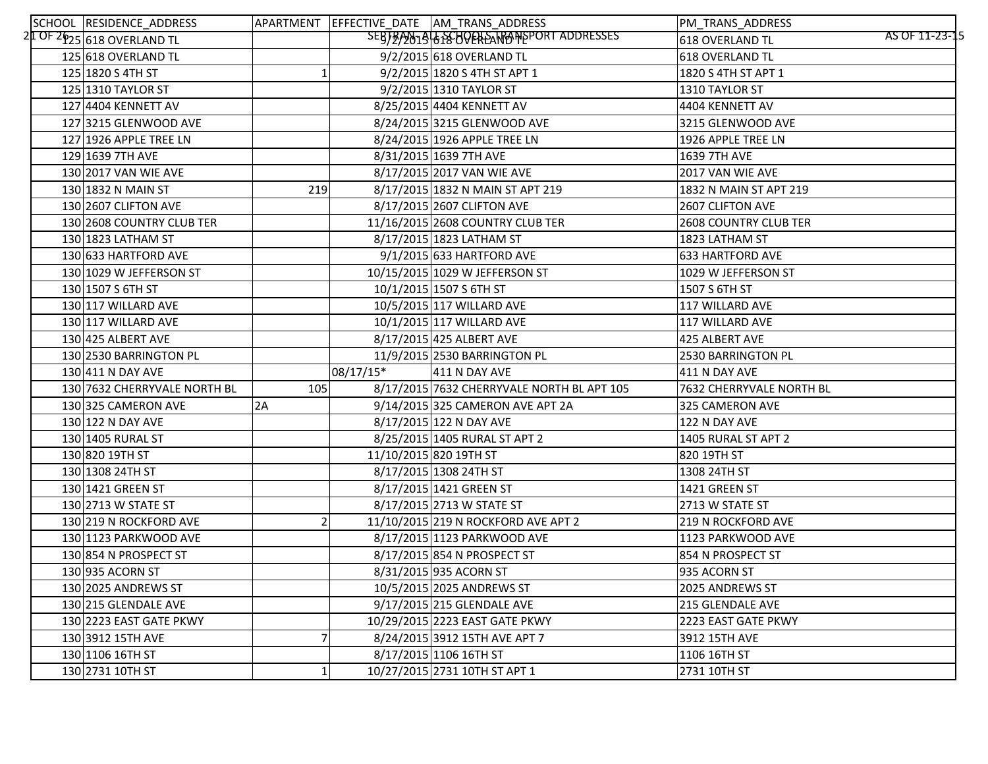| SCHOOL RESIDENCE_ADDRESS                            |     |           | APARTMENT EFFECTIVE DATE AM TRANS ADDRESS  | PM_TRANS_ADDRESS         |                |
|-----------------------------------------------------|-----|-----------|--------------------------------------------|--------------------------|----------------|
| 2 <mark>1 OF 26<sub>25</sub> 618 OVERLAND TL</mark> |     |           | SEBTRAN19 6 AS OPPHEAT PORT ADDRESSES      | 618 OVERLAND TL          | AS OF 11-23-15 |
| 125 618 OVERLAND TL                                 |     |           | 9/2/2015 618 OVERLAND TL                   | 618 OVERLAND TL          |                |
| 125 1820 S 4TH ST                                   |     |           | 9/2/2015 1820 S 4TH ST APT 1               | 1820 S 4TH ST APT 1      |                |
| 125 1310 TAYLOR ST                                  |     |           | 9/2/2015 1310 TAYLOR ST                    | 1310 TAYLOR ST           |                |
| 127 4404 KENNETT AV                                 |     |           | 8/25/2015 4404 KENNETT AV                  | 4404 KENNETT AV          |                |
| 127 3215 GLENWOOD AVE                               |     |           | 8/24/2015 3215 GLENWOOD AVE                | 3215 GLENWOOD AVE        |                |
| 127 1926 APPLE TREE LN                              |     |           | 8/24/2015 1926 APPLE TREE LN               | 1926 APPLE TREE LN       |                |
| 129 1639 7TH AVE                                    |     |           | 8/31/2015 1639 7TH AVE                     | 1639 7TH AVE             |                |
| 130 2017 VAN WIE AVE                                |     |           | 8/17/2015 2017 VAN WIE AVE                 | 2017 VAN WIE AVE         |                |
| 130 1832 N MAIN ST                                  | 219 |           | 8/17/2015 1832 N MAIN ST APT 219           | 1832 N MAIN ST APT 219   |                |
| 130 2607 CLIFTON AVE                                |     |           | 8/17/2015 2607 CLIFTON AVE                 | 2607 CLIFTON AVE         |                |
| 130 2608 COUNTRY CLUB TER                           |     |           | 11/16/2015 2608 COUNTRY CLUB TER           | 2608 COUNTRY CLUB TER    |                |
| 130 1823 LATHAM ST                                  |     |           | 8/17/2015 1823 LATHAM ST                   | 1823 LATHAM ST           |                |
| 130 633 HARTFORD AVE                                |     |           | 9/1/2015 633 HARTFORD AVE                  | 633 HARTFORD AVE         |                |
| 130 1029 W JEFFERSON ST                             |     |           | 10/15/2015 1029 W JEFFERSON ST             | 1029 W JEFFERSON ST      |                |
| 130 1507 S 6TH ST                                   |     |           | 10/1/2015 1507 S 6TH ST                    | 1507 S 6TH ST            |                |
| 130 117 WILLARD AVE                                 |     |           | 10/5/2015 117 WILLARD AVE                  | 117 WILLARD AVE          |                |
| 130 117 WILLARD AVE                                 |     |           | 10/1/2015 117 WILLARD AVE                  | 117 WILLARD AVE          |                |
| 130 425 ALBERT AVE                                  |     |           | 8/17/2015 425 ALBERT AVE                   | 425 ALBERT AVE           |                |
| 130 2530 BARRINGTON PL                              |     |           | 11/9/2015 2530 BARRINGTON PL               | 2530 BARRINGTON PL       |                |
| 130 411 N DAY AVE                                   |     | 08/17/15* | 411 N DAY AVE                              | 411 N DAY AVE            |                |
| 130 7632 CHERRYVALE NORTH BL                        | 105 |           | 8/17/2015 7632 CHERRYVALE NORTH BL APT 105 | 7632 CHERRYVALE NORTH BL |                |
| 130 325 CAMERON AVE                                 | 2A  |           | 9/14/2015 325 CAMERON AVE APT 2A           | 325 CAMERON AVE          |                |
| 130 122 N DAY AVE                                   |     |           | 8/17/2015 122 N DAY AVE                    | 122 N DAY AVE            |                |
| 130 1405 RURAL ST                                   |     |           | 8/25/2015 1405 RURAL ST APT 2              | 1405 RURAL ST APT 2      |                |
| 130 820 19TH ST                                     |     |           | 11/10/2015 820 19TH ST                     | 820 19TH ST              |                |
| 130 1308 24TH ST                                    |     |           | 8/17/2015 1308 24TH ST                     | 1308 24TH ST             |                |
| 130 1421 GREEN ST                                   |     |           | 8/17/2015 1421 GREEN ST                    | 1421 GREEN ST            |                |
| 130 2713 W STATE ST                                 |     |           | 8/17/2015 2713 W STATE ST                  | 2713 W STATE ST          |                |
| 130 219 N ROCKFORD AVE                              |     |           | 11/10/2015 219 N ROCKFORD AVE APT 2        | 219 N ROCKFORD AVE       |                |
| 130 1123 PARKWOOD AVE                               |     |           | 8/17/2015 1123 PARKWOOD AVE                | 1123 PARKWOOD AVE        |                |
| 130 854 N PROSPECT ST                               |     |           | 8/17/2015 854 N PROSPECT ST                | 854 N PROSPECT ST        |                |
| 130 935 ACORN ST                                    |     |           | 8/31/2015 935 ACORN ST                     | 935 ACORN ST             |                |
| 130 2025 ANDREWS ST                                 |     |           | 10/5/2015 2025 ANDREWS ST                  | 2025 ANDREWS ST          |                |
| 130 215 GLENDALE AVE                                |     |           | 9/17/2015 215 GLENDALE AVE                 | 215 GLENDALE AVE         |                |
| 130 2223 EAST GATE PKWY                             |     |           | 10/29/2015 2223 EAST GATE PKWY             | 2223 EAST GATE PKWY      |                |
| 130 3912 15TH AVE                                   |     |           | 8/24/2015 3912 15TH AVE APT 7              | 3912 15TH AVE            |                |
| 130 106 16TH ST                                     |     |           | 8/17/2015 106 16TH ST                      | 1106 16TH ST             |                |
| 130 2731 10TH ST                                    |     |           | 10/27/2015 2731 10TH ST APT 1              | 2731 10TH ST             |                |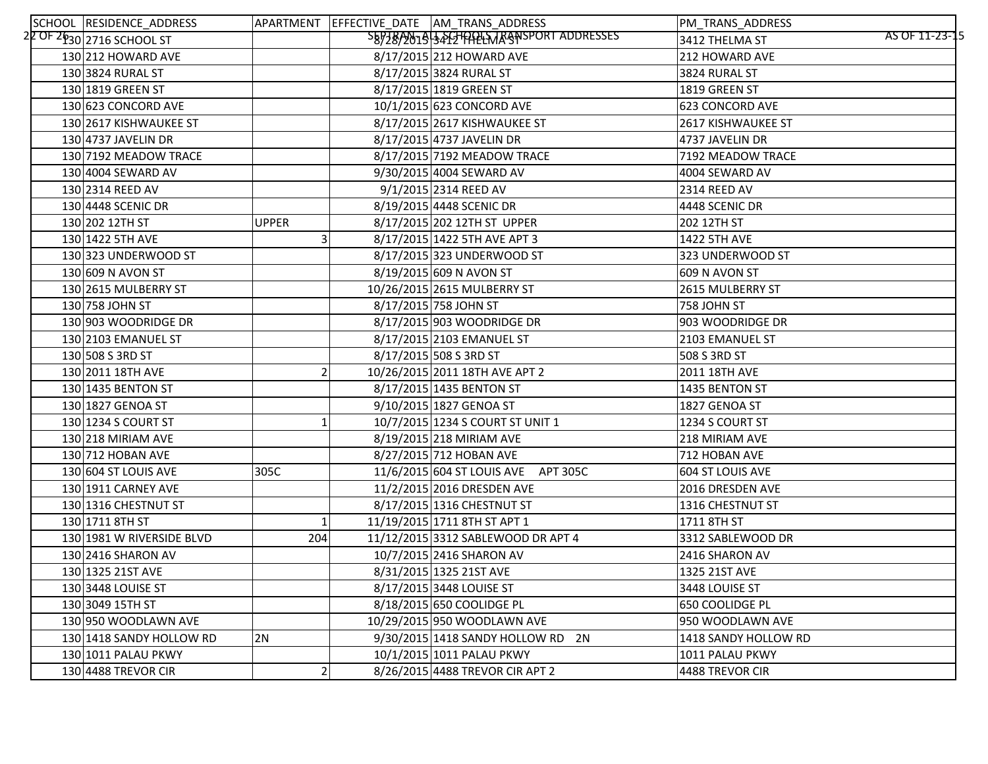| SCHOOL RESIDENCE_ADDRESS  |                | APARTMENT EFFECTIVE DATE AM TRANS ADDRESS | PM_TRANS_ADDRESS                 |
|---------------------------|----------------|-------------------------------------------|----------------------------------|
| 22 OF 2630 2716 SCHOOL ST |                | SEP78/2019 3 PG HALLMAGNSPORT ADDRESSES   | AS OF 11-23-15<br>3412 THELMA ST |
| 130 212 HOWARD AVE        |                | 8/17/2015 212 HOWARD AVE                  | 212 HOWARD AVE                   |
| 130 3824 RURAL ST         |                | 8/17/2015 3824 RURAL ST                   | 3824 RURAL ST                    |
| 130 1819 GREEN ST         |                | 8/17/2015 1819 GREEN ST                   | 1819 GREEN ST                    |
| 130 623 CONCORD AVE       |                | 10/1/2015 623 CONCORD AVE                 | 623 CONCORD AVE                  |
| 130 2617 KISHWAUKEE ST    |                | 8/17/2015 2617 KISHWAUKEE ST              | 2617 KISHWAUKEE ST               |
| 130 4737 JAVELIN DR       |                | 8/17/2015 4737 JAVELIN DR                 | 4737 JAVELIN DR                  |
| 130 7192 MEADOW TRACE     |                | 8/17/2015 7192 MEADOW TRACE               | 7192 MEADOW TRACE                |
| 130 4004 SEWARD AV        |                | 9/30/2015 4004 SEWARD AV                  | 4004 SEWARD AV                   |
| 130 2314 REED AV          |                | 9/1/2015 2314 REED AV                     | 2314 REED AV                     |
| 130 4448 SCENIC DR        |                | 8/19/2015 4448 SCENIC DR                  | 4448 SCENIC DR                   |
| 130 202 12TH ST           | <b>UPPER</b>   | 8/17/2015 202 12TH ST UPPER               | 202 12TH ST                      |
| 130 1422 5TH AVE          |                | 8/17/2015 1422 5TH AVE APT 3              | 1422 5TH AVE                     |
| 130 323 UNDERWOOD ST      |                | 8/17/2015 323 UNDERWOOD ST                | 323 UNDERWOOD ST                 |
| 130 609 N AVON ST         |                | 8/19/2015 609 N AVON ST                   | 609 N AVON ST                    |
| 130 2615 MULBERRY ST      |                | 10/26/2015 2615 MULBERRY ST               | 2615 MULBERRY ST                 |
| 130 758 JOHN ST           |                | 8/17/2015 758 JOHN ST                     | 758 JOHN ST                      |
| 130 903 WOODRIDGE DR      |                | 8/17/2015 903 WOODRIDGE DR                | 903 WOODRIDGE DR                 |
| 130 2103 EMANUEL ST       |                | 8/17/2015 2103 EMANUEL ST                 | 2103 EMANUEL ST                  |
| 130 508 S 3RD ST          |                | 8/17/2015 508 S 3RD ST                    | 508 S 3RD ST                     |
| 130 2011 18TH AVE         |                | 10/26/2015 2011 18TH AVE APT 2            | 2011 18TH AVE                    |
| 130 1435 BENTON ST        |                | 8/17/2015 1435 BENTON ST                  | 1435 BENTON ST                   |
| 130 1827 GENOA ST         |                | 9/10/2015 1827 GENOA ST                   | 1827 GENOA ST                    |
| 130 1234 S COURT ST       |                | 10/7/2015 1234 S COURT ST UNIT 1          | 1234 S COURT ST                  |
| 130 218 MIRIAM AVE        |                | 8/19/2015 218 MIRIAM AVE                  | 218 MIRIAM AVE                   |
| 130 712 HOBAN AVE         |                | 8/27/2015 712 HOBAN AVE                   | 712 HOBAN AVE                    |
| 130 604 ST LOUIS AVE      | 305C           | 11/6/2015 604 ST LOUIS AVE APT 305C       | 604 ST LOUIS AVE                 |
| 130 1911 CARNEY AVE       |                | 11/2/2015 2016 DRESDEN AVE                | 2016 DRESDEN AVE                 |
| 130 1316 CHESTNUT ST      |                | 8/17/2015 1316 CHESTNUT ST                | 1316 CHESTNUT ST                 |
| 130 1711 8TH ST           |                | 11/19/2015 1711 8TH ST APT 1              | 1711 8TH ST                      |
| 130 1981 W RIVERSIDE BLVD | 204            | 11/12/2015 3312 SABLEWOOD DR APT 4        | 3312 SABLEWOOD DR                |
| 130 2416 SHARON AV        |                | 10/7/2015 2416 SHARON AV                  | 2416 SHARON AV                   |
| 130 1325 21ST AVE         |                | 8/31/2015 1325 21ST AVE                   | 1325 21ST AVE                    |
| 130 3448 LOUISE ST        |                | 8/17/2015 3448 LOUISE ST                  | 3448 LOUISE ST                   |
| 130 3049 15TH ST          |                | 8/18/2015 650 COOLIDGE PL                 | 650 COOLIDGE PL                  |
| 130 950 WOODLAWN AVE      |                | 10/29/2015 950 WOODLAWN AVE               | 950 WOODLAWN AVE                 |
| 130 1418 SANDY HOLLOW RD  | 2N             | 9/30/2015 1418 SANDY HOLLOW RD 2N         | 1418 SANDY HOLLOW RD             |
| 130 1011 PALAU PKWY       |                | 10/1/2015 1011 PALAU PKWY                 | 1011 PALAU PKWY                  |
| 130 4488 TREVOR CIR       | $\overline{2}$ | 8/26/2015 4488 TREVOR CIR APT 2           | 4488 TREVOR CIR                  |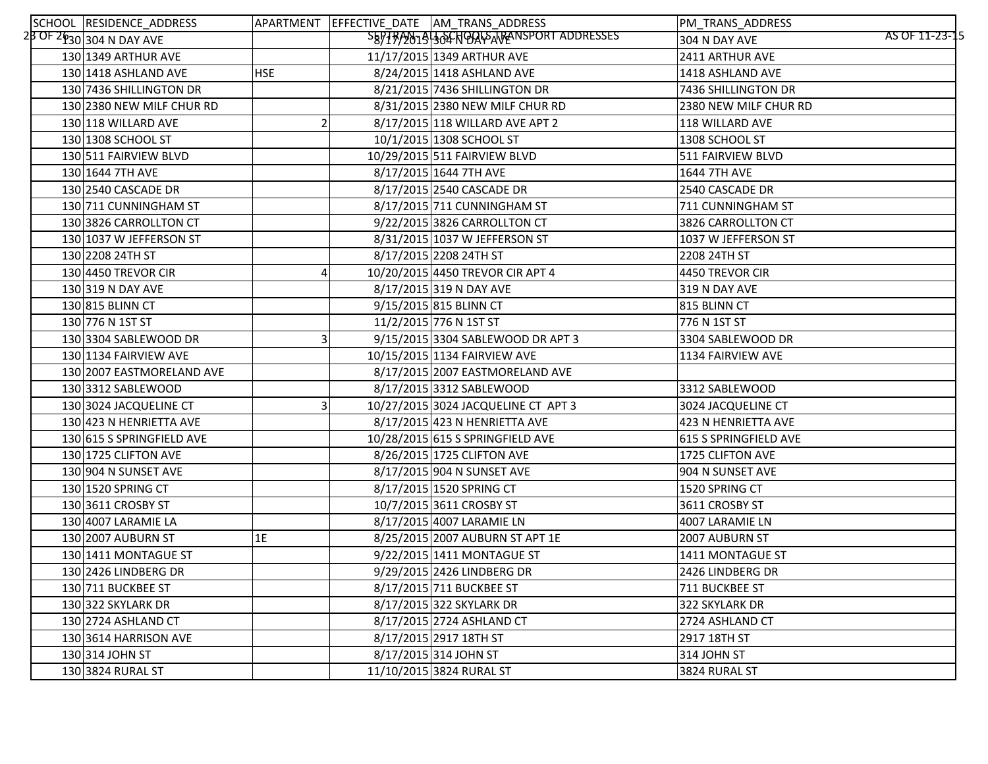| SCHOOL RESIDENCE_ADDRESS               |            | APARTMENT EFFECTIVE_DATE AM_TRANS_ADDRESS | PM_TRANS_ADDRESS                |
|----------------------------------------|------------|-------------------------------------------|---------------------------------|
| 2 <mark>8 OF 2630 304 N DAY AVE</mark> |            | SB97B/2019 304 NOQLSARANSPORT ADDRESSES   | AS OF 11-23-15<br>304 N DAY AVE |
| 130 1349 ARTHUR AVE                    |            | 11/17/2015 1349 ARTHUR AVE                | 2411 ARTHUR AVE                 |
| 130 1418 ASHLAND AVE                   | <b>HSE</b> | 8/24/2015 1418 ASHLAND AVE                | 1418 ASHLAND AVE                |
| 130 7436 SHILLINGTON DR                |            | 8/21/2015 7436 SHILLINGTON DR             | 7436 SHILLINGTON DR             |
| 130 2380 NEW MILF CHUR RD              |            | 8/31/2015 2380 NEW MILF CHUR RD           | 2380 NEW MILF CHUR RD           |
| 130 118 WILLARD AVE                    |            | 8/17/2015 118 WILLARD AVE APT 2           | 118 WILLARD AVE                 |
| 130 1308 SCHOOL ST                     |            | 10/1/2015 1308 SCHOOL ST                  | 1308 SCHOOL ST                  |
| 130 511 FAIRVIEW BLVD                  |            | 10/29/2015 511 FAIRVIEW BLVD              | 511 FAIRVIEW BLVD               |
| 130 1644 7TH AVE                       |            | 8/17/2015 1644 7TH AVE                    | <b>1644 7TH AVE</b>             |
| 130 2540 CASCADE DR                    |            | 8/17/2015 2540 CASCADE DR                 | 2540 CASCADE DR                 |
| 130 711 CUNNINGHAM ST                  |            | 8/17/2015 711 CUNNINGHAM ST               | 711 CUNNINGHAM ST               |
| 130 3826 CARROLLTON CT                 |            | 9/22/2015 3826 CARROLLTON CT              | 3826 CARROLLTON CT              |
| 130 1037 W JEFFERSON ST                |            | 8/31/2015 1037 W JEFFERSON ST             | 1037 W JEFFERSON ST             |
| 130 2208 24TH ST                       |            | 8/17/2015 2208 24TH ST                    | 2208 24TH ST                    |
| 130 4450 TREVOR CIR                    | 4          | 10/20/2015 4450 TREVOR CIR APT 4          | 4450 TREVOR CIR                 |
| 130 319 N DAY AVE                      |            | 8/17/2015 319 N DAY AVE                   | 319 N DAY AVE                   |
| 130 815 BLINN CT                       |            | 9/15/2015 815 BLINN CT                    | 815 BLINN CT                    |
| 130 776 N 1ST ST                       |            | 11/2/2015 776 N 1ST ST                    | 776 N 1ST ST                    |
| 130 3304 SABLEWOOD DR                  |            | 9/15/2015 3304 SABLEWOOD DR APT 3         | 3304 SABLEWOOD DR               |
| 130 1134 FAIRVIEW AVE                  |            | 10/15/2015 1134 FAIRVIEW AVE              | 1134 FAIRVIEW AVE               |
| 130 2007 EASTMORELAND AVE              |            | 8/17/2015 2007 EASTMORELAND AVE           |                                 |
| 130 3312 SABLEWOOD                     |            | 8/17/2015 3312 SABLEWOOD                  | 3312 SABLEWOOD                  |
| 130 3024 JACQUELINE CT                 |            | 10/27/2015 3024 JACQUELINE CT APT 3       | 3024 JACQUELINE CT              |
| 130 423 N HENRIETTA AVE                |            | 8/17/2015 423 N HENRIETTA AVE             | 423 N HENRIETTA AVE             |
| 130 615 S SPRINGFIELD AVE              |            | 10/28/2015 615 S SPRINGFIELD AVE          | 615 S SPRINGFIELD AVE           |
| 130 1725 CLIFTON AVE                   |            | 8/26/2015 1725 CLIFTON AVE                | 1725 CLIFTON AVE                |
| 130 904 N SUNSET AVE                   |            | 8/17/2015 904 N SUNSET AVE                | 904 N SUNSET AVE                |
| 130 1520 SPRING CT                     |            | 8/17/2015 1520 SPRING CT                  | 1520 SPRING CT                  |
| 130 3611 CROSBY ST                     |            | 10/7/2015 3611 CROSBY ST                  | 3611 CROSBY ST                  |
| 130 4007 LARAMIE LA                    |            | 8/17/2015 4007 LARAMIE LN                 | 4007 LARAMIE LN                 |
| 130 2007 AUBURN ST                     | 1E         | 8/25/2015 2007 AUBURN ST APT 1E           | 2007 AUBURN ST                  |
| 130 1411 MONTAGUE ST                   |            | 9/22/2015 1411 MONTAGUE ST                | 1411 MONTAGUE ST                |
| 130 2426 LINDBERG DR                   |            | 9/29/2015 2426 LINDBERG DR                | 2426 LINDBERG DR                |
| 130 711 BUCKBEE ST                     |            | 8/17/2015 711 BUCKBEE ST                  | 711 BUCKBEE ST                  |
| 130 322 SKYLARK DR                     |            | 8/17/2015 322 SKYLARK DR                  | 322 SKYLARK DR                  |
| 130 2724 ASHLAND CT                    |            | 8/17/2015 2724 ASHLAND CT                 | 2724 ASHLAND CT                 |
| 130 3614 HARRISON AVE                  |            | 8/17/2015 2917 18TH ST                    | 2917 18TH ST                    |
| 130 314 JOHN ST                        |            | 8/17/2015 314 JOHN ST                     | 314 JOHN ST                     |
| 130 3824 RURAL ST                      |            | 11/10/2015 3824 RURAL ST                  | 3824 RURAL ST                   |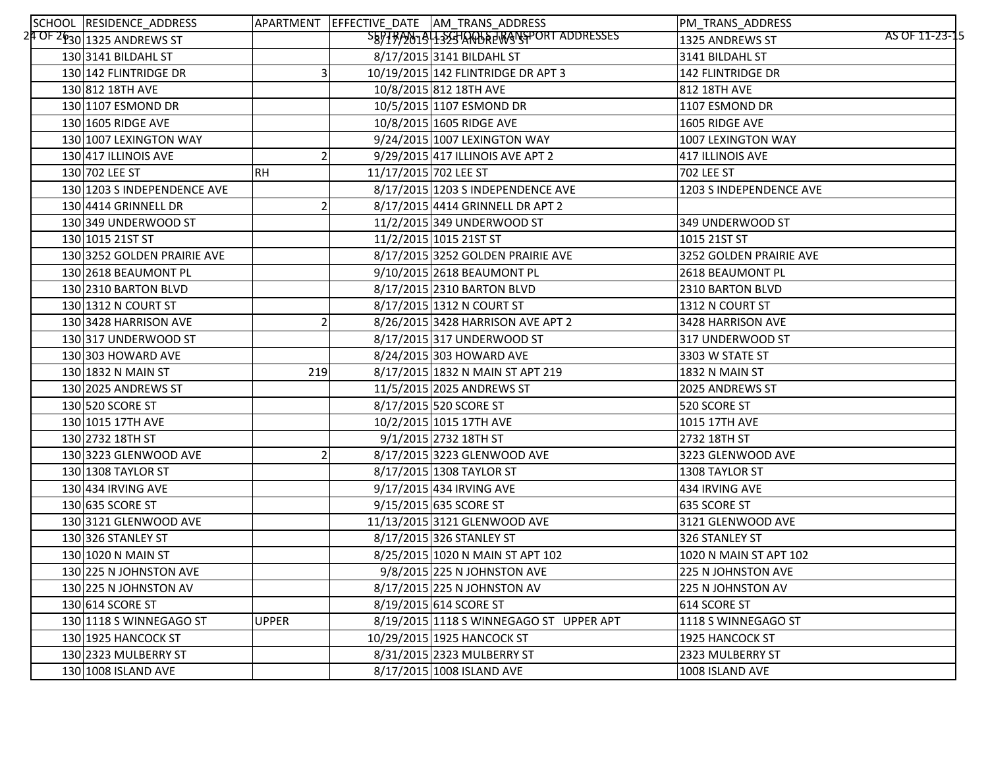| SCHOOL RESIDENCE_ADDRESS                 |              |                       | APARTMENT EFFECTIVE_DATE AM_TRANS_ADDRESS | PM_TRANS_ADDRESS                  |
|------------------------------------------|--------------|-----------------------|-------------------------------------------|-----------------------------------|
| 2 <mark>4 OF 2630</mark> 1325 ANDREWS ST |              |                       | SEPTR/2019-1525 ANDREWSPORT ADDRESSES     | AS OF 11-23-15<br>1325 ANDREWS ST |
| 130 3141 BILDAHL ST                      |              |                       | 8/17/2015 3141 BILDAHL ST                 | 3141 BILDAHL ST                   |
| 130 142 FLINTRIDGE DR                    |              |                       | 10/19/2015 142 FLINTRIDGE DR APT 3        | <b>142 FLINTRIDGE DR</b>          |
| 130 812 18TH AVE                         |              |                       | 10/8/2015 812 18TH AVE                    | 812 18TH AVE                      |
| 130 1107 ESMOND DR                       |              |                       | 10/5/2015 1107 ESMOND DR                  | 1107 ESMOND DR                    |
| 130 1605 RIDGE AVE                       |              |                       | 10/8/2015 1605 RIDGE AVE                  | 1605 RIDGE AVE                    |
| 130 1007 LEXINGTON WAY                   |              |                       | 9/24/2015 1007 LEXINGTON WAY              | 1007 LEXINGTON WAY                |
| 130 417 ILLINOIS AVE                     |              |                       | 9/29/2015 417 ILLINOIS AVE APT 2          | 417 ILLINOIS AVE                  |
| 130 702 LEE ST                           | <b>RH</b>    | 11/17/2015 702 LEE ST |                                           | 702 LEE ST                        |
| 130 1203 S INDEPENDENCE AVE              |              |                       | 8/17/2015 1203 S INDEPENDENCE AVE         | 1203 S INDEPENDENCE AVE           |
| 130 4414 GRINNELL DR                     |              |                       | 8/17/2015 4414 GRINNELL DR APT 2          |                                   |
| 130 349 UNDERWOOD ST                     |              |                       | 11/2/2015 349 UNDERWOOD ST                | 349 UNDERWOOD ST                  |
| 130 1015 21ST ST                         |              |                       | 11/2/2015 1015 21ST ST                    | 1015 21ST ST                      |
| 130 3252 GOLDEN PRAIRIE AVE              |              |                       | 8/17/2015 3252 GOLDEN PRAIRIE AVE         | 3252 GOLDEN PRAIRIE AVE           |
| 130 2618 BEAUMONT PL                     |              |                       | 9/10/2015 2618 BEAUMONT PL                | 2618 BEAUMONT PL                  |
| 130 2310 BARTON BLVD                     |              |                       | 8/17/2015 2310 BARTON BLVD                | 2310 BARTON BLVD                  |
| 130 1312 N COURT ST                      |              |                       | 8/17/2015 1312 N COURT ST                 | 1312 N COURT ST                   |
| 130 3428 HARRISON AVE                    |              |                       | 8/26/2015 3428 HARRISON AVE APT 2         | 3428 HARRISON AVE                 |
| 130 317 UNDERWOOD ST                     |              |                       | 8/17/2015 317 UNDERWOOD ST                | 317 UNDERWOOD ST                  |
| 130 303 HOWARD AVE                       |              |                       | 8/24/2015 303 HOWARD AVE                  | 3303 W STATE ST                   |
| 130 1832 N MAIN ST                       | 219          |                       | 8/17/2015 1832 N MAIN ST APT 219          | 1832 N MAIN ST                    |
| 130 2025 ANDREWS ST                      |              |                       | 11/5/2015 2025 ANDREWS ST                 | 2025 ANDREWS ST                   |
| 130 520 SCORE ST                         |              |                       | 8/17/2015 520 SCORE ST                    | 520 SCORE ST                      |
| 130 1015 17TH AVE                        |              |                       | 10/2/2015 1015 17TH AVE                   | 1015 17TH AVE                     |
| 130 2732 18TH ST                         |              |                       | 9/1/2015 2732 18TH ST                     | 2732 18TH ST                      |
| 130 3223 GLENWOOD AVE                    |              |                       | 8/17/2015 3223 GLENWOOD AVE               | 3223 GLENWOOD AVE                 |
| 130 1308 TAYLOR ST                       |              |                       | 8/17/2015 1308 TAYLOR ST                  | 1308 TAYLOR ST                    |
| 130 434 IRVING AVE                       |              |                       | 9/17/2015 434 IRVING AVE                  | 434 IRVING AVE                    |
| 130 635 SCORE ST                         |              |                       | 9/15/2015 635 SCORE ST                    | 635 SCORE ST                      |
| 130 3121 GLENWOOD AVE                    |              |                       | 11/13/2015 3121 GLENWOOD AVE              | 3121 GLENWOOD AVE                 |
| 130 326 STANLEY ST                       |              |                       | 8/17/2015 326 STANLEY ST                  | 326 STANLEY ST                    |
| 130 1020 N MAIN ST                       |              |                       | 8/25/2015 1020 N MAIN ST APT 102          | 1020 N MAIN ST APT 102            |
| 130 225 N JOHNSTON AVE                   |              |                       | 9/8/2015 225 N JOHNSTON AVE               | 225 N JOHNSTON AVE                |
| 130 225 N JOHNSTON AV                    |              |                       | 8/17/2015 225 N JOHNSTON AV               | 225 N JOHNSTON AV                 |
| 130 614 SCORE ST                         |              |                       | 8/19/2015 614 SCORE ST                    | 614 SCORE ST                      |
| 130 1118 S WINNEGAGO ST                  | <b>UPPER</b> |                       | 8/19/2015 1118 S WINNEGAGO ST UPPER APT   | 1118 S WINNEGAGO ST               |
| 130 1925 HANCOCK ST                      |              |                       | 10/29/2015 1925 HANCOCK ST                | 1925 HANCOCK ST                   |
| 130 2323 MULBERRY ST                     |              |                       | 8/31/2015 2323 MULBERRY ST                | 2323 MULBERRY ST                  |
| 130 1008 ISLAND AVE                      |              |                       | 8/17/2015 1008 ISLAND AVE                 | 1008 ISLAND AVE                   |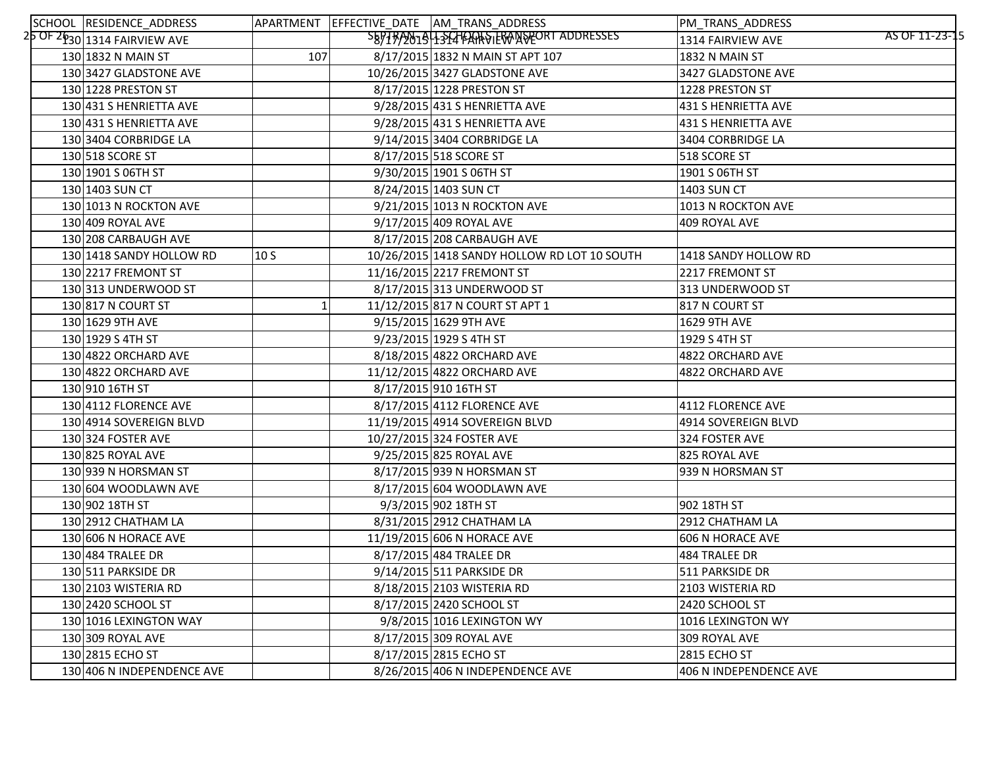| SCHOOL RESIDENCE_ADDRESS                                   |                 | APARTMENT EFFECTIVE DATE AM TRANS ADDRESS    | PM_TRANS_ADDRESS                    |
|------------------------------------------------------------|-----------------|----------------------------------------------|-------------------------------------|
| $25$ OF $2\overline{\mathfrak{p}}_{30} $ 1314 FAIRVIEW AVE |                 | SB97792019135476ARSIERANSPEORT ADDRESSES     | AS OF 11-23-15<br>1314 FAIRVIEW AVE |
| 130 1832 N MAIN ST                                         | 107             | 8/17/2015 1832 N MAIN ST APT 107             | 1832 N MAIN ST                      |
| 130 3427 GLADSTONE AVE                                     |                 | 10/26/2015 3427 GLADSTONE AVE                | 3427 GLADSTONE AVE                  |
| 130 1228 PRESTON ST                                        |                 | 8/17/2015 1228 PRESTON ST                    | 1228 PRESTON ST                     |
| 130 431 S HENRIETTA AVE                                    |                 | 9/28/2015 431 S HENRIETTA AVE                | 431 S HENRIETTA AVE                 |
| 130 431 S HENRIETTA AVE                                    |                 | 9/28/2015 431 S HENRIETTA AVE                | 431 S HENRIETTA AVE                 |
| 130 3404 CORBRIDGE LA                                      |                 | 9/14/2015 3404 CORBRIDGE LA                  | 3404 CORBRIDGE LA                   |
| 130 518 SCORE ST                                           |                 | 8/17/2015 518 SCORE ST                       | 518 SCORE ST                        |
| 130 1901 S 06TH ST                                         |                 | 9/30/2015 1901 S 06TH ST                     | 1901 S 06TH ST                      |
| 130 1403 SUN CT                                            |                 | 8/24/2015 1403 SUN CT                        | 1403 SUN CT                         |
| 130 1013 N ROCKTON AVE                                     |                 | 9/21/2015 1013 N ROCKTON AVE                 | 1013 N ROCKTON AVE                  |
| 130 409 ROYAL AVE                                          |                 | 9/17/2015 409 ROYAL AVE                      | 409 ROYAL AVE                       |
| 130 208 CARBAUGH AVE                                       |                 | 8/17/2015 208 CARBAUGH AVE                   |                                     |
| 130 1418 SANDY HOLLOW RD                                   | 10 <sub>S</sub> | 10/26/2015 1418 SANDY HOLLOW RD LOT 10 SOUTH | 1418 SANDY HOLLOW RD                |
| 130 2217 FREMONT ST                                        |                 | 11/16/2015 2217 FREMONT ST                   | 2217 FREMONT ST                     |
| 130 313 UNDERWOOD ST                                       |                 | 8/17/2015 313 UNDERWOOD ST                   | 313 UNDERWOOD ST                    |
| 130 817 N COURT ST                                         |                 | 11/12/2015 817 N COURT ST APT 1              | 817 N COURT ST                      |
| 130 1629 9TH AVE                                           |                 | 9/15/2015 1629 9TH AVE                       | 1629 9TH AVE                        |
| 130 1929 S 4TH ST                                          |                 | 9/23/2015 1929 S 4TH ST                      | 1929 S 4TH ST                       |
| 130 4822 ORCHARD AVE                                       |                 | 8/18/2015 4822 ORCHARD AVE                   | 4822 ORCHARD AVE                    |
| 130 4822 ORCHARD AVE                                       |                 | 11/12/2015 4822 ORCHARD AVE                  | 4822 ORCHARD AVE                    |
| 130 910 16TH ST                                            |                 | 8/17/2015 910 16TH ST                        |                                     |
| 130 4112 FLORENCE AVE                                      |                 | 8/17/2015 4112 FLORENCE AVE                  | 4112 FLORENCE AVE                   |
| 130 4914 SOVEREIGN BLVD                                    |                 | 11/19/2015 4914 SOVEREIGN BLVD               | 4914 SOVEREIGN BLVD                 |
| 130 324 FOSTER AVE                                         |                 | 10/27/2015 324 FOSTER AVE                    | 324 FOSTER AVE                      |
| 130 825 ROYAL AVE                                          |                 | 9/25/2015 825 ROYAL AVE                      | 825 ROYAL AVE                       |
| 130 939 N HORSMAN ST                                       |                 | 8/17/2015 939 N HORSMAN ST                   | 939 N HORSMAN ST                    |
| 130 604 WOODLAWN AVE                                       |                 | 8/17/2015 604 WOODLAWN AVE                   |                                     |
| 130 902 18TH ST                                            |                 | 9/3/2015 902 18TH ST                         | 902 18TH ST                         |
| 130 2912 CHATHAM LA                                        |                 | 8/31/2015 2912 CHATHAM LA                    | 2912 CHATHAM LA                     |
| 130 606 N HORACE AVE                                       |                 | 11/19/2015 606 N HORACE AVE                  | 606 N HORACE AVE                    |
| 130 484 TRALEE DR                                          |                 | 8/17/2015 484 TRALEE DR                      | 484 TRALEE DR                       |
| 130 511 PARKSIDE DR                                        |                 | 9/14/2015 511 PARKSIDE DR                    | 511 PARKSIDE DR                     |
| 130 2103 WISTERIA RD                                       |                 | 8/18/2015 2103 WISTERIA RD                   | 2103 WISTERIA RD                    |
| 130 2420 SCHOOL ST                                         |                 | 8/17/2015 2420 SCHOOL ST                     | 2420 SCHOOL ST                      |
| 130 1016 LEXINGTON WAY                                     |                 | 9/8/2015 1016 LEXINGTON WY                   | 1016 LEXINGTON WY                   |
| 130 309 ROYAL AVE                                          |                 | 8/17/2015 309 ROYAL AVE                      | 309 ROYAL AVE                       |
| 130 2815 ECHO ST                                           |                 | 8/17/2015 2815 ECHO ST                       | 2815 ECHO ST                        |
| 130 406 N INDEPENDENCE AVE                                 |                 | 8/26/2015 406 N INDEPENDENCE AVE             | 406 N INDEPENDENCE AVE              |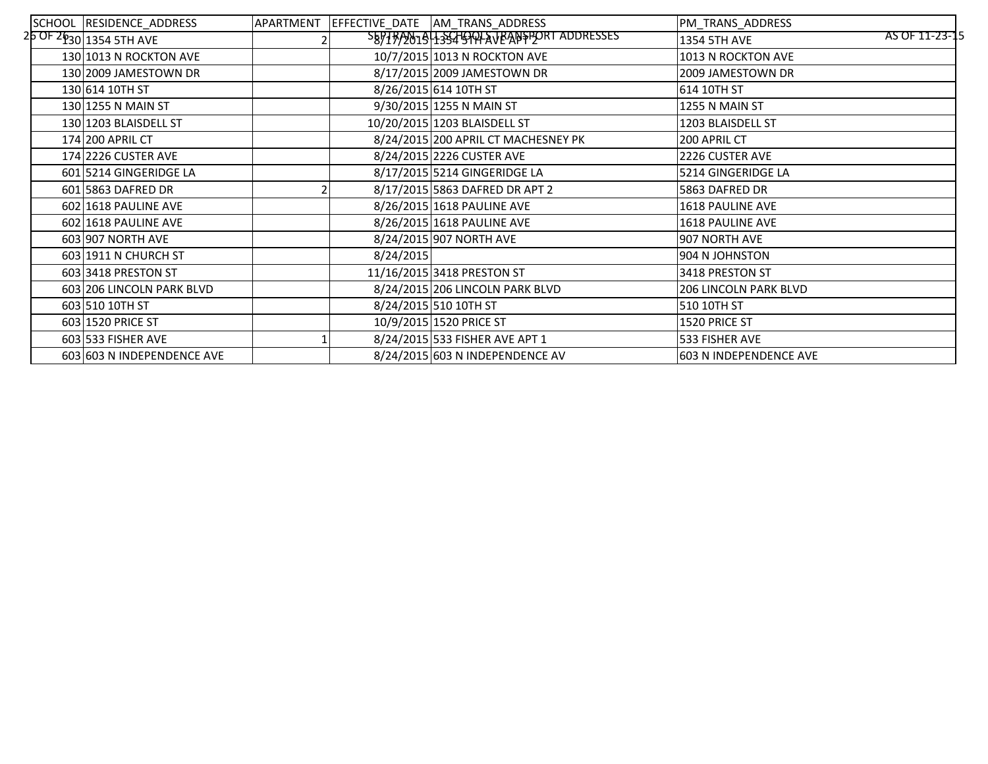| SCHOOL RESIDENCE_ADDRESS     | APARTMENT |           | EFFECTIVE DATE AM TRANS ADDRESS         | PM TRANS ADDRESS               |
|------------------------------|-----------|-----------|-----------------------------------------|--------------------------------|
| $25$ OF $26$ 30 1354 5TH AVE |           |           | SEPTRA0191435415994AVBANSPORT ADDRESSES | AS OF 11-23-15<br>1354 5TH AVE |
| 130 1013 N ROCKTON AVE       |           |           | 10/7/2015 1013 N ROCKTON AVE            | 1013 N ROCKTON AVE             |
| 130 2009 JAMESTOWN DR        |           |           | 8/17/2015 2009 JAMESTOWN DR             | 2009 JAMESTOWN DR              |
| 130 614 10TH ST              |           |           | 8/26/2015 614 10TH ST                   | 614 10TH ST                    |
| 130 1255 N MAIN ST           |           |           | 9/30/2015 1255 N MAIN ST                | 1255 N MAIN ST                 |
| 130 1203 BLAISDELL ST        |           |           | 10/20/2015 1203 BLAISDELL ST            | 1203 BLAISDELL ST              |
| 174 200 APRIL CT             |           |           | 8/24/2015 200 APRIL CT MACHESNEY PK     | 200 APRIL CT                   |
| 174 2226 CUSTER AVE          |           |           | 8/24/2015 2226 CUSTER AVE               | 2226 CUSTER AVE                |
| 601 5214 GINGERIDGE LA       |           |           | 8/17/2015 5214 GINGERIDGE LA            | 5214 GINGERIDGE LA             |
| 601 5863 DAFRED DR           |           |           | 8/17/2015 5863 DAFRED DR APT 2          | 5863 DAFRED DR                 |
| 602 1618 PAULINE AVE         |           |           | 8/26/2015 1618 PAULINE AVE              | <b>1618 PAULINE AVE</b>        |
| 602 1618 PAULINE AVE         |           |           | 8/26/2015 1618 PAULINE AVE              | 1618 PAULINE AVE               |
| 603 907 NORTH AVE            |           |           | 8/24/2015 907 NORTH AVE                 | 907 NORTH AVE                  |
| 603 1911 N CHURCH ST         |           | 8/24/2015 |                                         | 904 N JOHNSTON                 |
| 603 3418 PRESTON ST          |           |           | 11/16/2015 3418 PRESTON ST              | 3418 PRESTON ST                |
| 603 206 LINCOLN PARK BLVD    |           |           | 8/24/2015 206 LINCOLN PARK BLVD         | <b>206 LINCOLN PARK BLVD</b>   |
| 603 510 10TH ST              |           |           | 8/24/2015 510 10TH ST                   | 510 10TH ST                    |
| 603 1520 PRICE ST            |           |           | 10/9/2015 1520 PRICE ST                 | 1520 PRICE ST                  |
| 603 533 FISHER AVE           |           |           | 8/24/2015 533 FISHER AVE APT 1          | 533 FISHER AVE                 |
| 603 603 N INDEPENDENCE AVE   |           |           | 8/24/2015 603 N INDEPENDENCE AV         | 603 N INDEPENDENCE AVE         |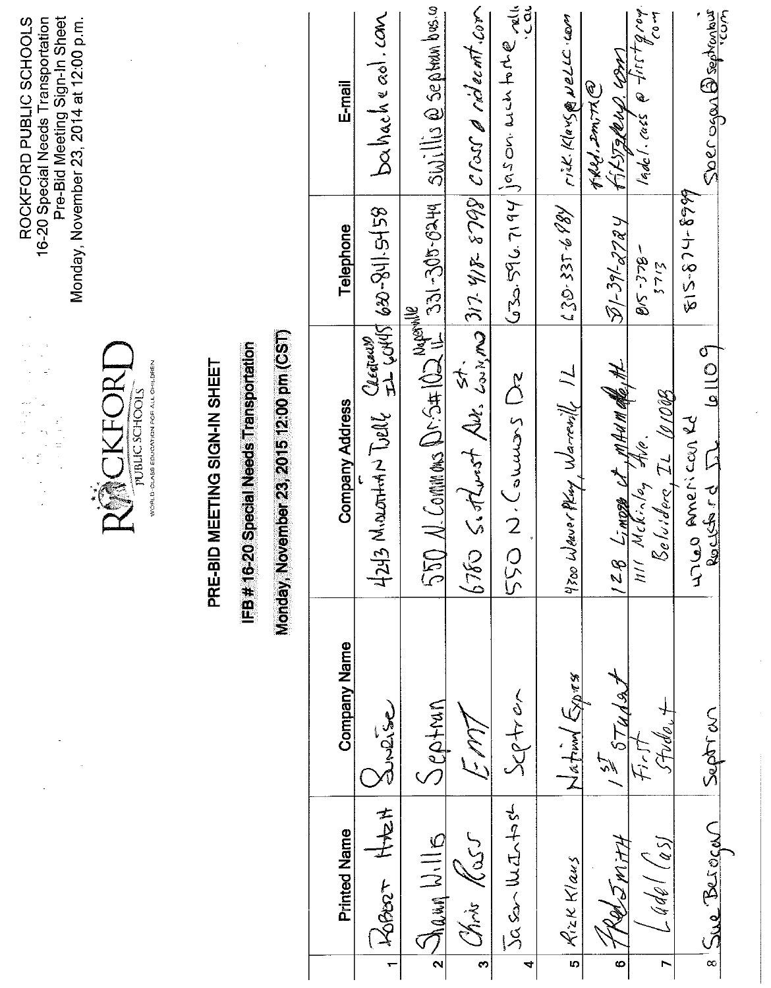|                      |                                               |                                | $\begin{aligned} \frac{\partial^2 \phi}{\partial t} & = \\ \frac{\partial^2 \phi}{\partial t} & = \\ \frac{\partial^2 \phi}{\partial t} & = \\ \frac{\partial^2 \phi}{\partial t} & = \\ \frac{\partial^2 \phi}{\partial t} & = \\ \frac{\partial^2 \phi}{\partial t} & = \\ \frac{\partial^2 \phi}{\partial t} & = \\ \frac{\partial^2 \phi}{\partial t} & = \\ \frac{\partial^2 \phi}{\partial t} & = \\ \frac{\partial^2 \phi}{\partial t} & = \\ \frac{\partial^2 \phi}{\partial t} & = \\ \frac{\partial^2 \phi}{\partial t} & = \\ \frac{\partial^2 \phi}{\partial t} & = \\ \frac{\partial^2 \$ |                     | Pre-Bid Meeting Sign-In Sheet<br>ROCKFORD PUBLIC SCHOOLS<br>16-20 Special Needs Transportation<br>Monday, November 23, 2014 at 12:00 p.m. |
|----------------------|-----------------------------------------------|--------------------------------|--------------------------------------------------------------------------------------------------------------------------------------------------------------------------------------------------------------------------------------------------------------------------------------------------------------------------------------------------------------------------------------------------------------------------------------------------------------------------------------------------------------------------------------------------------------------------------------------------------|---------------------|-------------------------------------------------------------------------------------------------------------------------------------------|
|                      |                                               |                                | RMCKFORT<br>WORLD-QUASS EDUCATION FOR ALL CHILDREN<br>PUBLIC SCHOOLS                                                                                                                                                                                                                                                                                                                                                                                                                                                                                                                                   |                     |                                                                                                                                           |
|                      |                                               |                                | PRE-BID MEETING SIGN-IN SHEET                                                                                                                                                                                                                                                                                                                                                                                                                                                                                                                                                                          |                     |                                                                                                                                           |
|                      |                                               |                                | Monday, November 23, 2015 12:00 pm (CST)<br>IFB#16-20 Special Needs Transportation                                                                                                                                                                                                                                                                                                                                                                                                                                                                                                                     |                     |                                                                                                                                           |
|                      | <b>Printed Name</b>                           | <b>Company Name</b>            | Company Address                                                                                                                                                                                                                                                                                                                                                                                                                                                                                                                                                                                        | Telephone           | $E$ -mail                                                                                                                                 |
| $\leftarrow$         | 青老<br><b>KOBOT</b>                            | Surise                         | $4243$ Monortham Dell Clearered 620-841.5458                                                                                                                                                                                                                                                                                                                                                                                                                                                                                                                                                           |                     | bahachead.com                                                                                                                             |
|                      | $2\frac{\sum_{l=1}^{n} \sum_{l=1}^{n} l }{n}$ | Septan                         | $550$ N. Commens Dr. S#102 11-331-305-0249 SWillis @ Septambre.com                                                                                                                                                                                                                                                                                                                                                                                                                                                                                                                                     |                     |                                                                                                                                           |
| $\bullet$            | Chris Kass                                    | Em7                            | $6760$ S. $dt$ urst Aut. $\frac{st}{\omega x}$ mg $317$ $418$ $8799$ $C$ ross a rideent.com                                                                                                                                                                                                                                                                                                                                                                                                                                                                                                            |                     |                                                                                                                                           |
| $\blacktriangleleft$ | Jasantife                                     | $S$ ctren                      | 550 N.Couwas De                                                                                                                                                                                                                                                                                                                                                                                                                                                                                                                                                                                        |                     | $G33.596.7194 \text{ is an with the value of }$                                                                                           |
| Ю                    | Rizk Klaus                                    | $\sin\left(\frac{1}{2}\right)$ | 4700 Weaver Pluy, Warrewill 1L                                                                                                                                                                                                                                                                                                                                                                                                                                                                                                                                                                         | $20 - 337689$       | rick. Klavs@NeLLC.com                                                                                                                     |
| $\circ$              | FRedSMitH                                     | $157$ $574491$                 |                                                                                                                                                                                                                                                                                                                                                                                                                                                                                                                                                                                                        | 51-391-2724         | FIFZROUP WAR<br>KRRY. Im, TR                                                                                                              |
| $\blacksquare$       | $4d$ el (ass                                  | Fudo.+<br>F                    | 128 LIMOZE St MAUMER, HL<br>Beluider, IL 10100B                                                                                                                                                                                                                                                                                                                                                                                                                                                                                                                                                        | $-352 - 59$<br>5163 | ladel.cass @ firstgroup                                                                                                                   |
|                      | 8 Sue Berogan                                 | Seption                        | $\frac{1}{2}$<br>Se Romanico<br>Rockshot IL                                                                                                                                                                                                                                                                                                                                                                                                                                                                                                                                                            | 815-674-899         | <u>Soer og nogetenbys</u>                                                                                                                 |
|                      |                                               |                                |                                                                                                                                                                                                                                                                                                                                                                                                                                                                                                                                                                                                        |                     |                                                                                                                                           |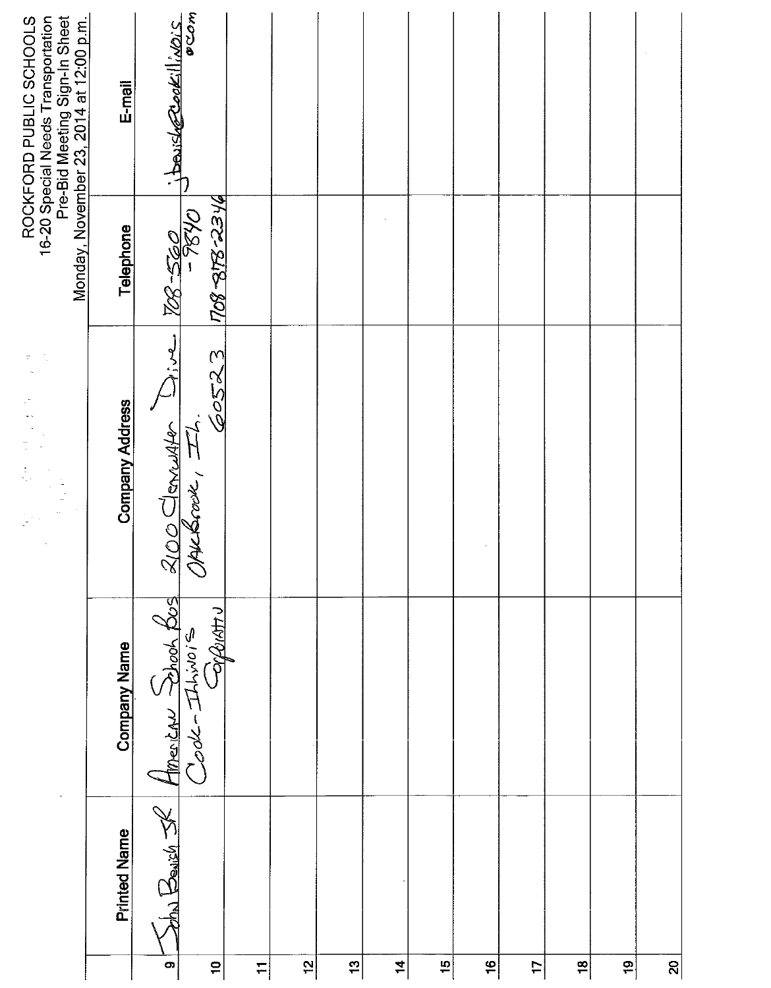| E-mail                 |                                                                          |                                                                   |                                                            |   |     |          |   |               |                |               |          |
|------------------------|--------------------------------------------------------------------------|-------------------------------------------------------------------|------------------------------------------------------------|---|-----|----------|---|---------------|----------------|---------------|----------|
| Telephone              |                                                                          |                                                                   |                                                            |   |     |          |   |               |                |               |          |
| <b>Company Address</b> |                                                                          |                                                                   |                                                            |   |     |          |   |               |                |               |          |
| Company Name           |                                                                          |                                                                   |                                                            |   |     |          |   |               |                |               |          |
| <b>Printed Name</b>    | bha Beaich<br>$\bullet$                                                  |                                                                   |                                                            |   |     |          |   |               |                |               | <u>ສ</u> |
|                        | Pre-Bid Meeting Sign-In Sheet<br>Monday, November 23, 2014 at 12:00 p.m. | ocom<br>$\frac{1}{286-260}$<br>2100 Clementer Dive<br>$\tilde{a}$ | 60523 708 878-234<br>American School Bos<br>$\overline{+}$ | 5 | \$, | $\sharp$ | 5 | $\frac{1}{2}$ | $\overline{1}$ | $\frac{8}{1}$ | é,       |